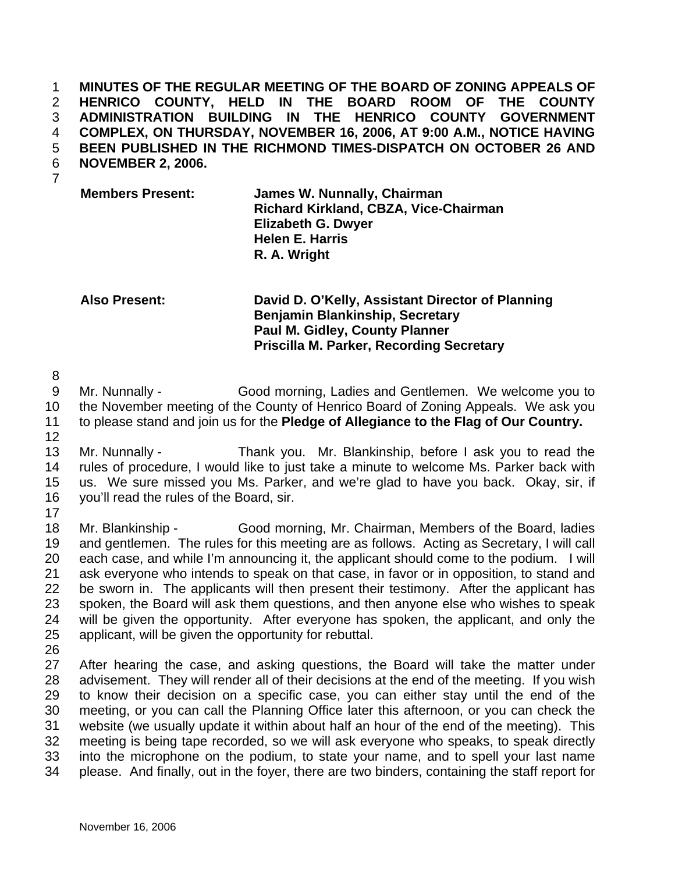**MINUTES OF THE REGULAR MEETING OF THE BOARD OF ZONING APPEALS OF HENRICO COUNTY, HELD IN THE BOARD ROOM OF THE COUNTY ADMINISTRATION BUILDING IN THE HENRICO COUNTY GOVERNMENT COMPLEX, ON THURSDAY, NOVEMBER 16, 2006, AT 9:00 A.M., NOTICE HAVING BEEN PUBLISHED IN THE RICHMOND TIMES-DISPATCH ON OCTOBER 26 AND NOVEMBER 2, 2006.**  1 2 3 4 5 6

7

**Members Present: James W. Nunnally, Chairman Richard Kirkland, CBZA, Vice-Chairman Elizabeth G. Dwyer Helen E. Harris R. A. Wright** 

**Also Present: David D. O'Kelly, Assistant Director of Planning Benjamin Blankinship, Secretary Paul M. Gidley, County Planner Priscilla M. Parker, Recording Secretary** 

8

9 10 11 Mr. Nunnally - Good morning, Ladies and Gentlemen. We welcome you to the November meeting of the County of Henrico Board of Zoning Appeals. We ask you to please stand and join us for the **Pledge of Allegiance to the Flag of Our Country.** 

12

13 14 15 16 Mr. Nunnally - Thank you. Mr. Blankinship, before I ask you to read the rules of procedure, I would like to just take a minute to welcome Ms. Parker back with us. We sure missed you Ms. Parker, and we're glad to have you back. Okay, sir, if you'll read the rules of the Board, sir.

17

18 19 20 21 22 23 24 25 Mr. Blankinship - Good morning, Mr. Chairman, Members of the Board, ladies and gentlemen. The rules for this meeting are as follows. Acting as Secretary, I will call each case, and while I'm announcing it, the applicant should come to the podium. I will ask everyone who intends to speak on that case, in favor or in opposition, to stand and be sworn in. The applicants will then present their testimony. After the applicant has spoken, the Board will ask them questions, and then anyone else who wishes to speak will be given the opportunity. After everyone has spoken, the applicant, and only the applicant, will be given the opportunity for rebuttal.

26

27 28 29 30 31 32 33 34 After hearing the case, and asking questions, the Board will take the matter under advisement. They will render all of their decisions at the end of the meeting. If you wish to know their decision on a specific case, you can either stay until the end of the meeting, or you can call the Planning Office later this afternoon, or you can check the website (we usually update it within about half an hour of the end of the meeting). This meeting is being tape recorded, so we will ask everyone who speaks, to speak directly into the microphone on the podium, to state your name, and to spell your last name please. And finally, out in the foyer, there are two binders, containing the staff report for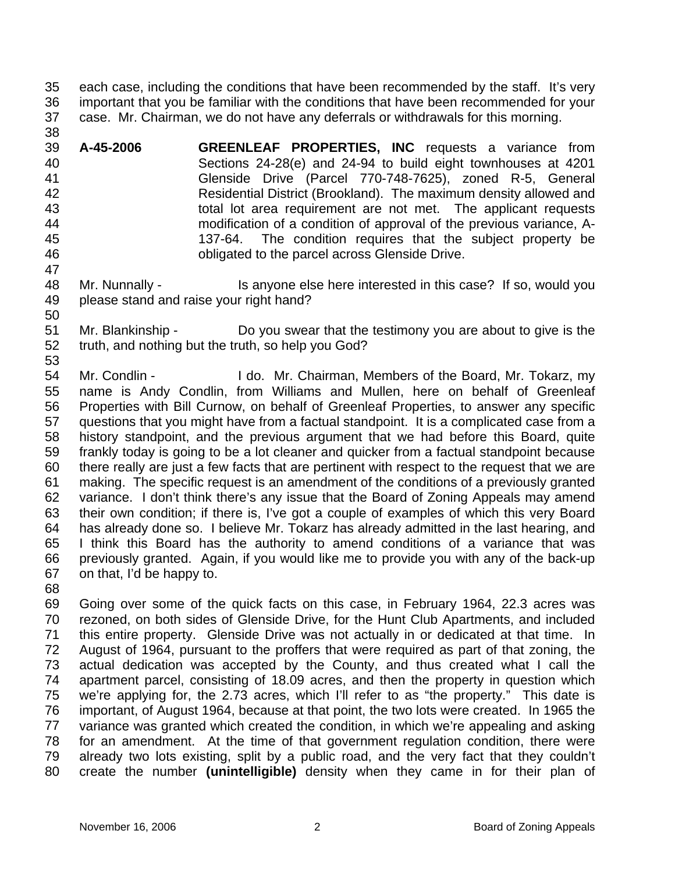35 36 37 each case, including the conditions that have been recommended by the staff. It's very important that you be familiar with the conditions that have been recommended for your case. Mr. Chairman, we do not have any deferrals or withdrawals for this morning.

39 40 41 42 43 44 45 46 47 **A-45-2006 GREENLEAF PROPERTIES, INC** requests a variance from Sections 24-28(e) and 24-94 to build eight townhouses at 4201 Glenside Drive (Parcel 770-748-7625), zoned R-5, General Residential District (Brookland). The maximum density allowed and total lot area requirement are not met. The applicant requests modification of a condition of approval of the previous variance, A-137-64. The condition requires that the subject property be obligated to the parcel across Glenside Drive.

- 48 49 Mr. Nunnally - Is anyone else here interested in this case? If so, would you please stand and raise your right hand?
- 51 52 53 Mr. Blankinship - Do you swear that the testimony you are about to give is the truth, and nothing but the truth, so help you God?

54 55 56 57 58 59 60 61 62 63 64 65 66 67 Mr. Condlin - I do. Mr. Chairman, Members of the Board, Mr. Tokarz, my name is Andy Condlin, from Williams and Mullen, here on behalf of Greenleaf Properties with Bill Curnow, on behalf of Greenleaf Properties, to answer any specific questions that you might have from a factual standpoint. It is a complicated case from a history standpoint, and the previous argument that we had before this Board, quite frankly today is going to be a lot cleaner and quicker from a factual standpoint because there really are just a few facts that are pertinent with respect to the request that we are making. The specific request is an amendment of the conditions of a previously granted variance. I don't think there's any issue that the Board of Zoning Appeals may amend their own condition; if there is, I've got a couple of examples of which this very Board has already done so. I believe Mr. Tokarz has already admitted in the last hearing, and I think this Board has the authority to amend conditions of a variance that was previously granted. Again, if you would like me to provide you with any of the back-up on that, I'd be happy to.

68

38

50

69 70 71 72 73 74 75 76 77 78 79 80 Going over some of the quick facts on this case, in February 1964, 22.3 acres was rezoned, on both sides of Glenside Drive, for the Hunt Club Apartments, and included this entire property. Glenside Drive was not actually in or dedicated at that time. In August of 1964, pursuant to the proffers that were required as part of that zoning, the actual dedication was accepted by the County, and thus created what I call the apartment parcel, consisting of 18.09 acres, and then the property in question which we're applying for, the 2.73 acres, which I'll refer to as "the property." This date is important, of August 1964, because at that point, the two lots were created. In 1965 the variance was granted which created the condition, in which we're appealing and asking for an amendment. At the time of that government regulation condition, there were already two lots existing, split by a public road, and the very fact that they couldn't create the number **(unintelligible)** density when they came in for their plan of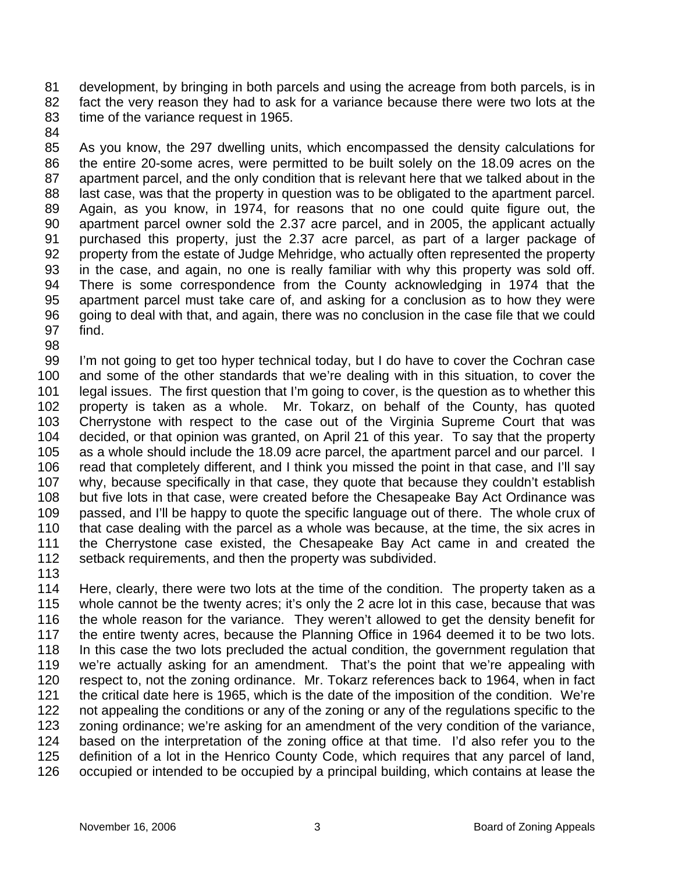81 82 83 development, by bringing in both parcels and using the acreage from both parcels, is in fact the very reason they had to ask for a variance because there were two lots at the time of the variance request in 1965.

84

85 86 87 88 89 90 91 92 93 94 95 96 97 As you know, the 297 dwelling units, which encompassed the density calculations for the entire 20-some acres, were permitted to be built solely on the 18.09 acres on the apartment parcel, and the only condition that is relevant here that we talked about in the last case, was that the property in question was to be obligated to the apartment parcel. Again, as you know, in 1974, for reasons that no one could quite figure out, the apartment parcel owner sold the 2.37 acre parcel, and in 2005, the applicant actually purchased this property, just the 2.37 acre parcel, as part of a larger package of property from the estate of Judge Mehridge, who actually often represented the property in the case, and again, no one is really familiar with why this property was sold off. There is some correspondence from the County acknowledging in 1974 that the apartment parcel must take care of, and asking for a conclusion as to how they were going to deal with that, and again, there was no conclusion in the case file that we could find.

98

99 100 101 102 103 104 105 106 107 108 109 110 111 112 I'm not going to get too hyper technical today, but I do have to cover the Cochran case and some of the other standards that we're dealing with in this situation, to cover the legal issues. The first question that I'm going to cover, is the question as to whether this property is taken as a whole. Mr. Tokarz, on behalf of the County, has quoted Cherrystone with respect to the case out of the Virginia Supreme Court that was decided, or that opinion was granted, on April 21 of this year. To say that the property as a whole should include the 18.09 acre parcel, the apartment parcel and our parcel. I read that completely different, and I think you missed the point in that case, and I'll say why, because specifically in that case, they quote that because they couldn't establish but five lots in that case, were created before the Chesapeake Bay Act Ordinance was passed, and I'll be happy to quote the specific language out of there. The whole crux of that case dealing with the parcel as a whole was because, at the time, the six acres in the Cherrystone case existed, the Chesapeake Bay Act came in and created the setback requirements, and then the property was subdivided.

113

114 115 116 117 118 119 120 121 122 123 124 125 126 Here, clearly, there were two lots at the time of the condition. The property taken as a whole cannot be the twenty acres; it's only the 2 acre lot in this case, because that was the whole reason for the variance. They weren't allowed to get the density benefit for the entire twenty acres, because the Planning Office in 1964 deemed it to be two lots. In this case the two lots precluded the actual condition, the government regulation that we're actually asking for an amendment. That's the point that we're appealing with respect to, not the zoning ordinance. Mr. Tokarz references back to 1964, when in fact the critical date here is 1965, which is the date of the imposition of the condition. We're not appealing the conditions or any of the zoning or any of the regulations specific to the zoning ordinance; we're asking for an amendment of the very condition of the variance, based on the interpretation of the zoning office at that time. I'd also refer you to the definition of a lot in the Henrico County Code, which requires that any parcel of land, occupied or intended to be occupied by a principal building, which contains at lease the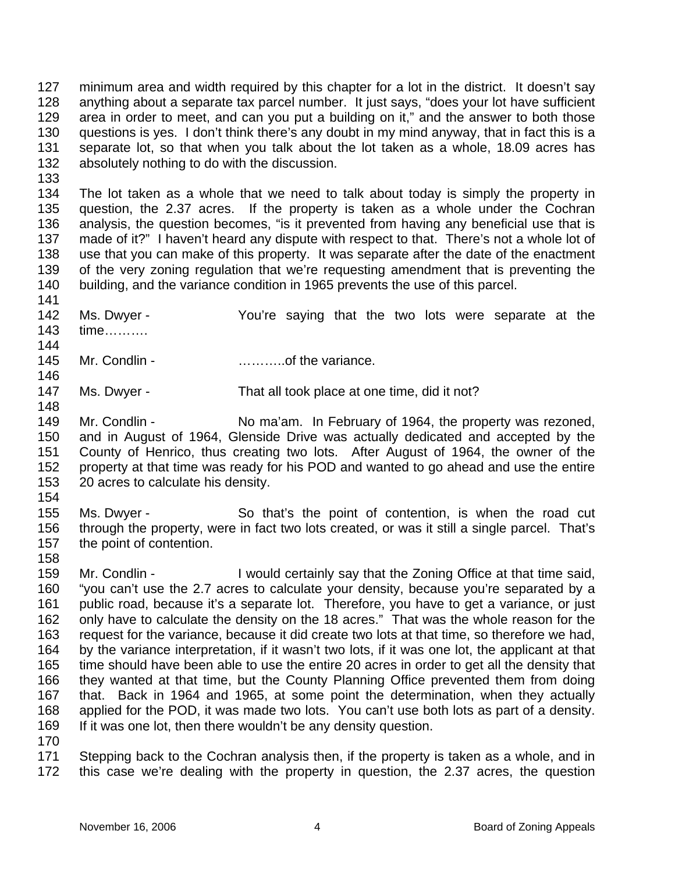127 128 129 130 131 132 minimum area and width required by this chapter for a lot in the district. It doesn't say anything about a separate tax parcel number. It just says, "does your lot have sufficient area in order to meet, and can you put a building on it," and the answer to both those questions is yes. I don't think there's any doubt in my mind anyway, that in fact this is a separate lot, so that when you talk about the lot taken as a whole, 18.09 acres has absolutely nothing to do with the discussion.

133

141

144

146

148

134 135 136 137 138 139 140 The lot taken as a whole that we need to talk about today is simply the property in question, the 2.37 acres. If the property is taken as a whole under the Cochran analysis, the question becomes, "is it prevented from having any beneficial use that is made of it?" I haven't heard any dispute with respect to that. There's not a whole lot of use that you can make of this property. It was separate after the date of the enactment of the very zoning regulation that we're requesting amendment that is preventing the building, and the variance condition in 1965 prevents the use of this parcel.

- 142 143 Ms. Dwyer - You're saying that the two lots were separate at the time……….
- 145 Mr. Condlin - with the variance.
- 147 Ms. Dwyer - That all took place at one time, did it not?
- 149 150 151 152 153 Mr. Condlin - No ma'am. In February of 1964, the property was rezoned, and in August of 1964, Glenside Drive was actually dedicated and accepted by the County of Henrico, thus creating two lots. After August of 1964, the owner of the property at that time was ready for his POD and wanted to go ahead and use the entire 20 acres to calculate his density.
- 154

155 156 157 Ms. Dwyer - So that's the point of contention, is when the road cut through the property, were in fact two lots created, or was it still a single parcel. That's the point of contention.

158

159 160 161 162 163 164 165 166 167 168 169 Mr. Condlin - I would certainly say that the Zoning Office at that time said, "you can't use the 2.7 acres to calculate your density, because you're separated by a public road, because it's a separate lot. Therefore, you have to get a variance, or just only have to calculate the density on the 18 acres." That was the whole reason for the request for the variance, because it did create two lots at that time, so therefore we had, by the variance interpretation, if it wasn't two lots, if it was one lot, the applicant at that time should have been able to use the entire 20 acres in order to get all the density that they wanted at that time, but the County Planning Office prevented them from doing that. Back in 1964 and 1965, at some point the determination, when they actually applied for the POD, it was made two lots. You can't use both lots as part of a density. If it was one lot, then there wouldn't be any density question.

170

171 172 Stepping back to the Cochran analysis then, if the property is taken as a whole, and in this case we're dealing with the property in question, the 2.37 acres, the question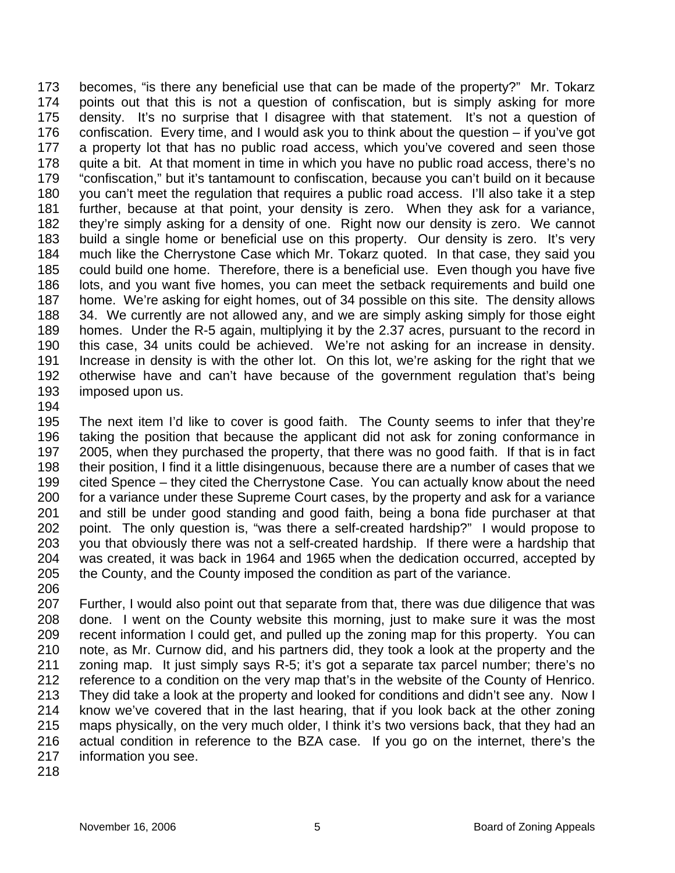173 174 175 176 177 178 179 180 181 182 183 184 185 186 187 188 189 190 191 192 193 becomes, "is there any beneficial use that can be made of the property?" Mr. Tokarz points out that this is not a question of confiscation, but is simply asking for more density. It's no surprise that I disagree with that statement. It's not a question of confiscation. Every time, and I would ask you to think about the question – if you've got a property lot that has no public road access, which you've covered and seen those quite a bit. At that moment in time in which you have no public road access, there's no "confiscation," but it's tantamount to confiscation, because you can't build on it because you can't meet the regulation that requires a public road access. I'll also take it a step further, because at that point, your density is zero. When they ask for a variance, they're simply asking for a density of one. Right now our density is zero. We cannot build a single home or beneficial use on this property. Our density is zero. It's very much like the Cherrystone Case which Mr. Tokarz quoted. In that case, they said you could build one home. Therefore, there is a beneficial use. Even though you have five lots, and you want five homes, you can meet the setback requirements and build one home. We're asking for eight homes, out of 34 possible on this site. The density allows 34. We currently are not allowed any, and we are simply asking simply for those eight homes. Under the R-5 again, multiplying it by the 2.37 acres, pursuant to the record in this case, 34 units could be achieved. We're not asking for an increase in density. Increase in density is with the other lot. On this lot, we're asking for the right that we otherwise have and can't have because of the government regulation that's being imposed upon us.

194

195 196 197 198 199 200 201 202 203 204 205 206 The next item I'd like to cover is good faith. The County seems to infer that they're taking the position that because the applicant did not ask for zoning conformance in 2005, when they purchased the property, that there was no good faith. If that is in fact their position, I find it a little disingenuous, because there are a number of cases that we cited Spence – they cited the Cherrystone Case. You can actually know about the need for a variance under these Supreme Court cases, by the property and ask for a variance and still be under good standing and good faith, being a bona fide purchaser at that point. The only question is, "was there a self-created hardship?" I would propose to you that obviously there was not a self-created hardship. If there were a hardship that was created, it was back in 1964 and 1965 when the dedication occurred, accepted by the County, and the County imposed the condition as part of the variance.

207 208 209 210 211 212 213 214 215 216 217 Further, I would also point out that separate from that, there was due diligence that was done. I went on the County website this morning, just to make sure it was the most recent information I could get, and pulled up the zoning map for this property. You can note, as Mr. Curnow did, and his partners did, they took a look at the property and the zoning map. It just simply says R-5; it's got a separate tax parcel number; there's no reference to a condition on the very map that's in the website of the County of Henrico. They did take a look at the property and looked for conditions and didn't see any. Now I know we've covered that in the last hearing, that if you look back at the other zoning maps physically, on the very much older, I think it's two versions back, that they had an actual condition in reference to the BZA case. If you go on the internet, there's the information you see.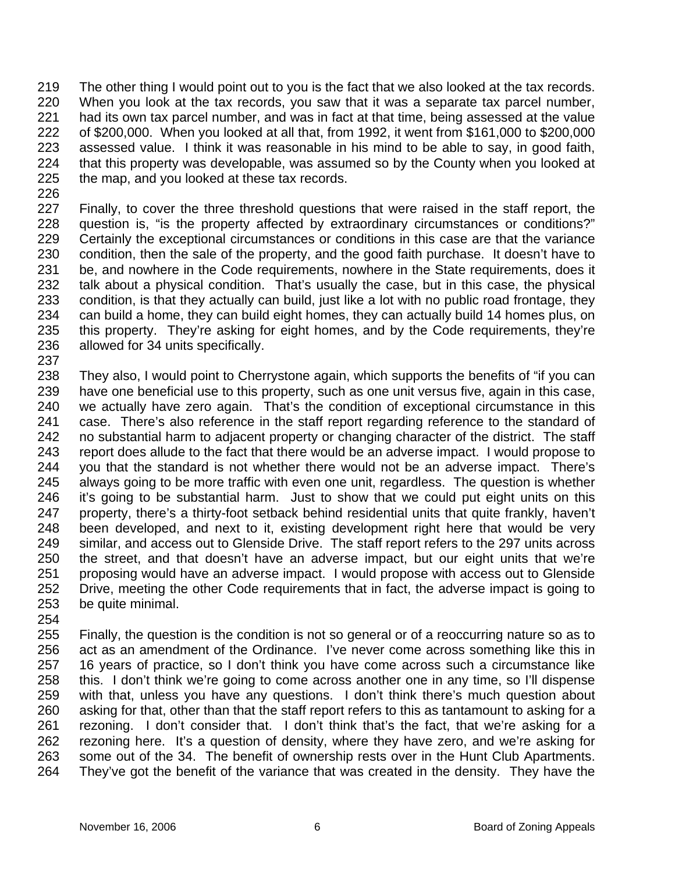219 220 221 222 223 224 225 The other thing I would point out to you is the fact that we also looked at the tax records. When you look at the tax records, you saw that it was a separate tax parcel number, had its own tax parcel number, and was in fact at that time, being assessed at the value of \$200,000. When you looked at all that, from 1992, it went from \$161,000 to \$200,000 assessed value. I think it was reasonable in his mind to be able to say, in good faith, that this property was developable, was assumed so by the County when you looked at the map, and you looked at these tax records.

226

237

227 228 229 230 231 232 233 234 235 236 Finally, to cover the three threshold questions that were raised in the staff report, the question is, "is the property affected by extraordinary circumstances or conditions?" Certainly the exceptional circumstances or conditions in this case are that the variance condition, then the sale of the property, and the good faith purchase. It doesn't have to be, and nowhere in the Code requirements, nowhere in the State requirements, does it talk about a physical condition. That's usually the case, but in this case, the physical condition, is that they actually can build, just like a lot with no public road frontage, they can build a home, they can build eight homes, they can actually build 14 homes plus, on this property. They're asking for eight homes, and by the Code requirements, they're allowed for 34 units specifically.

238 239 240 241 242 243 244 245 246 247 248 249 250 251 252 253 They also, I would point to Cherrystone again, which supports the benefits of "if you can have one beneficial use to this property, such as one unit versus five, again in this case, we actually have zero again. That's the condition of exceptional circumstance in this case. There's also reference in the staff report regarding reference to the standard of no substantial harm to adjacent property or changing character of the district. The staff report does allude to the fact that there would be an adverse impact. I would propose to you that the standard is not whether there would not be an adverse impact. There's always going to be more traffic with even one unit, regardless. The question is whether it's going to be substantial harm. Just to show that we could put eight units on this property, there's a thirty-foot setback behind residential units that quite frankly, haven't been developed, and next to it, existing development right here that would be very similar, and access out to Glenside Drive. The staff report refers to the 297 units across the street, and that doesn't have an adverse impact, but our eight units that we're proposing would have an adverse impact. I would propose with access out to Glenside Drive, meeting the other Code requirements that in fact, the adverse impact is going to be quite minimal.

254

255 256 257 258 259 260 261 262 263 264 Finally, the question is the condition is not so general or of a reoccurring nature so as to act as an amendment of the Ordinance. I've never come across something like this in 16 years of practice, so I don't think you have come across such a circumstance like this. I don't think we're going to come across another one in any time, so I'll dispense with that, unless you have any questions. I don't think there's much question about asking for that, other than that the staff report refers to this as tantamount to asking for a rezoning. I don't consider that. I don't think that's the fact, that we're asking for a rezoning here. It's a question of density, where they have zero, and we're asking for some out of the 34. The benefit of ownership rests over in the Hunt Club Apartments. They've got the benefit of the variance that was created in the density. They have the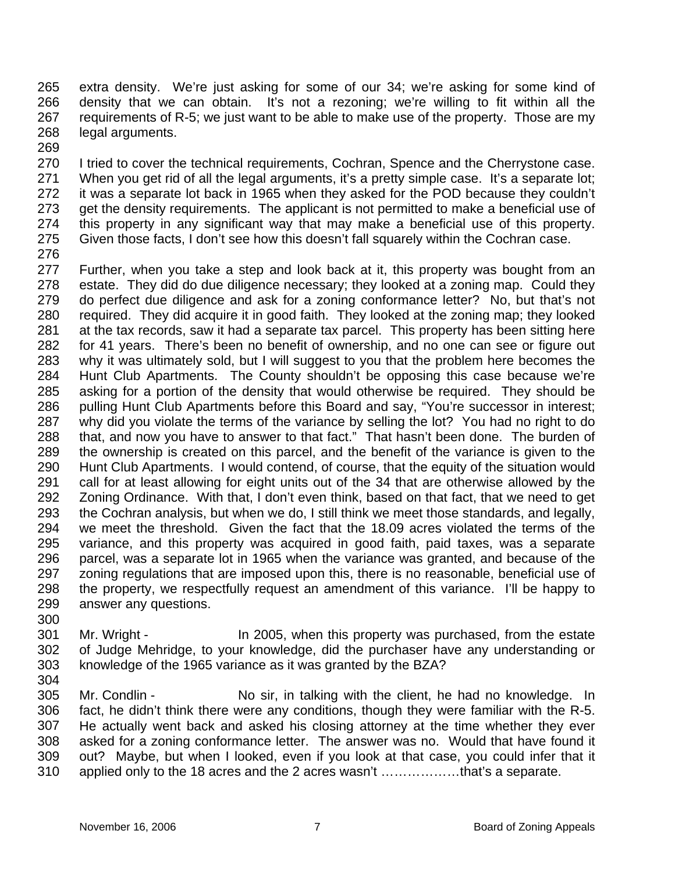265 266 267 268 269 extra density. We're just asking for some of our 34; we're asking for some kind of density that we can obtain. It's not a rezoning; we're willing to fit within all the requirements of R-5; we just want to be able to make use of the property. Those are my legal arguments.

270 271 272 273 274 275 I tried to cover the technical requirements, Cochran, Spence and the Cherrystone case. When you get rid of all the legal arguments, it's a pretty simple case. It's a separate lot; it was a separate lot back in 1965 when they asked for the POD because they couldn't get the density requirements. The applicant is not permitted to make a beneficial use of this property in any significant way that may make a beneficial use of this property. Given those facts, I don't see how this doesn't fall squarely within the Cochran case.

276

277 278 279 280 281 282 283 284 285 286 287 288 289 290 291 292 293 294 295 296 297 298 299 300 Further, when you take a step and look back at it, this property was bought from an estate. They did do due diligence necessary; they looked at a zoning map. Could they do perfect due diligence and ask for a zoning conformance letter? No, but that's not required. They did acquire it in good faith. They looked at the zoning map; they looked at the tax records, saw it had a separate tax parcel. This property has been sitting here for 41 years. There's been no benefit of ownership, and no one can see or figure out why it was ultimately sold, but I will suggest to you that the problem here becomes the Hunt Club Apartments. The County shouldn't be opposing this case because we're asking for a portion of the density that would otherwise be required. They should be pulling Hunt Club Apartments before this Board and say, "You're successor in interest; why did you violate the terms of the variance by selling the lot? You had no right to do that, and now you have to answer to that fact." That hasn't been done. The burden of the ownership is created on this parcel, and the benefit of the variance is given to the Hunt Club Apartments. I would contend, of course, that the equity of the situation would call for at least allowing for eight units out of the 34 that are otherwise allowed by the Zoning Ordinance. With that, I don't even think, based on that fact, that we need to get the Cochran analysis, but when we do, I still think we meet those standards, and legally, we meet the threshold. Given the fact that the 18.09 acres violated the terms of the variance, and this property was acquired in good faith, paid taxes, was a separate parcel, was a separate lot in 1965 when the variance was granted, and because of the zoning regulations that are imposed upon this, there is no reasonable, beneficial use of the property, we respectfully request an amendment of this variance. I'll be happy to answer any questions.

- 301 302 303 Mr. Wright - In 2005, when this property was purchased, from the estate of Judge Mehridge, to your knowledge, did the purchaser have any understanding or knowledge of the 1965 variance as it was granted by the BZA?
- 304

305 306 307 308 309 310 Mr. Condlin - No sir, in talking with the client, he had no knowledge. In fact, he didn't think there were any conditions, though they were familiar with the R-5. He actually went back and asked his closing attorney at the time whether they ever asked for a zoning conformance letter. The answer was no. Would that have found it out? Maybe, but when I looked, even if you look at that case, you could infer that it applied only to the 18 acres and the 2 acres wasn't ………………that's a separate.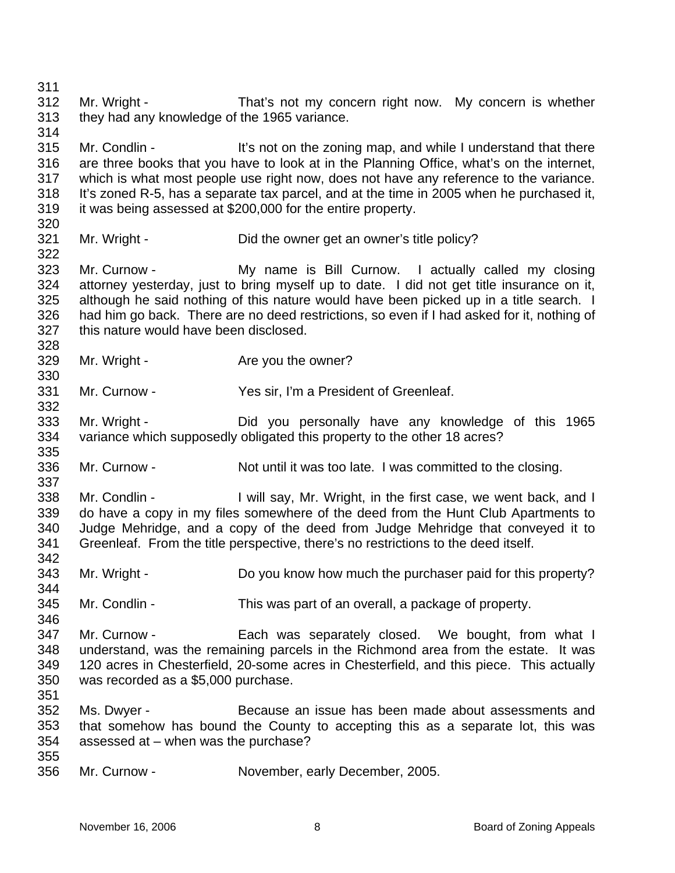311 312 313 314 315 316 317 318 319 320 321 322 323 324 325 326 327 328 329 330 331 332 333 334 335 336 337 338 339 340 341 342 343 344 345 346 347 348 349 350 351 352 353 354 355 356 Mr. Wright - That's not my concern right now. My concern is whether they had any knowledge of the 1965 variance. Mr. Condlin - It's not on the zoning map, and while I understand that there are three books that you have to look at in the Planning Office, what's on the internet, which is what most people use right now, does not have any reference to the variance. It's zoned R-5, has a separate tax parcel, and at the time in 2005 when he purchased it, it was being assessed at \$200,000 for the entire property. Mr. Wright - Did the owner get an owner's title policy? Mr. Curnow - The My name is Bill Curnow. I actually called my closing attorney yesterday, just to bring myself up to date. I did not get title insurance on it, although he said nothing of this nature would have been picked up in a title search. I had him go back. There are no deed restrictions, so even if I had asked for it, nothing of this nature would have been disclosed. Mr. Wright - The Are you the owner? Mr. Curnow - Yes sir, I'm a President of Greenleaf. Mr. Wright - The Did you personally have any knowledge of this 1965 variance which supposedly obligated this property to the other 18 acres? Mr. Curnow - Not until it was too late. I was committed to the closing. Mr. Condlin - I will say, Mr. Wright, in the first case, we went back, and I do have a copy in my files somewhere of the deed from the Hunt Club Apartments to Judge Mehridge, and a copy of the deed from Judge Mehridge that conveyed it to Greenleaf. From the title perspective, there's no restrictions to the deed itself. Mr. Wright - Do you know how much the purchaser paid for this property? Mr. Condlin - This was part of an overall, a package of property. Mr. Curnow - Each was separately closed. We bought, from what I understand, was the remaining parcels in the Richmond area from the estate. It was 120 acres in Chesterfield, 20-some acres in Chesterfield, and this piece. This actually was recorded as a \$5,000 purchase. Ms. Dwyer - Because an issue has been made about assessments and that somehow has bound the County to accepting this as a separate lot, this was assessed at – when was the purchase? Mr. Curnow - November, early December, 2005.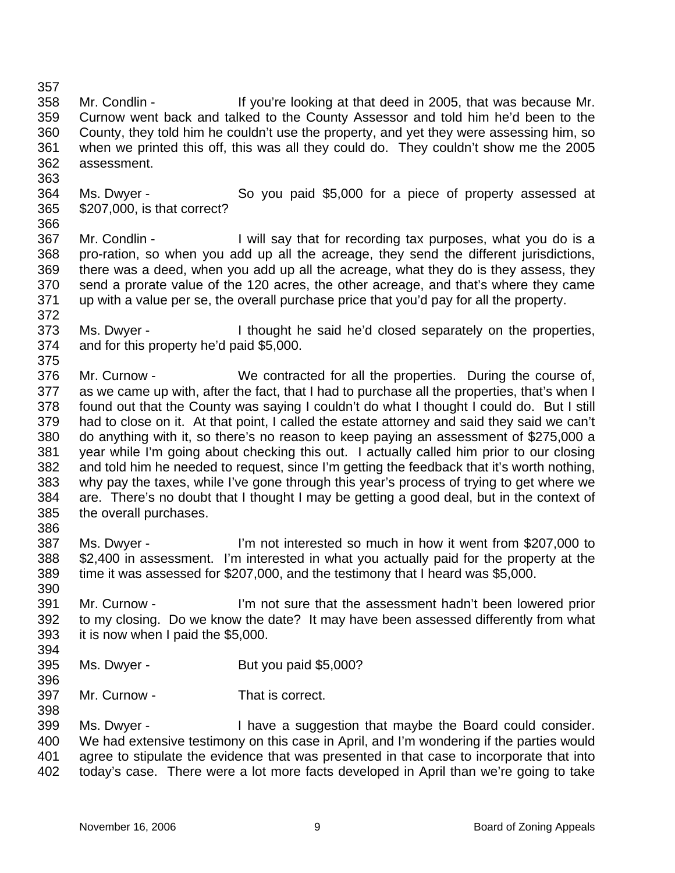357

363

366

372

390

394

396

- 358 359 360 361 362 Mr. Condlin - If you're looking at that deed in 2005, that was because Mr. Curnow went back and talked to the County Assessor and told him he'd been to the County, they told him he couldn't use the property, and yet they were assessing him, so when we printed this off, this was all they could do. They couldn't show me the 2005 assessment.
- 364 365 Ms. Dwyer - So you paid \$5,000 for a piece of property assessed at \$207,000, is that correct?
- 367 368 369 370 371 Mr. Condlin - The I will say that for recording tax purposes, what you do is a pro-ration, so when you add up all the acreage, they send the different jurisdictions, there was a deed, when you add up all the acreage, what they do is they assess, they send a prorate value of the 120 acres, the other acreage, and that's where they came up with a value per se, the overall purchase price that you'd pay for all the property.
- 373 374 375 Ms. Dwyer - I thought he said he'd closed separately on the properties, and for this property he'd paid \$5,000.
- 376 377 378 379 380 381 382 383 384 385 386 Mr. Curnow - We contracted for all the properties. During the course of, as we came up with, after the fact, that I had to purchase all the properties, that's when I found out that the County was saying I couldn't do what I thought I could do. But I still had to close on it. At that point, I called the estate attorney and said they said we can't do anything with it, so there's no reason to keep paying an assessment of \$275,000 a year while I'm going about checking this out. I actually called him prior to our closing and told him he needed to request, since I'm getting the feedback that it's worth nothing, why pay the taxes, while I've gone through this year's process of trying to get where we are. There's no doubt that I thought I may be getting a good deal, but in the context of the overall purchases.
- 387 388 389 Ms. Dwyer - I'm not interested so much in how it went from \$207,000 to \$2,400 in assessment. I'm interested in what you actually paid for the property at the time it was assessed for \$207,000, and the testimony that I heard was \$5,000.
- 391 392 393 Mr. Curnow - I'm not sure that the assessment hadn't been lowered prior to my closing. Do we know the date? It may have been assessed differently from what it is now when I paid the \$5,000.
- 395 Ms. Dwyer - But you paid \$5,000?
- 397 Mr. Curnow - That is correct.
- 399 400 401 402 Ms. Dwyer - Thave a suggestion that maybe the Board could consider. We had extensive testimony on this case in April, and I'm wondering if the parties would agree to stipulate the evidence that was presented in that case to incorporate that into today's case. There were a lot more facts developed in April than we're going to take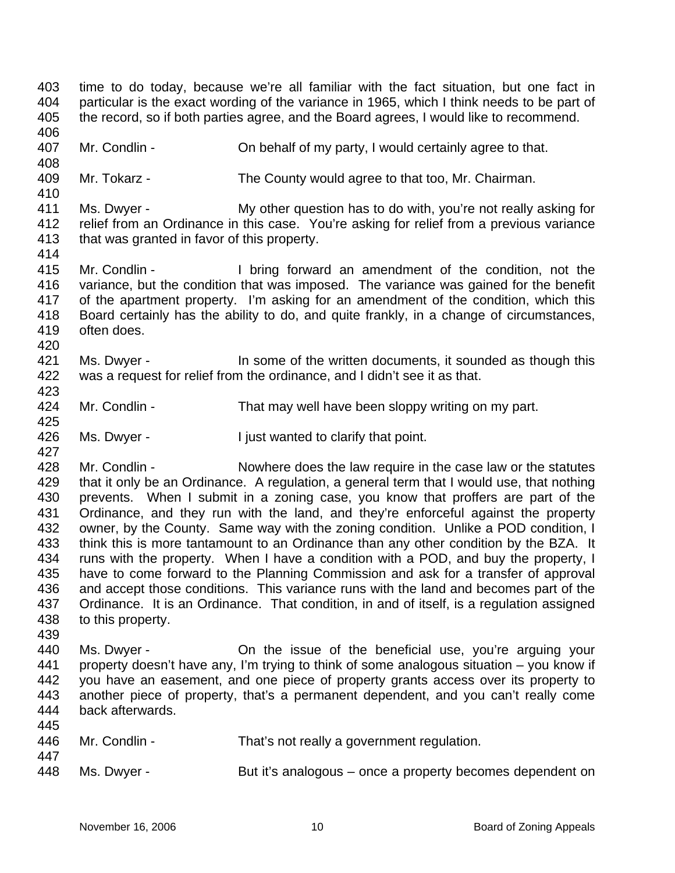403 404 405 406 407 408 409 410 411 412 413 414 415 416 417 418 419 420 421 422 423 424 425 426 427 428 429 430 431 432 433 434 435 436 437 438 439 440 441 442 443 444 445 446 447 448 time to do today, because we're all familiar with the fact situation, but one fact in particular is the exact wording of the variance in 1965, which I think needs to be part of the record, so if both parties agree, and the Board agrees, I would like to recommend. Mr. Condlin - Constant On behalf of my party, I would certainly agree to that. Mr. Tokarz - The County would agree to that too, Mr. Chairman. Ms. Dwyer - My other question has to do with, you're not really asking for relief from an Ordinance in this case. You're asking for relief from a previous variance that was granted in favor of this property. Mr. Condlin - I bring forward an amendment of the condition, not the variance, but the condition that was imposed. The variance was gained for the benefit of the apartment property. I'm asking for an amendment of the condition, which this Board certainly has the ability to do, and quite frankly, in a change of circumstances, often does. Ms. Dwyer - This in some of the written documents, it sounded as though this was a request for relief from the ordinance, and I didn't see it as that. Mr. Condlin - That may well have been sloppy writing on my part. Ms. Dwyer - I just wanted to clarify that point. Mr. Condlin - Nowhere does the law require in the case law or the statutes that it only be an Ordinance. A regulation, a general term that I would use, that nothing prevents. When I submit in a zoning case, you know that proffers are part of the Ordinance, and they run with the land, and they're enforceful against the property owner, by the County. Same way with the zoning condition. Unlike a POD condition, I think this is more tantamount to an Ordinance than any other condition by the BZA. It runs with the property. When I have a condition with a POD, and buy the property, I have to come forward to the Planning Commission and ask for a transfer of approval and accept those conditions. This variance runs with the land and becomes part of the Ordinance. It is an Ordinance. That condition, in and of itself, is a regulation assigned to this property. Ms. Dwyer - The issue of the beneficial use, you're arguing your property doesn't have any, I'm trying to think of some analogous situation – you know if you have an easement, and one piece of property grants access over its property to another piece of property, that's a permanent dependent, and you can't really come back afterwards. Mr. Condlin - That's not really a government regulation. Ms. Dwyer - But it's analogous – once a property becomes dependent on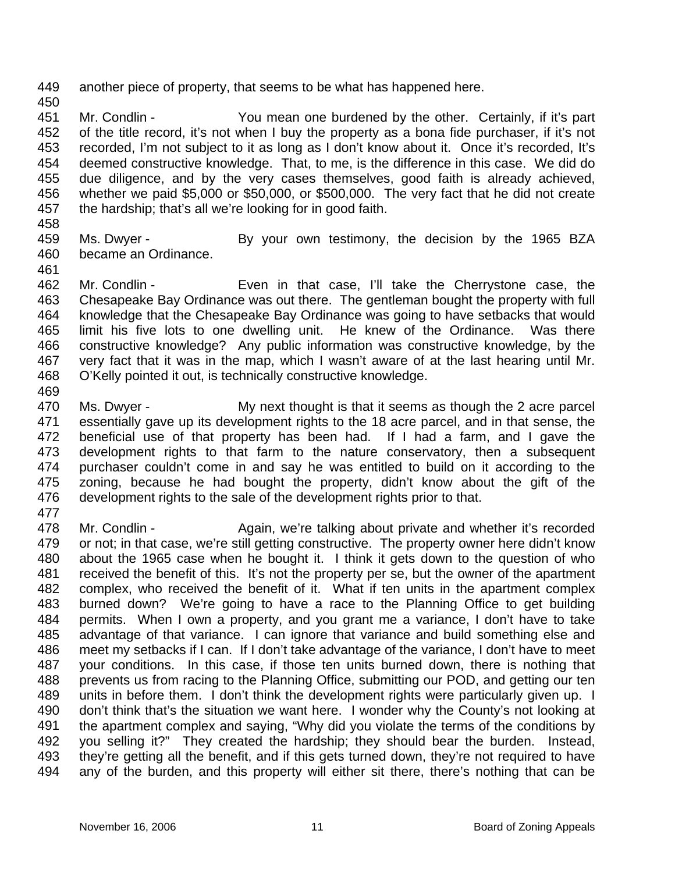449 another piece of property, that seems to be what has happened here.

451 452 453 454 455 456 457 Mr. Condlin - You mean one burdened by the other. Certainly, if it's part of the title record, it's not when I buy the property as a bona fide purchaser, if it's not recorded, I'm not subject to it as long as I don't know about it. Once it's recorded, It's deemed constructive knowledge. That, to me, is the difference in this case. We did do due diligence, and by the very cases themselves, good faith is already achieved, whether we paid \$5,000 or \$50,000, or \$500,000. The very fact that he did not create the hardship; that's all we're looking for in good faith.

458

450

- 459 460 Ms. Dwyer - By your own testimony, the decision by the 1965 BZA became an Ordinance.
- 461

462 463 464 465 466 467 468 Mr. Condlin - Even in that case, I'll take the Cherrystone case, the Chesapeake Bay Ordinance was out there. The gentleman bought the property with full knowledge that the Chesapeake Bay Ordinance was going to have setbacks that would limit his five lots to one dwelling unit. He knew of the Ordinance. Was there constructive knowledge? Any public information was constructive knowledge, by the very fact that it was in the map, which I wasn't aware of at the last hearing until Mr. O'Kelly pointed it out, is technically constructive knowledge.

469

470 471 472 473 474 475 476 Ms. Dwyer - My next thought is that it seems as though the 2 acre parcel essentially gave up its development rights to the 18 acre parcel, and in that sense, the beneficial use of that property has been had. If I had a farm, and I gave the development rights to that farm to the nature conservatory, then a subsequent purchaser couldn't come in and say he was entitled to build on it according to the zoning, because he had bought the property, didn't know about the gift of the development rights to the sale of the development rights prior to that.

477

478 479 480 481 482 483 484 485 486 487 488 489 490 491 492 493 494 Mr. Condlin - Again, we're talking about private and whether it's recorded or not; in that case, we're still getting constructive. The property owner here didn't know about the 1965 case when he bought it. I think it gets down to the question of who received the benefit of this. It's not the property per se, but the owner of the apartment complex, who received the benefit of it. What if ten units in the apartment complex burned down? We're going to have a race to the Planning Office to get building permits. When I own a property, and you grant me a variance, I don't have to take advantage of that variance. I can ignore that variance and build something else and meet my setbacks if I can. If I don't take advantage of the variance, I don't have to meet your conditions. In this case, if those ten units burned down, there is nothing that prevents us from racing to the Planning Office, submitting our POD, and getting our ten units in before them. I don't think the development rights were particularly given up. I don't think that's the situation we want here. I wonder why the County's not looking at the apartment complex and saying, "Why did you violate the terms of the conditions by you selling it?" They created the hardship; they should bear the burden. Instead, they're getting all the benefit, and if this gets turned down, they're not required to have any of the burden, and this property will either sit there, there's nothing that can be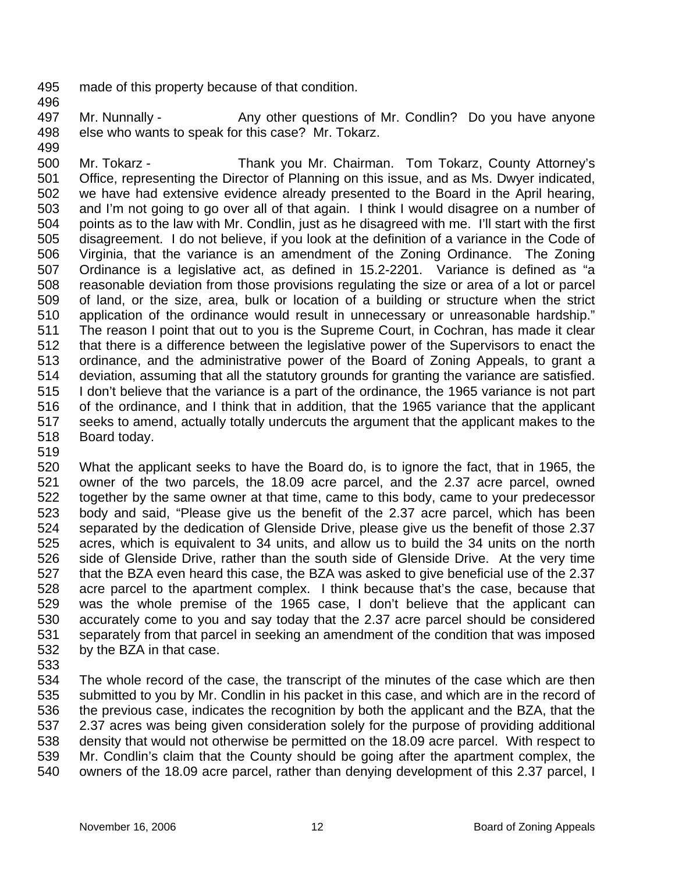- 495 made of this property because of that condition.
- 496

497 498 499 Mr. Nunnally - Any other questions of Mr. Condlin? Do you have anyone else who wants to speak for this case? Mr. Tokarz.

- 500 501 502 503 504 505 506 507 508 509 510 511 512 513 514 515 516 517 518 Mr. Tokarz - Thank you Mr. Chairman. Tom Tokarz, County Attorney's Office, representing the Director of Planning on this issue, and as Ms. Dwyer indicated, we have had extensive evidence already presented to the Board in the April hearing, and I'm not going to go over all of that again. I think I would disagree on a number of points as to the law with Mr. Condlin, just as he disagreed with me. I'll start with the first disagreement. I do not believe, if you look at the definition of a variance in the Code of Virginia, that the variance is an amendment of the Zoning Ordinance. The Zoning Ordinance is a legislative act, as defined in 15.2-2201. Variance is defined as "a reasonable deviation from those provisions regulating the size or area of a lot or parcel of land, or the size, area, bulk or location of a building or structure when the strict application of the ordinance would result in unnecessary or unreasonable hardship." The reason I point that out to you is the Supreme Court, in Cochran, has made it clear that there is a difference between the legislative power of the Supervisors to enact the ordinance, and the administrative power of the Board of Zoning Appeals, to grant a deviation, assuming that all the statutory grounds for granting the variance are satisfied. I don't believe that the variance is a part of the ordinance, the 1965 variance is not part of the ordinance, and I think that in addition, that the 1965 variance that the applicant seeks to amend, actually totally undercuts the argument that the applicant makes to the Board today.
- 519

520 521 522 523 524 525 526 527 528 529 530 531 532 What the applicant seeks to have the Board do, is to ignore the fact, that in 1965, the owner of the two parcels, the 18.09 acre parcel, and the 2.37 acre parcel, owned together by the same owner at that time, came to this body, came to your predecessor body and said, "Please give us the benefit of the 2.37 acre parcel, which has been separated by the dedication of Glenside Drive, please give us the benefit of those 2.37 acres, which is equivalent to 34 units, and allow us to build the 34 units on the north side of Glenside Drive, rather than the south side of Glenside Drive. At the very time that the BZA even heard this case, the BZA was asked to give beneficial use of the 2.37 acre parcel to the apartment complex. I think because that's the case, because that was the whole premise of the 1965 case, I don't believe that the applicant can accurately come to you and say today that the 2.37 acre parcel should be considered separately from that parcel in seeking an amendment of the condition that was imposed by the BZA in that case.

533

534 535 536 537 538 539 540 The whole record of the case, the transcript of the minutes of the case which are then submitted to you by Mr. Condlin in his packet in this case, and which are in the record of the previous case, indicates the recognition by both the applicant and the BZA, that the 2.37 acres was being given consideration solely for the purpose of providing additional density that would not otherwise be permitted on the 18.09 acre parcel. With respect to Mr. Condlin's claim that the County should be going after the apartment complex, the owners of the 18.09 acre parcel, rather than denying development of this 2.37 parcel, I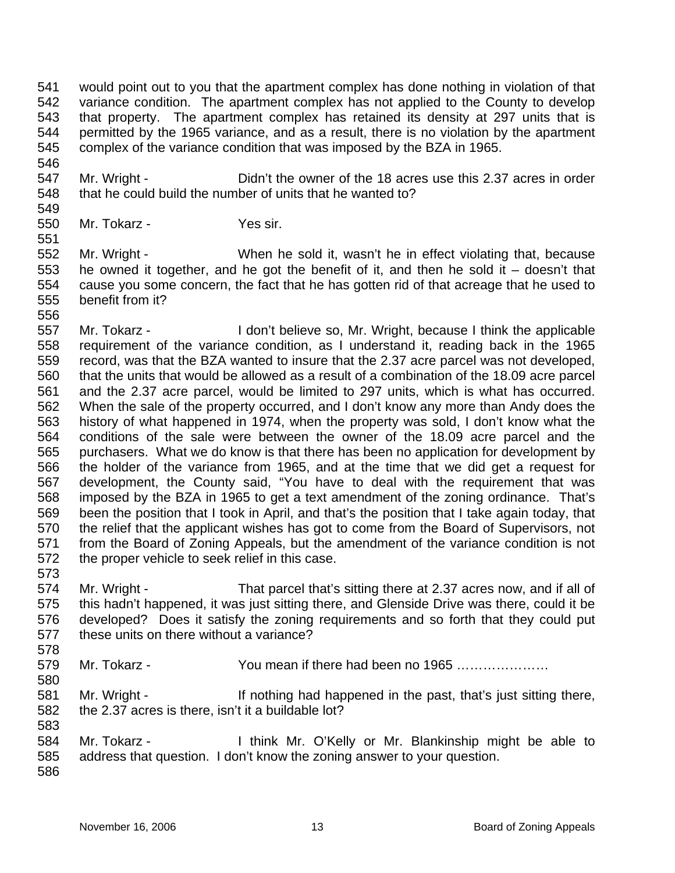541 542 543 544 545 would point out to you that the apartment complex has done nothing in violation of that variance condition. The apartment complex has not applied to the County to develop that property. The apartment complex has retained its density at 297 units that is permitted by the 1965 variance, and as a result, there is no violation by the apartment complex of the variance condition that was imposed by the BZA in 1965.

547 548 Mr. Wright - Didn't the owner of the 18 acres use this 2.37 acres in order that he could build the number of units that he wanted to?

550 Mr. Tokarz - Yes sir.

551 552 553 554 555 Mr. Wright - When he sold it, wasn't he in effect violating that, because he owned it together, and he got the benefit of it, and then he sold it  $-$  doesn't that cause you some concern, the fact that he has gotten rid of that acreage that he used to benefit from it?

556 557 558 559 560 561 562 563 564 565 566 567 568 569 570 571 572 Mr. Tokarz - I don't believe so, Mr. Wright, because I think the applicable requirement of the variance condition, as I understand it, reading back in the 1965 record, was that the BZA wanted to insure that the 2.37 acre parcel was not developed, that the units that would be allowed as a result of a combination of the 18.09 acre parcel and the 2.37 acre parcel, would be limited to 297 units, which is what has occurred. When the sale of the property occurred, and I don't know any more than Andy does the history of what happened in 1974, when the property was sold, I don't know what the conditions of the sale were between the owner of the 18.09 acre parcel and the purchasers. What we do know is that there has been no application for development by the holder of the variance from 1965, and at the time that we did get a request for development, the County said, "You have to deal with the requirement that was imposed by the BZA in 1965 to get a text amendment of the zoning ordinance. That's been the position that I took in April, and that's the position that I take again today, that the relief that the applicant wishes has got to come from the Board of Supervisors, not from the Board of Zoning Appeals, but the amendment of the variance condition is not the proper vehicle to seek relief in this case.

573

580

583

546

549

574 575 576 577 578 Mr. Wright - That parcel that's sitting there at 2.37 acres now, and if all of this hadn't happened, it was just sitting there, and Glenside Drive was there, could it be developed? Does it satisfy the zoning requirements and so forth that they could put these units on there without a variance?

579 Mr. Tokarz - You mean if there had been no 1965 …………………

581 582 Mr. Wright - If nothing had happened in the past, that's just sitting there, the 2.37 acres is there, isn't it a buildable lot?

584 585 586 Mr. Tokarz - I think Mr. O'Kelly or Mr. Blankinship might be able to address that question. I don't know the zoning answer to your question.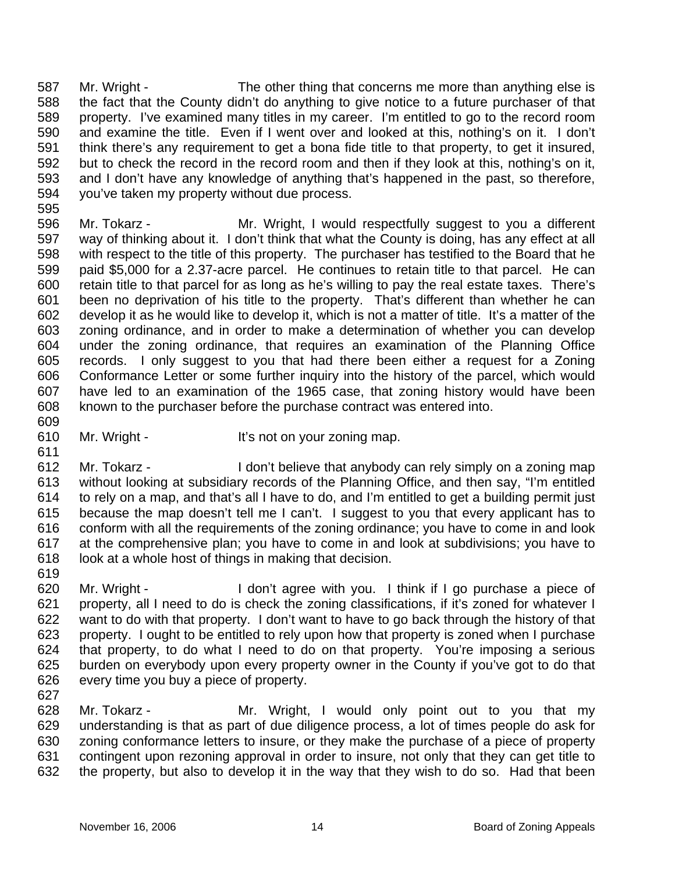587 588 589 590 591 592 593 594 Mr. Wright - The other thing that concerns me more than anything else is the fact that the County didn't do anything to give notice to a future purchaser of that property. I've examined many titles in my career. I'm entitled to go to the record room and examine the title. Even if I went over and looked at this, nothing's on it. I don't think there's any requirement to get a bona fide title to that property, to get it insured, but to check the record in the record room and then if they look at this, nothing's on it, and I don't have any knowledge of anything that's happened in the past, so therefore, you've taken my property without due process.

595

596 597 598 599 600 601 602 603 604 605 606 607 608 Mr. Tokarz - **Mr. Wright, I would respectfully suggest to you a different** way of thinking about it. I don't think that what the County is doing, has any effect at all with respect to the title of this property. The purchaser has testified to the Board that he paid \$5,000 for a 2.37-acre parcel. He continues to retain title to that parcel. He can retain title to that parcel for as long as he's willing to pay the real estate taxes. There's been no deprivation of his title to the property. That's different than whether he can develop it as he would like to develop it, which is not a matter of title. It's a matter of the zoning ordinance, and in order to make a determination of whether you can develop under the zoning ordinance, that requires an examination of the Planning Office records. I only suggest to you that had there been either a request for a Zoning Conformance Letter or some further inquiry into the history of the parcel, which would have led to an examination of the 1965 case, that zoning history would have been known to the purchaser before the purchase contract was entered into.

609 610

611

- Mr. Wright It's not on your zoning map.
- 612 613 614 615 616 617 618 Mr. Tokarz - I don't believe that anybody can rely simply on a zoning map without looking at subsidiary records of the Planning Office, and then say, "I'm entitled to rely on a map, and that's all I have to do, and I'm entitled to get a building permit just because the map doesn't tell me I can't. I suggest to you that every applicant has to conform with all the requirements of the zoning ordinance; you have to come in and look at the comprehensive plan; you have to come in and look at subdivisions; you have to look at a whole host of things in making that decision.
- 619

620 621 622 623 624 625 626 Mr. Wright - I don't agree with you. I think if I go purchase a piece of property, all I need to do is check the zoning classifications, if it's zoned for whatever I want to do with that property. I don't want to have to go back through the history of that property. I ought to be entitled to rely upon how that property is zoned when I purchase that property, to do what I need to do on that property. You're imposing a serious burden on everybody upon every property owner in the County if you've got to do that every time you buy a piece of property.

627

628 629 630 631 632 Mr. Tokarz - The Mr. Wright, I would only point out to you that my understanding is that as part of due diligence process, a lot of times people do ask for zoning conformance letters to insure, or they make the purchase of a piece of property contingent upon rezoning approval in order to insure, not only that they can get title to the property, but also to develop it in the way that they wish to do so. Had that been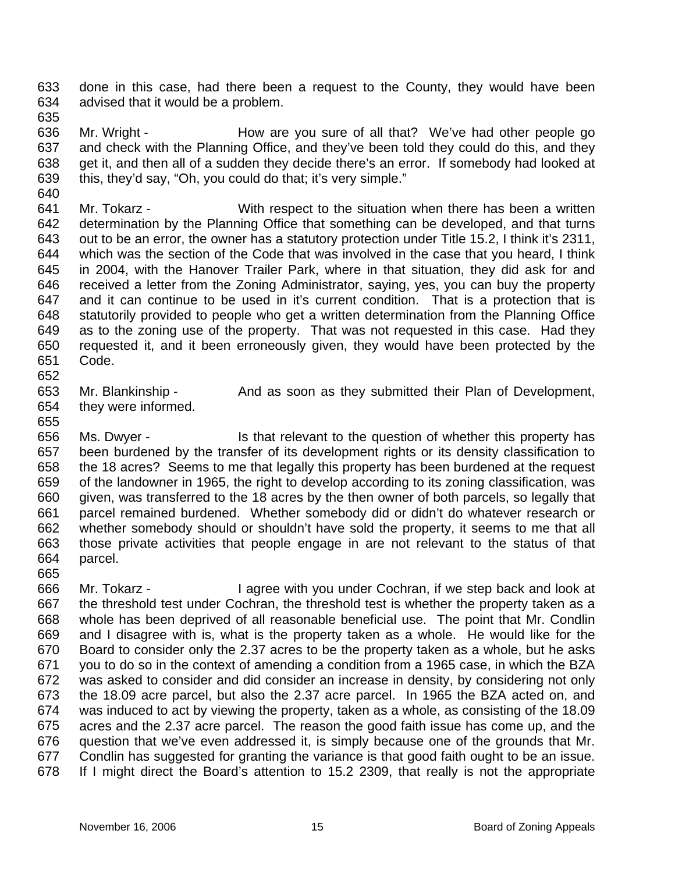633 634 done in this case, had there been a request to the County, they would have been advised that it would be a problem.

635

640

636 637 638 639 Mr. Wright - The How are you sure of all that? We've had other people go and check with the Planning Office, and they've been told they could do this, and they get it, and then all of a sudden they decide there's an error. If somebody had looked at this, they'd say, "Oh, you could do that; it's very simple."

- 641 642 643 644 645 646 647 648 649 650 651 Mr. Tokarz - With respect to the situation when there has been a written determination by the Planning Office that something can be developed, and that turns out to be an error, the owner has a statutory protection under Title 15.2, I think it's 2311, which was the section of the Code that was involved in the case that you heard, I think in 2004, with the Hanover Trailer Park, where in that situation, they did ask for and received a letter from the Zoning Administrator, saying, yes, you can buy the property and it can continue to be used in it's current condition. That is a protection that is statutorily provided to people who get a written determination from the Planning Office as to the zoning use of the property. That was not requested in this case. Had they requested it, and it been erroneously given, they would have been protected by the Code.
- 652

655

653 654 Mr. Blankinship - And as soon as they submitted their Plan of Development, they were informed.

- 656 657 658 659 660 661 662 663 664 Ms. Dwyer - Is that relevant to the question of whether this property has been burdened by the transfer of its development rights or its density classification to the 18 acres? Seems to me that legally this property has been burdened at the request of the landowner in 1965, the right to develop according to its zoning classification, was given, was transferred to the 18 acres by the then owner of both parcels, so legally that parcel remained burdened. Whether somebody did or didn't do whatever research or whether somebody should or shouldn't have sold the property, it seems to me that all those private activities that people engage in are not relevant to the status of that parcel.
- 665 666 667 668 669 670 671 672 673 674 675 676 677 678 Mr. Tokarz - I agree with you under Cochran, if we step back and look at the threshold test under Cochran, the threshold test is whether the property taken as a whole has been deprived of all reasonable beneficial use. The point that Mr. Condlin and I disagree with is, what is the property taken as a whole. He would like for the Board to consider only the 2.37 acres to be the property taken as a whole, but he asks you to do so in the context of amending a condition from a 1965 case, in which the BZA was asked to consider and did consider an increase in density, by considering not only the 18.09 acre parcel, but also the 2.37 acre parcel. In 1965 the BZA acted on, and was induced to act by viewing the property, taken as a whole, as consisting of the 18.09 acres and the 2.37 acre parcel. The reason the good faith issue has come up, and the question that we've even addressed it, is simply because one of the grounds that Mr. Condlin has suggested for granting the variance is that good faith ought to be an issue. If I might direct the Board's attention to 15.2 2309, that really is not the appropriate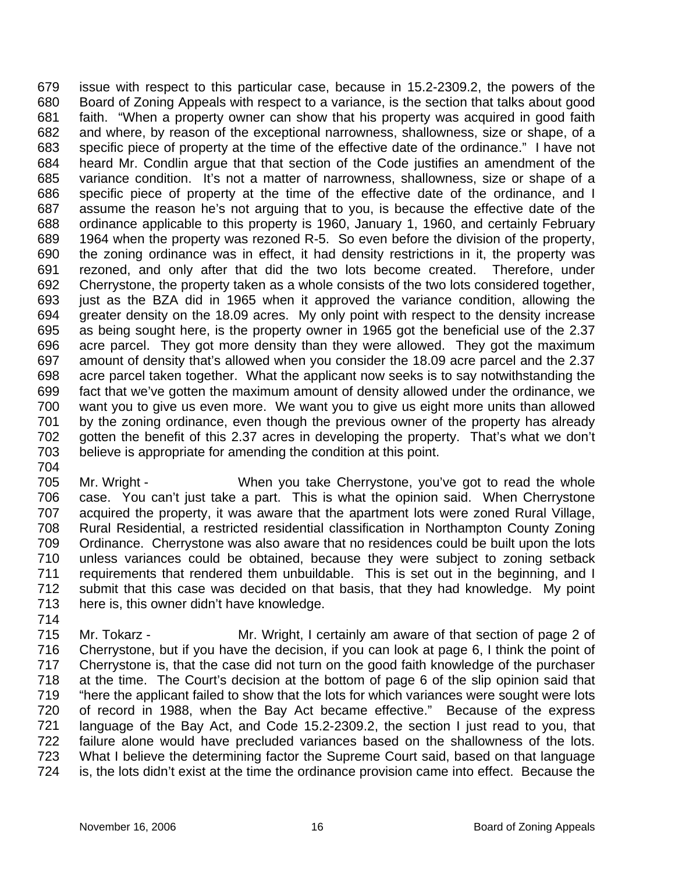679 680 681 682 683 684 685 686 687 688 689 690 691 692 693 694 695 696 697 698 699 700 701 702 703 issue with respect to this particular case, because in 15.2-2309.2, the powers of the Board of Zoning Appeals with respect to a variance, is the section that talks about good faith. "When a property owner can show that his property was acquired in good faith and where, by reason of the exceptional narrowness, shallowness, size or shape, of a specific piece of property at the time of the effective date of the ordinance." I have not heard Mr. Condlin argue that that section of the Code justifies an amendment of the variance condition. It's not a matter of narrowness, shallowness, size or shape of a specific piece of property at the time of the effective date of the ordinance, and I assume the reason he's not arguing that to you, is because the effective date of the ordinance applicable to this property is 1960, January 1, 1960, and certainly February 1964 when the property was rezoned R-5. So even before the division of the property, the zoning ordinance was in effect, it had density restrictions in it, the property was rezoned, and only after that did the two lots become created. Therefore, under Cherrystone, the property taken as a whole consists of the two lots considered together, just as the BZA did in 1965 when it approved the variance condition, allowing the greater density on the 18.09 acres. My only point with respect to the density increase as being sought here, is the property owner in 1965 got the beneficial use of the 2.37 acre parcel. They got more density than they were allowed. They got the maximum amount of density that's allowed when you consider the 18.09 acre parcel and the 2.37 acre parcel taken together. What the applicant now seeks is to say notwithstanding the fact that we've gotten the maximum amount of density allowed under the ordinance, we want you to give us even more. We want you to give us eight more units than allowed by the zoning ordinance, even though the previous owner of the property has already gotten the benefit of this 2.37 acres in developing the property. That's what we don't believe is appropriate for amending the condition at this point.

704

714

705 706 707 708 709 710 711 712 713 Mr. Wright - When you take Cherrystone, you've got to read the whole case. You can't just take a part. This is what the opinion said. When Cherrystone acquired the property, it was aware that the apartment lots were zoned Rural Village, Rural Residential, a restricted residential classification in Northampton County Zoning Ordinance. Cherrystone was also aware that no residences could be built upon the lots unless variances could be obtained, because they were subject to zoning setback requirements that rendered them unbuildable. This is set out in the beginning, and I submit that this case was decided on that basis, that they had knowledge. My point here is, this owner didn't have knowledge.

715 716 717 718 719 720 721 722 723 724 Mr. Tokarz - **Mr. Wright, I certainly am aware of that section of page 2 of** Cherrystone, but if you have the decision, if you can look at page 6, I think the point of Cherrystone is, that the case did not turn on the good faith knowledge of the purchaser at the time. The Court's decision at the bottom of page 6 of the slip opinion said that "here the applicant failed to show that the lots for which variances were sought were lots of record in 1988, when the Bay Act became effective." Because of the express language of the Bay Act, and Code 15.2-2309.2, the section I just read to you, that failure alone would have precluded variances based on the shallowness of the lots. What I believe the determining factor the Supreme Court said, based on that language is, the lots didn't exist at the time the ordinance provision came into effect. Because the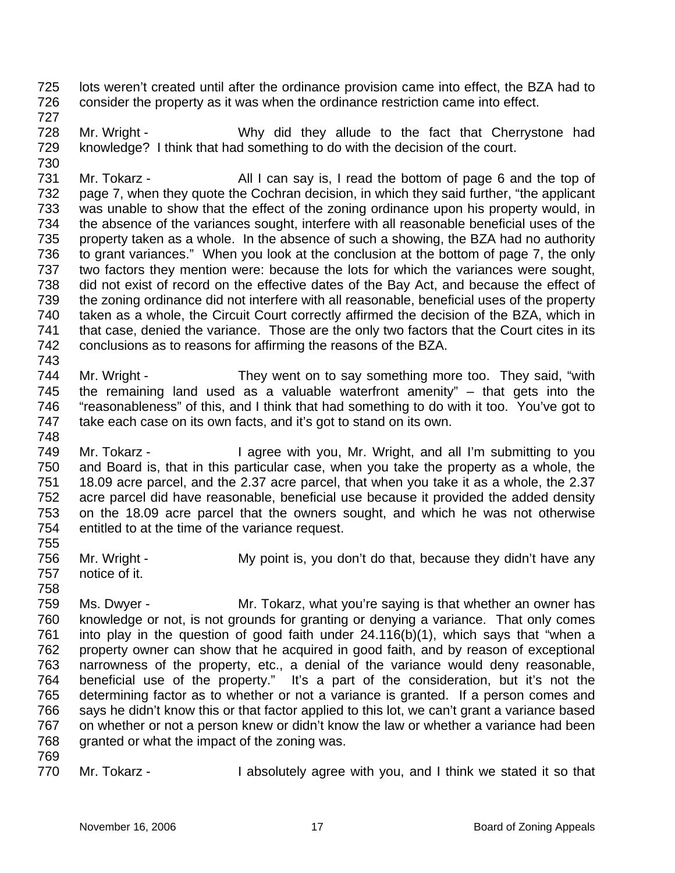725 726 lots weren't created until after the ordinance provision came into effect, the BZA had to consider the property as it was when the ordinance restriction came into effect.

727

728 729 730 Mr. Wright - Why did they allude to the fact that Cherrystone had knowledge? I think that had something to do with the decision of the court.

731 732 733 734 735 736 737 738 739 740 741 742 743 Mr. Tokarz - All I can say is, I read the bottom of page 6 and the top of page 7, when they quote the Cochran decision, in which they said further, "the applicant was unable to show that the effect of the zoning ordinance upon his property would, in the absence of the variances sought, interfere with all reasonable beneficial uses of the property taken as a whole. In the absence of such a showing, the BZA had no authority to grant variances." When you look at the conclusion at the bottom of page 7, the only two factors they mention were: because the lots for which the variances were sought, did not exist of record on the effective dates of the Bay Act, and because the effect of the zoning ordinance did not interfere with all reasonable, beneficial uses of the property taken as a whole, the Circuit Court correctly affirmed the decision of the BZA, which in that case, denied the variance. Those are the only two factors that the Court cites in its conclusions as to reasons for affirming the reasons of the BZA.

744 745 746 747 748 Mr. Wright - They went on to say something more too. They said, "with the remaining land used as a valuable waterfront amenity" – that gets into the "reasonableness" of this, and I think that had something to do with it too. You've got to take each case on its own facts, and it's got to stand on its own.

749 750 751 752 753 754 Mr. Tokarz - I agree with you, Mr. Wright, and all I'm submitting to you and Board is, that in this particular case, when you take the property as a whole, the 18.09 acre parcel, and the 2.37 acre parcel, that when you take it as a whole, the 2.37 acre parcel did have reasonable, beneficial use because it provided the added density on the 18.09 acre parcel that the owners sought, and which he was not otherwise entitled to at the time of the variance request.

756 757 Mr. Wright - My point is, you don't do that, because they didn't have any notice of it.

758

755

759 760 761 762 763 764 765 766 767 768 Ms. Dwyer - Mr. Tokarz, what you're saying is that whether an owner has knowledge or not, is not grounds for granting or denying a variance. That only comes into play in the question of good faith under 24.116(b)(1), which says that "when a property owner can show that he acquired in good faith, and by reason of exceptional narrowness of the property, etc., a denial of the variance would deny reasonable, beneficial use of the property." It's a part of the consideration, but it's not the determining factor as to whether or not a variance is granted. If a person comes and says he didn't know this or that factor applied to this lot, we can't grant a variance based on whether or not a person knew or didn't know the law or whether a variance had been granted or what the impact of the zoning was.

769

770 Mr. Tokarz - I absolutely agree with you, and I think we stated it so that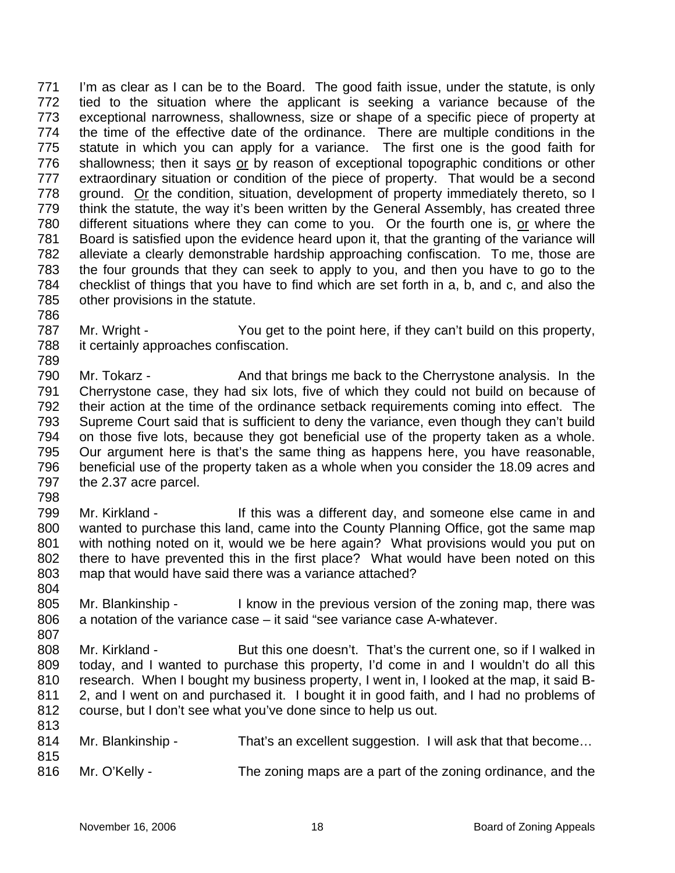I'm as clear as I can be to the Board. The good faith issue, under the statute, is only tied to the situation where the applicant is seeking a variance because of the exceptional narrowness, shallowness, size or shape of a specific piece of property at the time of the effective date of the ordinance. There are multiple conditions in the statute in which you can apply for a variance. The first one is the good faith for shallowness; then it says or by reason of exceptional topographic conditions or other 771 772 773 774 775 extraordinary situation or condition of the piece of property. That would be a second ground. Or the condition, situation, development of property immediately thereto, so I 776 777 think the statute, the way it's been written by the General Assembly, has created three different situations where they can come to you. Or the fourth one is, or where the 778 779 Board is satisfied upon the evidence heard upon it, that the granting of the variance will alleviate a clearly demonstrable hardship approaching confiscation. To me, those are the four grounds that they can seek to apply to you, and then you have to go to the checklist of things that you have to find which are set forth in a, b, and c, and also the other provisions in the statute. 780 781 782 783 784 785

786 787

Mr. Wright - You get to the point here, if they can't build on this property, it certainly approaches confiscation.

- 790 791 792 793 794 795 796 797 Mr. Tokarz - And that brings me back to the Cherrystone analysis. In the Cherrystone case, they had six lots, five of which they could not build on because of their action at the time of the ordinance setback requirements coming into effect. The Supreme Court said that is sufficient to deny the variance, even though they can't build on those five lots, because they got beneficial use of the property taken as a whole. Our argument here is that's the same thing as happens here, you have reasonable, beneficial use of the property taken as a whole when you consider the 18.09 acres and the 2.37 acre parcel.
- 798

804

807

- 799 800 801 802 803 Mr. Kirkland - This was a different day, and someone else came in and wanted to purchase this land, came into the County Planning Office, got the same map with nothing noted on it, would we be here again? What provisions would you put on there to have prevented this in the first place? What would have been noted on this map that would have said there was a variance attached?
- 805 806 Mr. Blankinship - I know in the previous version of the zoning map, there was a notation of the variance case – it said "see variance case A-whatever.
- 808 809 810 811 812 Mr. Kirkland - But this one doesn't. That's the current one, so if I walked in today, and I wanted to purchase this property, I'd come in and I wouldn't do all this research. When I bought my business property, I went in, I looked at the map, it said B-2, and I went on and purchased it. I bought it in good faith, and I had no problems of course, but I don't see what you've done since to help us out.
- 813 814 815 816 Mr. Blankinship - That's an excellent suggestion. I will ask that that become... Mr. O'Kelly - The zoning maps are a part of the zoning ordinance, and the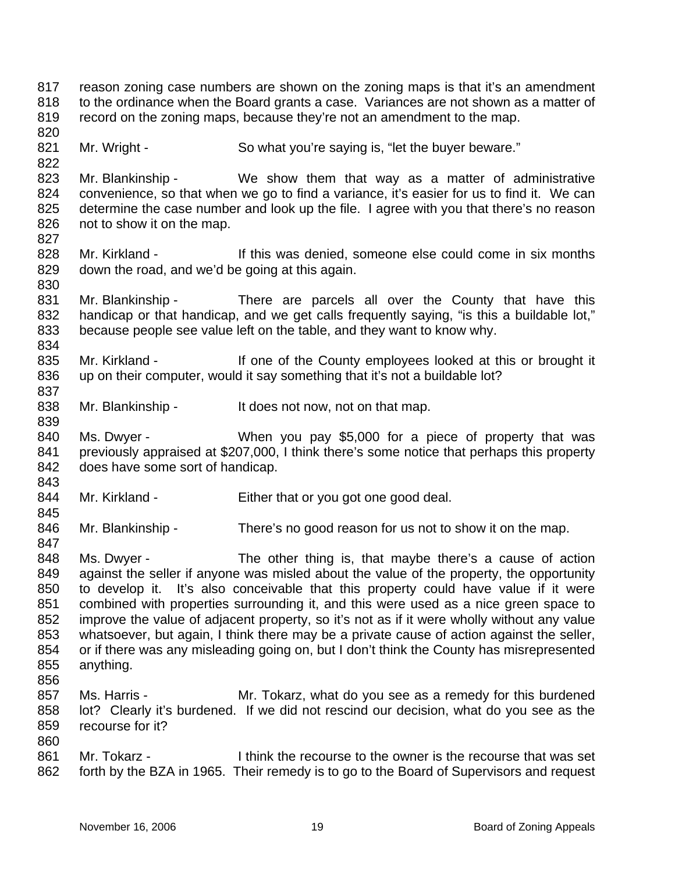817 818 819 820 821 822 823 824 825 826 827 828 829 830 831 832 833 834 835 836 837 838 839 840 841 842 843 844 845 846 847 848 849 850 851 852 853 854 855 856 857 858 859 860 861 862 reason zoning case numbers are shown on the zoning maps is that it's an amendment to the ordinance when the Board grants a case. Variances are not shown as a matter of record on the zoning maps, because they're not an amendment to the map. Mr. Wright - So what you're saying is, "let the buyer beware." Mr. Blankinship - We show them that way as a matter of administrative convenience, so that when we go to find a variance, it's easier for us to find it. We can determine the case number and look up the file. I agree with you that there's no reason not to show it on the map. Mr. Kirkland - If this was denied, someone else could come in six months down the road, and we'd be going at this again. Mr. Blankinship - There are parcels all over the County that have this handicap or that handicap, and we get calls frequently saying, "is this a buildable lot," because people see value left on the table, and they want to know why. Mr. Kirkland - If one of the County employees looked at this or brought it up on their computer, would it say something that it's not a buildable lot? Mr. Blankinship - It does not now, not on that map. Ms. Dwyer - When you pay \$5,000 for a piece of property that was previously appraised at \$207,000, I think there's some notice that perhaps this property does have some sort of handicap. Mr. Kirkland - Either that or you got one good deal. Mr. Blankinship - There's no good reason for us not to show it on the map. Ms. Dwyer - The other thing is, that maybe there's a cause of action against the seller if anyone was misled about the value of the property, the opportunity to develop it. It's also conceivable that this property could have value if it were combined with properties surrounding it, and this were used as a nice green space to improve the value of adjacent property, so it's not as if it were wholly without any value whatsoever, but again, I think there may be a private cause of action against the seller, or if there was any misleading going on, but I don't think the County has misrepresented anything. Ms. Harris - Mr. Tokarz, what do you see as a remedy for this burdened lot? Clearly it's burdened. If we did not rescind our decision, what do you see as the recourse for it? Mr. Tokarz - I think the recourse to the owner is the recourse that was set forth by the BZA in 1965. Their remedy is to go to the Board of Supervisors and request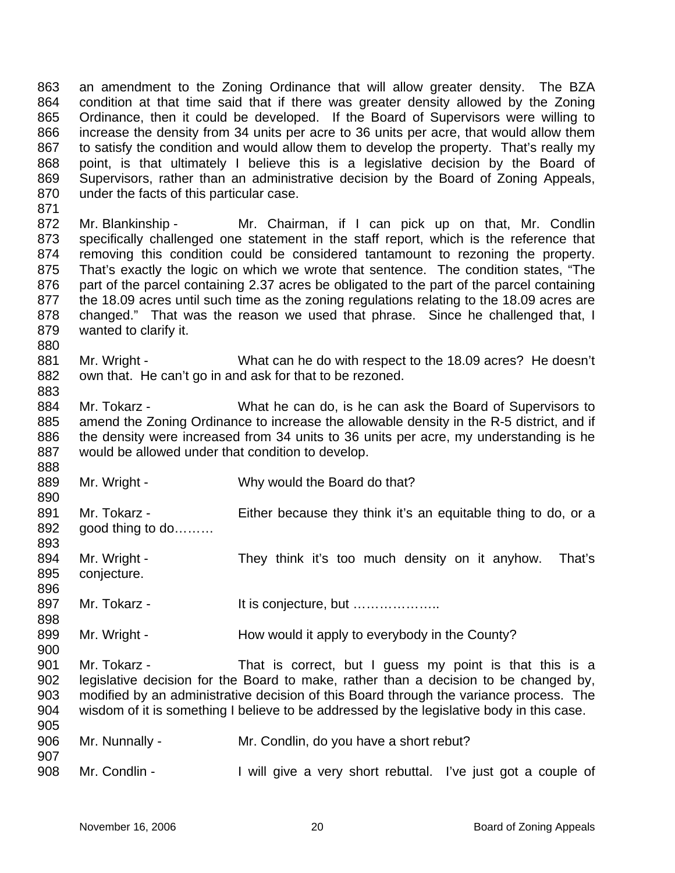863 864 865 866 867 868 869 870 an amendment to the Zoning Ordinance that will allow greater density. The BZA condition at that time said that if there was greater density allowed by the Zoning Ordinance, then it could be developed. If the Board of Supervisors were willing to increase the density from 34 units per acre to 36 units per acre, that would allow them to satisfy the condition and would allow them to develop the property. That's really my point, is that ultimately I believe this is a legislative decision by the Board of Supervisors, rather than an administrative decision by the Board of Zoning Appeals, under the facts of this particular case.

872 873 874 875 876 877 878 879 Mr. Blankinship - Mr. Chairman, if I can pick up on that, Mr. Condlin specifically challenged one statement in the staff report, which is the reference that removing this condition could be considered tantamount to rezoning the property. That's exactly the logic on which we wrote that sentence. The condition states, "The part of the parcel containing 2.37 acres be obligated to the part of the parcel containing the 18.09 acres until such time as the zoning regulations relating to the 18.09 acres are changed." That was the reason we used that phrase. Since he challenged that, I wanted to clarify it.

- 881 882 Mr. Wright - What can he do with respect to the 18.09 acres? He doesn't own that. He can't go in and ask for that to be rezoned.
- 884 885 886 887 Mr. Tokarz - What he can do, is he can ask the Board of Supervisors to amend the Zoning Ordinance to increase the allowable density in the R-5 district, and if the density were increased from 34 units to 36 units per acre, my understanding is he would be allowed under that condition to develop.
- 889 Mr. Wright - Why would the Board do that?
- 891 892 Mr. Tokarz - Either because they think it's an equitable thing to do, or a good thing to do………
- 893 894 895 896 Mr. Wright - They think it's too much density on it anyhow. That's conjecture.
- 897 Mr. Tokarz - It is conjecture, but ………………..
- 899 Mr. Wright - **How would it apply to everybody in the County?**
- 901 902 903 904 Mr. Tokarz - That is correct, but I guess my point is that this is a legislative decision for the Board to make, rather than a decision to be changed by, modified by an administrative decision of this Board through the variance process. The wisdom of it is something I believe to be addressed by the legislative body in this case.
- 905 906 907 908 Mr. Nunnally - Mr. Condlin, do you have a short rebut? Mr. Condlin - I will give a very short rebuttal. I've just got a couple of

871

880

883

888

890

898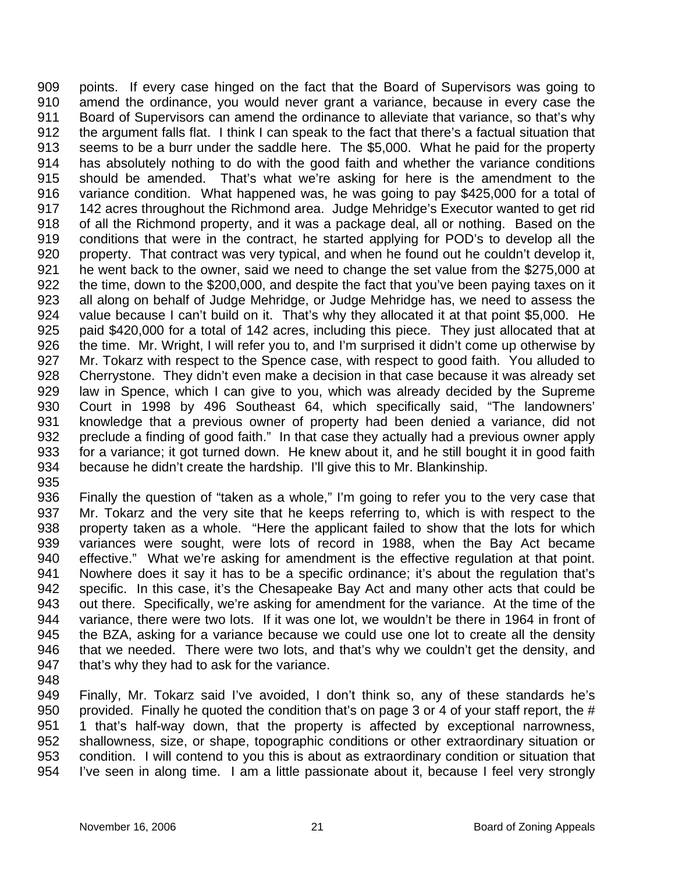909 910 911 912 913 914 915 916 917 918 919 920 921 922 923 924 925 926 927 928 929 930 931 932 933 934 points. If every case hinged on the fact that the Board of Supervisors was going to amend the ordinance, you would never grant a variance, because in every case the Board of Supervisors can amend the ordinance to alleviate that variance, so that's why the argument falls flat. I think I can speak to the fact that there's a factual situation that seems to be a burr under the saddle here. The \$5,000. What he paid for the property has absolutely nothing to do with the good faith and whether the variance conditions should be amended. That's what we're asking for here is the amendment to the variance condition. What happened was, he was going to pay \$425,000 for a total of 142 acres throughout the Richmond area. Judge Mehridge's Executor wanted to get rid of all the Richmond property, and it was a package deal, all or nothing. Based on the conditions that were in the contract, he started applying for POD's to develop all the property. That contract was very typical, and when he found out he couldn't develop it, he went back to the owner, said we need to change the set value from the \$275,000 at the time, down to the \$200,000, and despite the fact that you've been paying taxes on it all along on behalf of Judge Mehridge, or Judge Mehridge has, we need to assess the value because I can't build on it. That's why they allocated it at that point \$5,000. He paid \$420,000 for a total of 142 acres, including this piece. They just allocated that at the time. Mr. Wright, I will refer you to, and I'm surprised it didn't come up otherwise by Mr. Tokarz with respect to the Spence case, with respect to good faith. You alluded to Cherrystone. They didn't even make a decision in that case because it was already set law in Spence, which I can give to you, which was already decided by the Supreme Court in 1998 by 496 Southeast 64, which specifically said, "The landowners' knowledge that a previous owner of property had been denied a variance, did not preclude a finding of good faith." In that case they actually had a previous owner apply for a variance; it got turned down. He knew about it, and he still bought it in good faith because he didn't create the hardship. I'll give this to Mr. Blankinship.

935

936 937 938 939 940 941 942 943 944 945 946 947 Finally the question of "taken as a whole," I'm going to refer you to the very case that Mr. Tokarz and the very site that he keeps referring to, which is with respect to the property taken as a whole. "Here the applicant failed to show that the lots for which variances were sought, were lots of record in 1988, when the Bay Act became effective." What we're asking for amendment is the effective regulation at that point. Nowhere does it say it has to be a specific ordinance; it's about the regulation that's specific. In this case, it's the Chesapeake Bay Act and many other acts that could be out there. Specifically, we're asking for amendment for the variance. At the time of the variance, there were two lots. If it was one lot, we wouldn't be there in 1964 in front of the BZA, asking for a variance because we could use one lot to create all the density that we needed. There were two lots, and that's why we couldn't get the density, and that's why they had to ask for the variance.

948

949 950 951 952 953 954 Finally, Mr. Tokarz said I've avoided, I don't think so, any of these standards he's provided. Finally he quoted the condition that's on page 3 or 4 of your staff report, the # 1 that's half-way down, that the property is affected by exceptional narrowness, shallowness, size, or shape, topographic conditions or other extraordinary situation or condition. I will contend to you this is about as extraordinary condition or situation that I've seen in along time. I am a little passionate about it, because I feel very strongly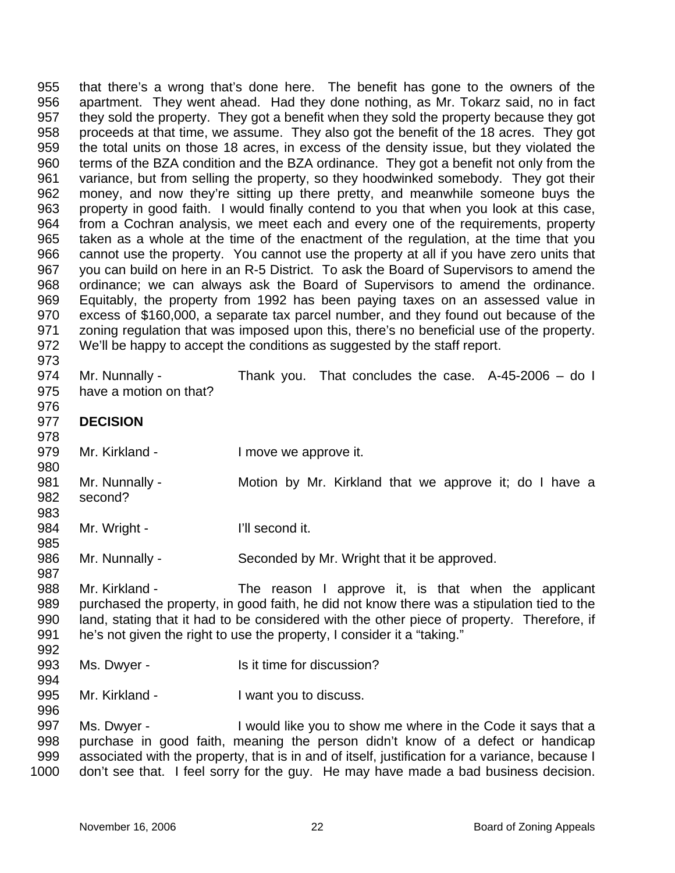955 956 957 958 959 960 961 962 963 964 965 966 967 968 969 970 971 972 973 that there's a wrong that's done here. The benefit has gone to the owners of the apartment. They went ahead. Had they done nothing, as Mr. Tokarz said, no in fact they sold the property. They got a benefit when they sold the property because they got proceeds at that time, we assume. They also got the benefit of the 18 acres. They got the total units on those 18 acres, in excess of the density issue, but they violated the terms of the BZA condition and the BZA ordinance. They got a benefit not only from the variance, but from selling the property, so they hoodwinked somebody. They got their money, and now they're sitting up there pretty, and meanwhile someone buys the property in good faith. I would finally contend to you that when you look at this case, from a Cochran analysis, we meet each and every one of the requirements, property taken as a whole at the time of the enactment of the regulation, at the time that you cannot use the property. You cannot use the property at all if you have zero units that you can build on here in an R-5 District. To ask the Board of Supervisors to amend the ordinance; we can always ask the Board of Supervisors to amend the ordinance. Equitably, the property from 1992 has been paying taxes on an assessed value in excess of \$160,000, a separate tax parcel number, and they found out because of the zoning regulation that was imposed upon this, there's no beneficial use of the property. We'll be happy to accept the conditions as suggested by the staff report.

- 974 975 Mr. Nunnally - Thank you. That concludes the case. A-45-2006 - do I have a motion on that?
- 977 **DECISION**

976

978

985

992

- 979 Mr. Kirkland - The University of the Imove we approve it.
- 980 981 982 983 Mr. Nunnally - Motion by Mr. Kirkland that we approve it; do I have a second?
- 984 Mr. Wright - I'll second it.
- 986 Mr. Nunnally - Seconded by Mr. Wright that it be approved.
- 987 988 989 990 991 Mr. Kirkland - The reason I approve it, is that when the applicant purchased the property, in good faith, he did not know there was a stipulation tied to the land, stating that it had to be considered with the other piece of property. Therefore, if he's not given the right to use the property, I consider it a "taking."
- 993 Ms. Dwyer - Is it time for discussion?
- 994 995 Mr. Kirkland - Twant you to discuss.
- 997 998 999 1000 Ms. Dwyer - I would like you to show me where in the Code it says that a purchase in good faith, meaning the person didn't know of a defect or handicap associated with the property, that is in and of itself, justification for a variance, because I don't see that. I feel sorry for the guy. He may have made a bad business decision.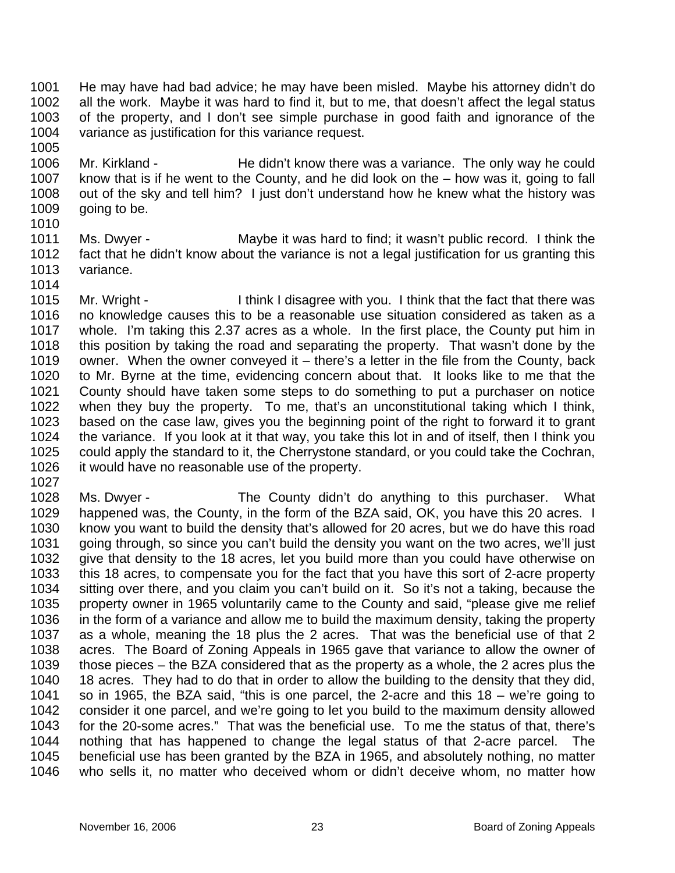1001 1002 1003 1004 1005 He may have had bad advice; he may have been misled. Maybe his attorney didn't do all the work. Maybe it was hard to find it, but to me, that doesn't affect the legal status of the property, and I don't see simple purchase in good faith and ignorance of the variance as justification for this variance request.

- 1006 1007 1008 1009 Mr. Kirkland - He didn't know there was a variance. The only way he could know that is if he went to the County, and he did look on the – how was it, going to fall out of the sky and tell him? I just don't understand how he knew what the history was going to be.
- 1011 1012 1013 1014 Ms. Dwyer - Maybe it was hard to find; it wasn't public record. I think the fact that he didn't know about the variance is not a legal justification for us granting this variance.
- 1015 1016 1017 1018 1019 1020 1021 1022 1023 1024 1025 1026 1027 Mr. Wright - I think I disagree with you. I think that the fact that there was no knowledge causes this to be a reasonable use situation considered as taken as a whole. I'm taking this 2.37 acres as a whole. In the first place, the County put him in this position by taking the road and separating the property. That wasn't done by the owner. When the owner conveyed it – there's a letter in the file from the County, back to Mr. Byrne at the time, evidencing concern about that. It looks like to me that the County should have taken some steps to do something to put a purchaser on notice when they buy the property. To me, that's an unconstitutional taking which I think, based on the case law, gives you the beginning point of the right to forward it to grant the variance. If you look at it that way, you take this lot in and of itself, then I think you could apply the standard to it, the Cherrystone standard, or you could take the Cochran, it would have no reasonable use of the property.
- 1028 1029 1030 1031 1032 1033 1034 1035 1036 1037 1038 1039 1040 1041 1042 1043 1044 1045 1046 Ms. Dwyer - The County didn't do anything to this purchaser. What happened was, the County, in the form of the BZA said, OK, you have this 20 acres. I know you want to build the density that's allowed for 20 acres, but we do have this road going through, so since you can't build the density you want on the two acres, we'll just give that density to the 18 acres, let you build more than you could have otherwise on this 18 acres, to compensate you for the fact that you have this sort of 2-acre property sitting over there, and you claim you can't build on it. So it's not a taking, because the property owner in 1965 voluntarily came to the County and said, "please give me relief in the form of a variance and allow me to build the maximum density, taking the property as a whole, meaning the 18 plus the 2 acres. That was the beneficial use of that 2 acres. The Board of Zoning Appeals in 1965 gave that variance to allow the owner of those pieces – the BZA considered that as the property as a whole, the 2 acres plus the 18 acres. They had to do that in order to allow the building to the density that they did, so in 1965, the BZA said, "this is one parcel, the 2-acre and this 18 – we're going to consider it one parcel, and we're going to let you build to the maximum density allowed for the 20-some acres." That was the beneficial use. To me the status of that, there's nothing that has happened to change the legal status of that 2-acre parcel. The beneficial use has been granted by the BZA in 1965, and absolutely nothing, no matter who sells it, no matter who deceived whom or didn't deceive whom, no matter how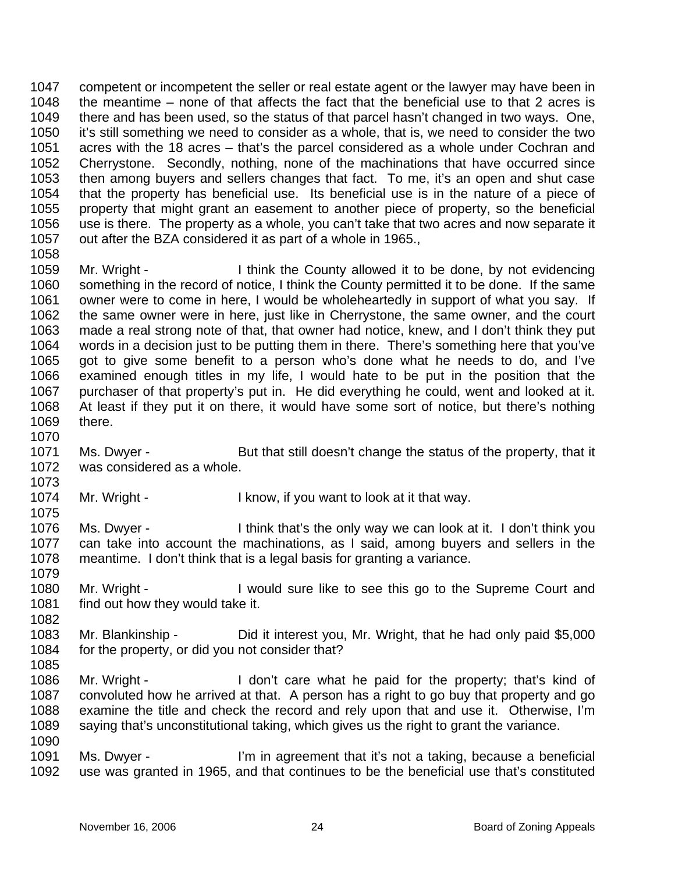1047 1048 1049 1050 1051 1052 1053 1054 1055 1056 1057 1058 competent or incompetent the seller or real estate agent or the lawyer may have been in the meantime – none of that affects the fact that the beneficial use to that 2 acres is there and has been used, so the status of that parcel hasn't changed in two ways. One, it's still something we need to consider as a whole, that is, we need to consider the two acres with the 18 acres – that's the parcel considered as a whole under Cochran and Cherrystone. Secondly, nothing, none of the machinations that have occurred since then among buyers and sellers changes that fact. To me, it's an open and shut case that the property has beneficial use. Its beneficial use is in the nature of a piece of property that might grant an easement to another piece of property, so the beneficial use is there. The property as a whole, you can't take that two acres and now separate it out after the BZA considered it as part of a whole in 1965.,

1059 1060 1061 1062 1063 1064 1065 1066 1067 1068 1069 Mr. Wright - I think the County allowed it to be done, by not evidencing something in the record of notice, I think the County permitted it to be done. If the same owner were to come in here, I would be wholeheartedly in support of what you say. If the same owner were in here, just like in Cherrystone, the same owner, and the court made a real strong note of that, that owner had notice, knew, and I don't think they put words in a decision just to be putting them in there. There's something here that you've got to give some benefit to a person who's done what he needs to do, and I've examined enough titles in my life, I would hate to be put in the position that the purchaser of that property's put in. He did everything he could, went and looked at it. At least if they put it on there, it would have some sort of notice, but there's nothing there.

- 1071 1072 Ms. Dwyer - But that still doesn't change the status of the property, that it was considered as a whole.
- 1074 Mr. Wright - I know, if you want to look at it that way.
- 1076 1077 1078 Ms. Dwyer - I think that's the only way we can look at it. I don't think you can take into account the machinations, as I said, among buyers and sellers in the meantime. I don't think that is a legal basis for granting a variance.
- 1080 1081 Mr. Wright - I would sure like to see this go to the Supreme Court and find out how they would take it.
- 1083 1084 Mr. Blankinship - Did it interest you, Mr. Wright, that he had only paid \$5,000 for the property, or did you not consider that?
- 1085 1086 1087 1088 Mr. Wright - I don't care what he paid for the property; that's kind of convoluted how he arrived at that. A person has a right to go buy that property and go examine the title and check the record and rely upon that and use it. Otherwise, I'm
	- 1089 1090 saying that's unconstitutional taking, which gives us the right to grant the variance.
	- 1091 1092 Ms. Dwyer - I'm in agreement that it's not a taking, because a beneficial use was granted in 1965, and that continues to be the beneficial use that's constituted

1070

1073

1075

1079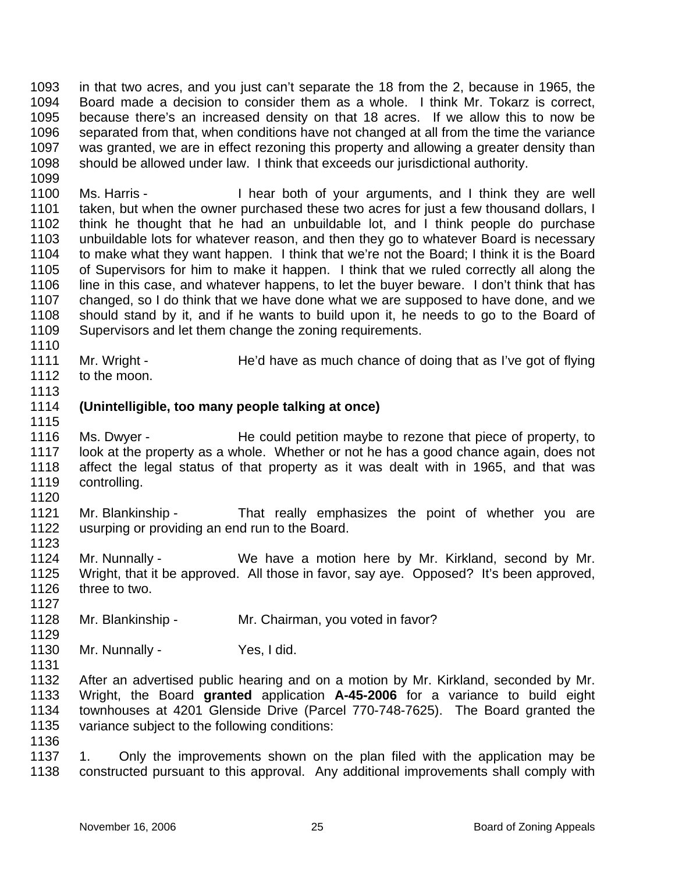1093 1094 1095 1096 1097 1098 1099 in that two acres, and you just can't separate the 18 from the 2, because in 1965, the Board made a decision to consider them as a whole. I think Mr. Tokarz is correct, because there's an increased density on that 18 acres. If we allow this to now be separated from that, when conditions have not changed at all from the time the variance was granted, we are in effect rezoning this property and allowing a greater density than should be allowed under law. I think that exceeds our jurisdictional authority.

1100 1101 1102 1103 1104 1105 1106 1107 1108 1109 Ms. Harris - I hear both of your arguments, and I think they are well taken, but when the owner purchased these two acres for just a few thousand dollars, I think he thought that he had an unbuildable lot, and I think people do purchase unbuildable lots for whatever reason, and then they go to whatever Board is necessary to make what they want happen. I think that we're not the Board; I think it is the Board of Supervisors for him to make it happen. I think that we ruled correctly all along the line in this case, and whatever happens, to let the buyer beware. I don't think that has changed, so I do think that we have done what we are supposed to have done, and we should stand by it, and if he wants to build upon it, he needs to go to the Board of Supervisors and let them change the zoning requirements.

- 1111 1112 Mr. Wright - He'd have as much chance of doing that as I've got of flying to the moon.
- 1113

1115

1120

1123

1127

1129

1110

## 1114 **(Unintelligible, too many people talking at once)**

- 1116 1117 1118 1119 Ms. Dwyer - He could petition maybe to rezone that piece of property, to look at the property as a whole. Whether or not he has a good chance again, does not affect the legal status of that property as it was dealt with in 1965, and that was controlling.
- 1121 1122 Mr. Blankinship - That really emphasizes the point of whether you are usurping or providing an end run to the Board.
- 1124 1125 1126 Mr. Nunnally - We have a motion here by Mr. Kirkland, second by Mr. Wright, that it be approved. All those in favor, say aye. Opposed? It's been approved, three to two.
- 1128 Mr. Blankinship - Mr. Chairman, you voted in favor?
- 1130 Mr. Nunnally - Yes, I did.
- 1131
- 

1132 1133 1134 1135 1136 After an advertised public hearing and on a motion by Mr. Kirkland, seconded by Mr. Wright, the Board **granted** application **A-45-2006** for a variance to build eight townhouses at 4201 Glenside Drive (Parcel 770-748-7625). The Board granted the variance subject to the following conditions:

1137 1138 1. Only the improvements shown on the plan filed with the application may be constructed pursuant to this approval. Any additional improvements shall comply with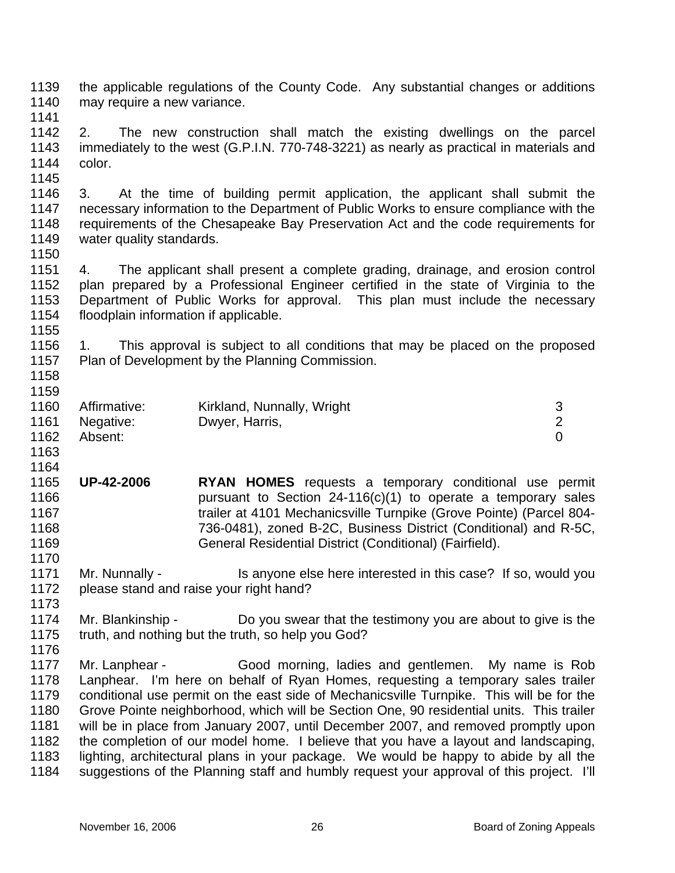1139 1140 the applicable regulations of the County Code. Any substantial changes or additions may require a new variance.

1141

1142 1143 1144 2. The new construction shall match the existing dwellings on the parcel immediately to the west (G.P.I.N. 770-748-3221) as nearly as practical in materials and color.

1145

1150

1146 1147 1148 1149 3. At the time of building permit application, the applicant shall submit the necessary information to the Department of Public Works to ensure compliance with the requirements of the Chesapeake Bay Preservation Act and the code requirements for water quality standards.

1151 1152 1153 1154 4. The applicant shall present a complete grading, drainage, and erosion control plan prepared by a Professional Engineer certified in the state of Virginia to the Department of Public Works for approval. This plan must include the necessary floodplain information if applicable.

1156 1157 1. This approval is subject to all conditions that may be placed on the proposed Plan of Development by the Planning Commission.

1158 1159

1155

| 1160 | Affirmative: | Kirkland, Nunnally, Wright |  |
|------|--------------|----------------------------|--|
| 1161 | Negative:    | Dwyer, Harris,             |  |
| 1162 | Absent:      |                            |  |

1163 1164

1170

1173

1165 1166 1167 1168 1169 **UP-42-2006 RYAN HOMES** requests a temporary conditional use permit pursuant to Section  $24-116(c)(1)$  to operate a temporary sales trailer at 4101 Mechanicsville Turnpike (Grove Pointe) (Parcel 804- 736-0481), zoned B-2C, Business District (Conditional) and R-5C, General Residential District (Conditional) (Fairfield).

1171 1172 Mr. Nunnally - Is anyone else here interested in this case? If so, would you please stand and raise your right hand?

- 1174 1175 Mr. Blankinship - Do you swear that the testimony you are about to give is the truth, and nothing but the truth, so help you God?
- 1176 1177 1178 1179 1180 1181 1182 1183 1184 Mr. Lanphear - Good morning, ladies and gentlemen. My name is Rob Lanphear. I'm here on behalf of Ryan Homes, requesting a temporary sales trailer conditional use permit on the east side of Mechanicsville Turnpike. This will be for the Grove Pointe neighborhood, which will be Section One, 90 residential units. This trailer will be in place from January 2007, until December 2007, and removed promptly upon the completion of our model home. I believe that you have a layout and landscaping, lighting, architectural plans in your package. We would be happy to abide by all the suggestions of the Planning staff and humbly request your approval of this project. I'll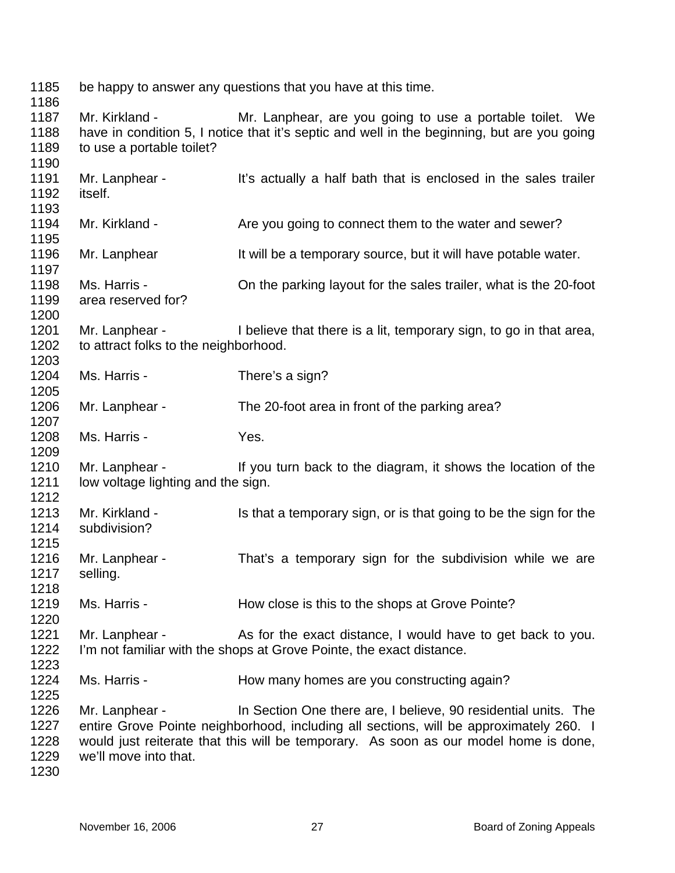be happy to answer any questions that you have at this time. Mr. Kirkland - The Mr. Lanphear, are you going to use a portable toilet. We have in condition 5, I notice that it's septic and well in the beginning, but are you going to use a portable toilet? Mr. Lanphear - It's actually a half bath that is enclosed in the sales trailer itself. Mr. Kirkland - Are you going to connect them to the water and sewer? Mr. Lanphear It will be a temporary source, but it will have potable water. Ms. Harris - Christian Music Harris - On the parking layout for the sales trailer, what is the 20-foot area reserved for? Mr. Lanphear - I believe that there is a lit, temporary sign, to go in that area, to attract folks to the neighborhood. Ms. Harris - There's a sign? Mr. Lanphear - The 20-foot area in front of the parking area? Ms. Harris - Yes. Mr. Lanphear - If you turn back to the diagram, it shows the location of the low voltage lighting and the sign. Mr. Kirkland - Is that a temporary sign, or is that going to be the sign for the subdivision? Mr. Lanphear - That's a temporary sign for the subdivision while we are selling. Ms. Harris - How close is this to the shops at Grove Pointe? Mr. Lanphear - As for the exact distance, I would have to get back to you. I'm not familiar with the shops at Grove Pointe, the exact distance. Ms. Harris - The How many homes are you constructing again? Mr. Lanphear - In Section One there are, I believe, 90 residential units. The entire Grove Pointe neighborhood, including all sections, will be approximately 260. I would just reiterate that this will be temporary. As soon as our model home is done, we'll move into that.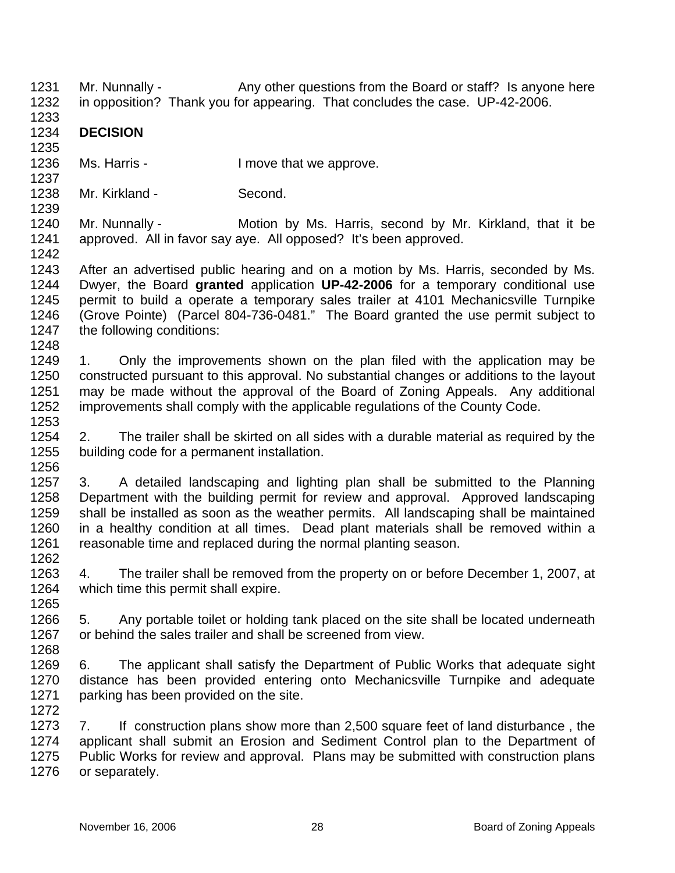- 1231 1232 Mr. Nunnally - Any other questions from the Board or staff? Is anyone here in opposition? Thank you for appearing. That concludes the case. UP-42-2006.
- 1233 1234 **DECISION**

1235

1237

1239

1248

- 1236 Ms. Harris - The Music Henry I move that we approve.
- 1238 Mr. Kirkland - Second.
- 1240 1241 1242 Mr. Nunnally - Motion by Ms. Harris, second by Mr. Kirkland, that it be approved. All in favor say aye. All opposed? It's been approved.
- 1243 1244 1245 1246 1247 After an advertised public hearing and on a motion by Ms. Harris, seconded by Ms. Dwyer, the Board **granted** application **UP-42-2006** for a temporary conditional use permit to build a operate a temporary sales trailer at 4101 Mechanicsville Turnpike (Grove Pointe) (Parcel 804-736-0481." The Board granted the use permit subject to the following conditions:
- 1249 1250 1251 1252 1253 1. Only the improvements shown on the plan filed with the application may be constructed pursuant to this approval. No substantial changes or additions to the layout may be made without the approval of the Board of Zoning Appeals. Any additional improvements shall comply with the applicable regulations of the County Code.
- 1254 1255 2. The trailer shall be skirted on all sides with a durable material as required by the building code for a permanent installation.
- 1257 1258 1259 1260 1261 1262 3. A detailed landscaping and lighting plan shall be submitted to the Planning Department with the building permit for review and approval. Approved landscaping shall be installed as soon as the weather permits. All landscaping shall be maintained in a healthy condition at all times. Dead plant materials shall be removed within a reasonable time and replaced during the normal planting season.
- 1263 1264 1265 4. The trailer shall be removed from the property on or before December 1, 2007, at which time this permit shall expire.
- 1266 1267 1268 5. Any portable toilet or holding tank placed on the site shall be located underneath or behind the sales trailer and shall be screened from view.
- 1269 1270 1271 1272 6. The applicant shall satisfy the Department of Public Works that adequate sight distance has been provided entering onto Mechanicsville Turnpike and adequate parking has been provided on the site.
- 1273 1274 1275 1276 7. If construction plans show more than 2,500 square feet of land disturbance , the applicant shall submit an Erosion and Sediment Control plan to the Department of Public Works for review and approval. Plans may be submitted with construction plans or separately.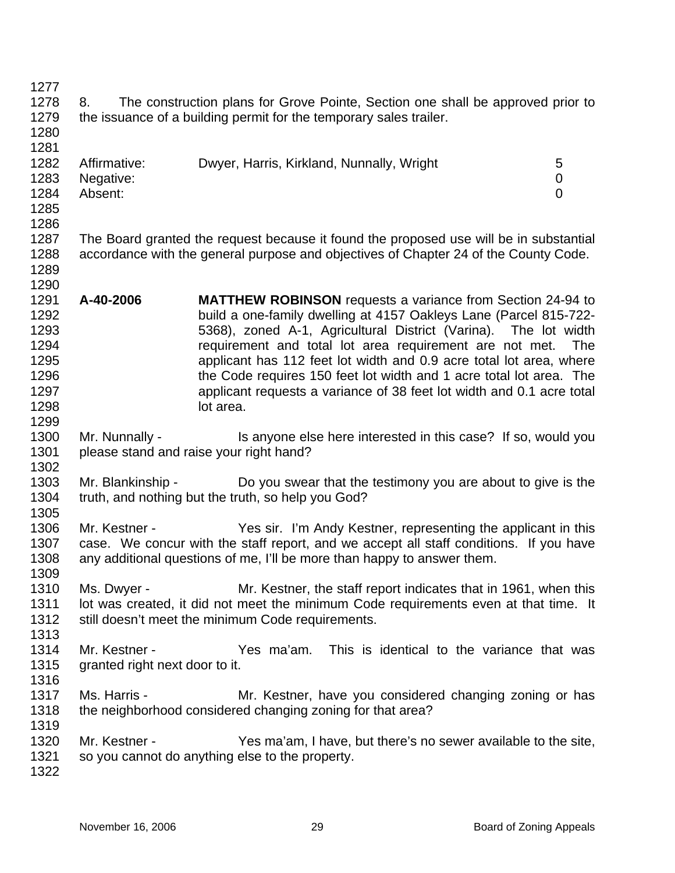1277 1278 1279 1280 1281 1282 1283 1284 1285 1286 1287 1288 1289 1290 1291 1292 1293 1294 1295 1296 1297 1298 1299 1300 1301 1302 1303 1304 1305 1306 1307 1308 1309 1310 1311 1312 1313 1314 1315 1316 1317 1318 1319 1320 1321 1322 8. The construction plans for Grove Pointe, Section one shall be approved prior to the issuance of a building permit for the temporary sales trailer. Affirmative: Dwyer, Harris, Kirkland, Nunnally, Wright 5 Negative: 0 Absent: 0 The Board granted the request because it found the proposed use will be in substantial accordance with the general purpose and objectives of Chapter 24 of the County Code. **A-40-2006 MATTHEW ROBINSON** requests a variance from Section 24-94 to build a one-family dwelling at 4157 Oakleys Lane (Parcel 815-722- 5368), zoned A-1, Agricultural District (Varina). The lot width requirement and total lot area requirement are not met. The applicant has 112 feet lot width and 0.9 acre total lot area, where the Code requires 150 feet lot width and 1 acre total lot area. The applicant requests a variance of 38 feet lot width and 0.1 acre total lot area. Mr. Nunnally - Is anyone else here interested in this case? If so, would you please stand and raise your right hand? Mr. Blankinship - Do you swear that the testimony you are about to give is the truth, and nothing but the truth, so help you God? Mr. Kestner - The Yes sir. I'm Andy Kestner, representing the applicant in this case. We concur with the staff report, and we accept all staff conditions. If you have any additional questions of me, I'll be more than happy to answer them. Ms. Dwyer - Mr. Kestner, the staff report indicates that in 1961, when this lot was created, it did not meet the minimum Code requirements even at that time. It still doesn't meet the minimum Code requirements. Mr. Kestner - Yes ma'am. This is identical to the variance that was granted right next door to it. Ms. Harris - **Mr. Kestner, have you considered changing zoning or has** the neighborhood considered changing zoning for that area? Mr. Kestner - Yes ma'am, I have, but there's no sewer available to the site, so you cannot do anything else to the property.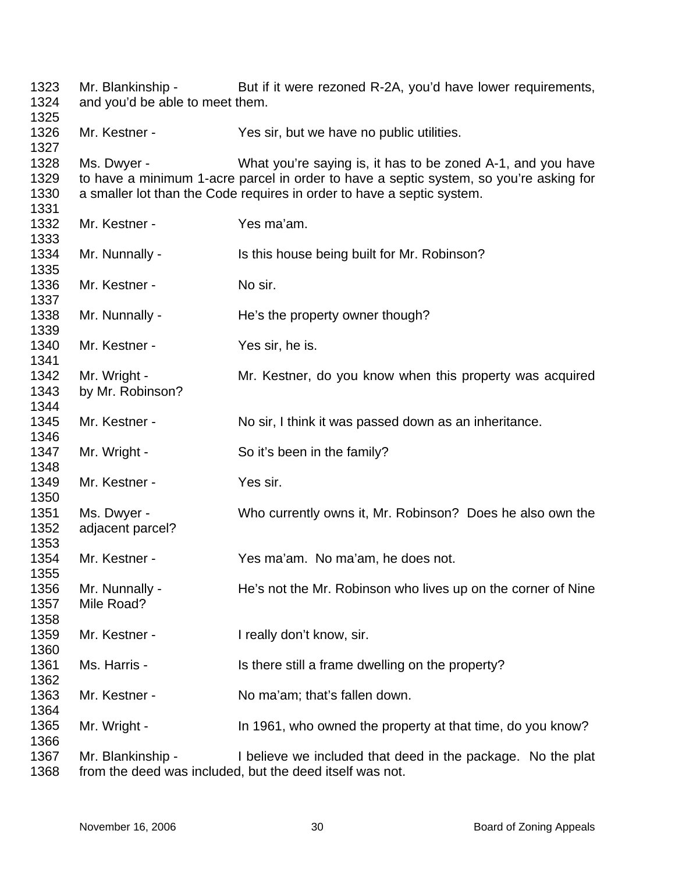| 1323<br>1324<br>1325         | Mr. Blankinship -<br>and you'd be able to meet them. | But if it were rezoned R-2A, you'd have lower requirements,                                                                                                                                                                     |
|------------------------------|------------------------------------------------------|---------------------------------------------------------------------------------------------------------------------------------------------------------------------------------------------------------------------------------|
| 1326<br>1327                 | Mr. Kestner -                                        | Yes sir, but we have no public utilities.                                                                                                                                                                                       |
| 1328<br>1329<br>1330<br>1331 | Ms. Dwyer -                                          | What you're saying is, it has to be zoned A-1, and you have<br>to have a minimum 1-acre parcel in order to have a septic system, so you're asking for<br>a smaller lot than the Code requires in order to have a septic system. |
| 1332<br>1333                 | Mr. Kestner -                                        | Yes ma'am.                                                                                                                                                                                                                      |
| 1334<br>1335                 | Mr. Nunnally -                                       | Is this house being built for Mr. Robinson?                                                                                                                                                                                     |
| 1336<br>1337                 | Mr. Kestner -                                        | No sir.                                                                                                                                                                                                                         |
| 1338<br>1339                 | Mr. Nunnally -                                       | He's the property owner though?                                                                                                                                                                                                 |
| 1340<br>1341                 | Mr. Kestner -                                        | Yes sir, he is.                                                                                                                                                                                                                 |
| 1342<br>1343<br>1344         | Mr. Wright -<br>by Mr. Robinson?                     | Mr. Kestner, do you know when this property was acquired                                                                                                                                                                        |
| 1345<br>1346                 | Mr. Kestner -                                        | No sir, I think it was passed down as an inheritance.                                                                                                                                                                           |
| 1347<br>1348                 | Mr. Wright -                                         | So it's been in the family?                                                                                                                                                                                                     |
| 1349<br>1350                 | Mr. Kestner -                                        | Yes sir.                                                                                                                                                                                                                        |
| 1351<br>1352<br>1353         | Ms. Dwyer -<br>adjacent parcel?                      | Who currently owns it, Mr. Robinson? Does he also own the                                                                                                                                                                       |
| 1354<br>1355                 | Mr. Kestner -                                        | Yes ma'am. No ma'am, he does not.                                                                                                                                                                                               |
| 1356<br>1357<br>1358         | Mr. Nunnally -<br>Mile Road?                         | He's not the Mr. Robinson who lives up on the corner of Nine                                                                                                                                                                    |
| 1359<br>1360                 | Mr. Kestner -                                        | I really don't know, sir.                                                                                                                                                                                                       |
| 1361<br>1362                 | Ms. Harris -                                         | Is there still a frame dwelling on the property?                                                                                                                                                                                |
| 1363<br>1364                 | Mr. Kestner -                                        | No ma'am; that's fallen down.                                                                                                                                                                                                   |
| 1365<br>1366                 | Mr. Wright -                                         | In 1961, who owned the property at that time, do you know?                                                                                                                                                                      |
| 1367<br>1368                 | Mr. Blankinship -                                    | I believe we included that deed in the package. No the plat<br>from the deed was included, but the deed itself was not.                                                                                                         |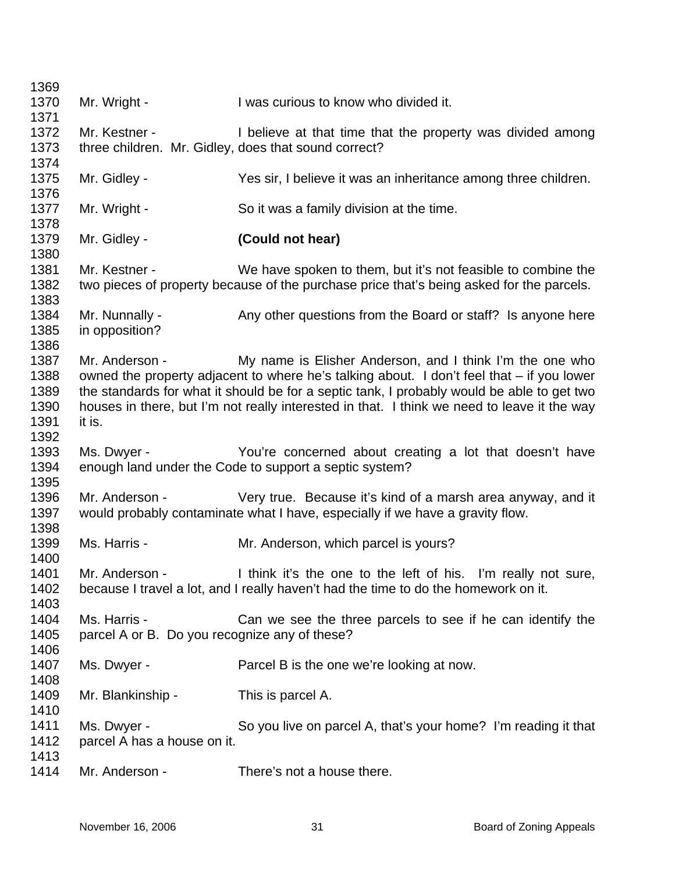| Mr. Wright -                                  | I was curious to know who divided it.                                                                                                                                                                                          |
|-----------------------------------------------|--------------------------------------------------------------------------------------------------------------------------------------------------------------------------------------------------------------------------------|
|                                               |                                                                                                                                                                                                                                |
| Mr. Kestner -                                 | I believe at that time that the property was divided among                                                                                                                                                                     |
|                                               |                                                                                                                                                                                                                                |
| Mr. Gidley -                                  | Yes sir, I believe it was an inheritance among three children.                                                                                                                                                                 |
|                                               |                                                                                                                                                                                                                                |
|                                               | So it was a family division at the time.                                                                                                                                                                                       |
| Mr. Gidley -                                  | (Could not hear)                                                                                                                                                                                                               |
|                                               | We have spoken to them, but it's not feasible to combine the                                                                                                                                                                   |
|                                               | two pieces of property because of the purchase price that's being asked for the parcels.                                                                                                                                       |
|                                               |                                                                                                                                                                                                                                |
| in opposition?                                | Any other questions from the Board or staff? Is anyone here                                                                                                                                                                    |
|                                               |                                                                                                                                                                                                                                |
|                                               | My name is Elisher Anderson, and I think I'm the one who                                                                                                                                                                       |
|                                               | owned the property adjacent to where he's talking about. I don't feel that – if you lower<br>the standards for what it should be for a septic tank, I probably would be able to get two                                        |
|                                               | houses in there, but I'm not really interested in that. I think we need to leave it the way                                                                                                                                    |
|                                               |                                                                                                                                                                                                                                |
|                                               |                                                                                                                                                                                                                                |
|                                               | You're concerned about creating a lot that doesn't have                                                                                                                                                                        |
|                                               |                                                                                                                                                                                                                                |
|                                               |                                                                                                                                                                                                                                |
|                                               | Very true. Because it's kind of a marsh area anyway, and it                                                                                                                                                                    |
|                                               | would probably contaminate what I have, especially if we have a gravity flow.                                                                                                                                                  |
|                                               |                                                                                                                                                                                                                                |
| Ms. Harris -                                  | Mr. Anderson, which parcel is yours?                                                                                                                                                                                           |
|                                               |                                                                                                                                                                                                                                |
| Mr. Anderson -                                | I think it's the one to the left of his. I'm really not sure,                                                                                                                                                                  |
|                                               | because I travel a lot, and I really haven't had the time to do the homework on it.                                                                                                                                            |
|                                               |                                                                                                                                                                                                                                |
| Ms. Harris -                                  | Can we see the three parcels to see if he can identify the                                                                                                                                                                     |
| parcel A or B. Do you recognize any of these? |                                                                                                                                                                                                                                |
|                                               |                                                                                                                                                                                                                                |
| Ms. Dwyer -                                   | Parcel B is the one we're looking at now.                                                                                                                                                                                      |
|                                               |                                                                                                                                                                                                                                |
| Mr. Blankinship -                             | This is parcel A.                                                                                                                                                                                                              |
|                                               |                                                                                                                                                                                                                                |
| Ms. Dwyer -                                   | So you live on parcel A, that's your home? I'm reading it that                                                                                                                                                                 |
|                                               |                                                                                                                                                                                                                                |
| parcel A has a house on it.                   |                                                                                                                                                                                                                                |
| Mr. Anderson -                                | There's not a house there.                                                                                                                                                                                                     |
|                                               | three children. Mr. Gidley, does that sound correct?<br>Mr. Wright -<br>Mr. Kestner -<br>Mr. Nunnally -<br>Mr. Anderson -<br>it is.<br>Ms. Dwyer -<br>enough land under the Code to support a septic system?<br>Mr. Anderson - |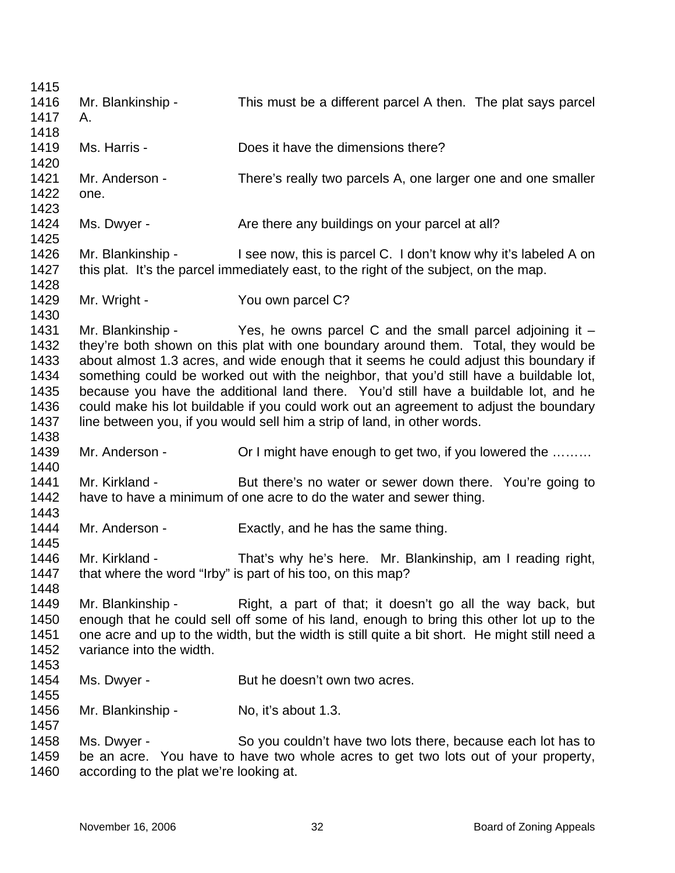| 1415         |                                                                                       |                                                                                                                                                                               |  |
|--------------|---------------------------------------------------------------------------------------|-------------------------------------------------------------------------------------------------------------------------------------------------------------------------------|--|
| 1416         | Mr. Blankinship -                                                                     | This must be a different parcel A then. The plat says parcel                                                                                                                  |  |
| 1417         | А.                                                                                    |                                                                                                                                                                               |  |
| 1418         |                                                                                       |                                                                                                                                                                               |  |
| 1419         | Ms. Harris -                                                                          | Does it have the dimensions there?                                                                                                                                            |  |
| 1420         |                                                                                       |                                                                                                                                                                               |  |
| 1421         | Mr. Anderson -                                                                        | There's really two parcels A, one larger one and one smaller                                                                                                                  |  |
| 1422         | one.                                                                                  |                                                                                                                                                                               |  |
| 1423         |                                                                                       |                                                                                                                                                                               |  |
| 1424         | Ms. Dwyer -                                                                           | Are there any buildings on your parcel at all?                                                                                                                                |  |
| 1425         |                                                                                       |                                                                                                                                                                               |  |
| 1426         | Mr. Blankinship -                                                                     | I see now, this is parcel C. I don't know why it's labeled A on                                                                                                               |  |
| 1427         | this plat. It's the parcel immediately east, to the right of the subject, on the map. |                                                                                                                                                                               |  |
| 1428         |                                                                                       |                                                                                                                                                                               |  |
| 1429         | Mr. Wright -                                                                          | You own parcel C?                                                                                                                                                             |  |
| 1430<br>1431 |                                                                                       |                                                                                                                                                                               |  |
| 1432         |                                                                                       | Mr. Blankinship - $\qquad$ Yes, he owns parcel C and the small parcel adjoining it $-$<br>they're both shown on this plat with one boundary around them. Total, they would be |  |
| 1433         |                                                                                       | about almost 1.3 acres, and wide enough that it seems he could adjust this boundary if                                                                                        |  |
| 1434         |                                                                                       | something could be worked out with the neighbor, that you'd still have a buildable lot,                                                                                       |  |
| 1435         |                                                                                       | because you have the additional land there. You'd still have a buildable lot, and he                                                                                          |  |
| 1436         |                                                                                       | could make his lot buildable if you could work out an agreement to adjust the boundary                                                                                        |  |
| 1437         |                                                                                       | line between you, if you would sell him a strip of land, in other words.                                                                                                      |  |
| 1438         |                                                                                       |                                                                                                                                                                               |  |
| 1439         | Mr. Anderson -                                                                        | Or I might have enough to get two, if you lowered the                                                                                                                         |  |
| 1440         |                                                                                       |                                                                                                                                                                               |  |
| 1441         | Mr. Kirkland -                                                                        | But there's no water or sewer down there. You're going to                                                                                                                     |  |
| 1442         |                                                                                       | have to have a minimum of one acre to do the water and sewer thing.                                                                                                           |  |
| 1443         |                                                                                       |                                                                                                                                                                               |  |
| 1444         | Mr. Anderson -                                                                        | Exactly, and he has the same thing.                                                                                                                                           |  |
| 1445         |                                                                                       |                                                                                                                                                                               |  |
| 1446         | Mr. Kirkland -                                                                        | That's why he's here. Mr. Blankinship, am I reading right,                                                                                                                    |  |
| 1447         |                                                                                       | that where the word "Irby" is part of his too, on this map?                                                                                                                   |  |
| 1448         |                                                                                       |                                                                                                                                                                               |  |
| 1449         | Mr. Blankinship -                                                                     | Right, a part of that; it doesn't go all the way back, but                                                                                                                    |  |
| 1450         |                                                                                       | enough that he could sell off some of his land, enough to bring this other lot up to the                                                                                      |  |
| 1451         |                                                                                       | one acre and up to the width, but the width is still quite a bit short. He might still need a                                                                                 |  |
| 1452         | variance into the width.                                                              |                                                                                                                                                                               |  |
| 1453         |                                                                                       |                                                                                                                                                                               |  |
| 1454         | Ms. Dwyer -                                                                           | But he doesn't own two acres.                                                                                                                                                 |  |
| 1455         |                                                                                       |                                                                                                                                                                               |  |
| 1456         | Mr. Blankinship -                                                                     | No, it's about 1.3.                                                                                                                                                           |  |
| 1457         |                                                                                       |                                                                                                                                                                               |  |
| 1458         | Ms. Dwyer -                                                                           | So you couldn't have two lots there, because each lot has to                                                                                                                  |  |
| 1459         |                                                                                       | be an acre. You have to have two whole acres to get two lots out of your property,                                                                                            |  |
| 1460         | according to the plat we're looking at.                                               |                                                                                                                                                                               |  |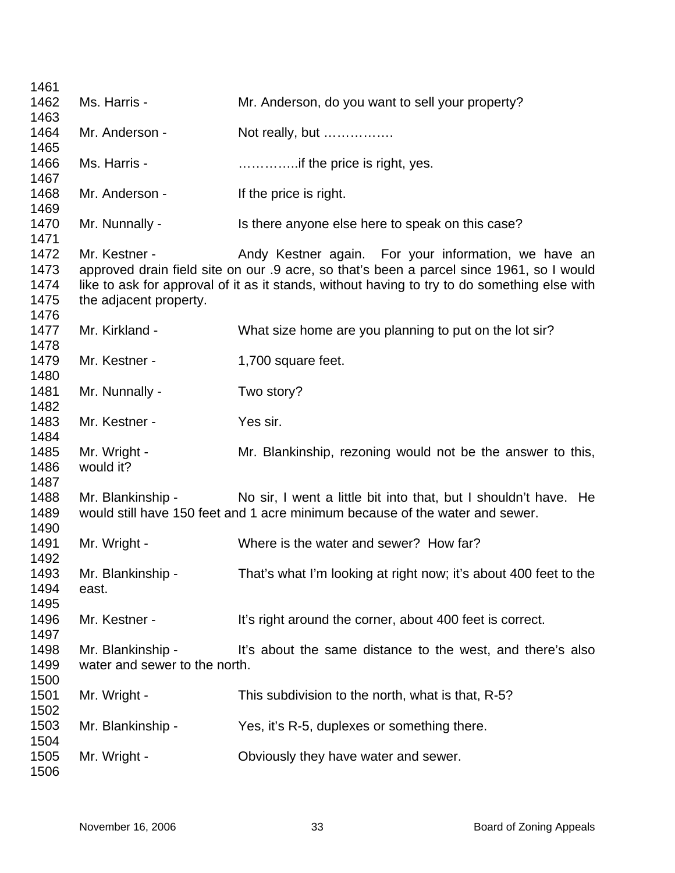| 1461                                 |                                                    |                                                                                                                                                                                                                                                  |
|--------------------------------------|----------------------------------------------------|--------------------------------------------------------------------------------------------------------------------------------------------------------------------------------------------------------------------------------------------------|
| 1462<br>1463                         | Ms. Harris -                                       | Mr. Anderson, do you want to sell your property?                                                                                                                                                                                                 |
| 1464<br>1465                         | Mr. Anderson -                                     | Not really, but                                                                                                                                                                                                                                  |
| 1466<br>1467                         | Ms. Harris -                                       | if the price is right, yes.                                                                                                                                                                                                                      |
| 1468<br>1469                         | Mr. Anderson -                                     | If the price is right.                                                                                                                                                                                                                           |
| 1470<br>1471                         | Mr. Nunnally -                                     | Is there anyone else here to speak on this case?                                                                                                                                                                                                 |
| 1472<br>1473<br>1474<br>1475<br>1476 | Mr. Kestner -<br>the adjacent property.            | Andy Kestner again. For your information, we have an<br>approved drain field site on our .9 acre, so that's been a parcel since 1961, so I would<br>like to ask for approval of it as it stands, without having to try to do something else with |
| 1477<br>1478                         | Mr. Kirkland -                                     | What size home are you planning to put on the lot sir?                                                                                                                                                                                           |
| 1479<br>1480                         | Mr. Kestner -                                      | 1,700 square feet.                                                                                                                                                                                                                               |
| 1481<br>1482                         | Mr. Nunnally -                                     | Two story?                                                                                                                                                                                                                                       |
| 1483<br>1484                         | Mr. Kestner -                                      | Yes sir.                                                                                                                                                                                                                                         |
| 1485<br>1486<br>1487                 | Mr. Wright -<br>would it?                          | Mr. Blankinship, rezoning would not be the answer to this,                                                                                                                                                                                       |
| 1488<br>1489<br>1490                 |                                                    | Mr. Blankinship - No sir, I went a little bit into that, but I shouldn't have. He<br>would still have 150 feet and 1 acre minimum because of the water and sewer.                                                                                |
| 1491<br>1492                         | Mr. Wright -                                       | Where is the water and sewer? How far?                                                                                                                                                                                                           |
| 1493<br>1494<br>1495                 | Mr. Blankinship -<br>east.                         | That's what I'm looking at right now; it's about 400 feet to the                                                                                                                                                                                 |
| 1496<br>1497                         | Mr. Kestner -                                      | It's right around the corner, about 400 feet is correct.                                                                                                                                                                                         |
| 1498<br>1499<br>1500                 | Mr. Blankinship -<br>water and sewer to the north. | It's about the same distance to the west, and there's also                                                                                                                                                                                       |
| 1501<br>1502                         | Mr. Wright -                                       | This subdivision to the north, what is that, R-5?                                                                                                                                                                                                |
| 1503<br>1504                         | Mr. Blankinship -                                  | Yes, it's R-5, duplexes or something there.                                                                                                                                                                                                      |
| 1505<br>1506                         | Mr. Wright -                                       | Obviously they have water and sewer.                                                                                                                                                                                                             |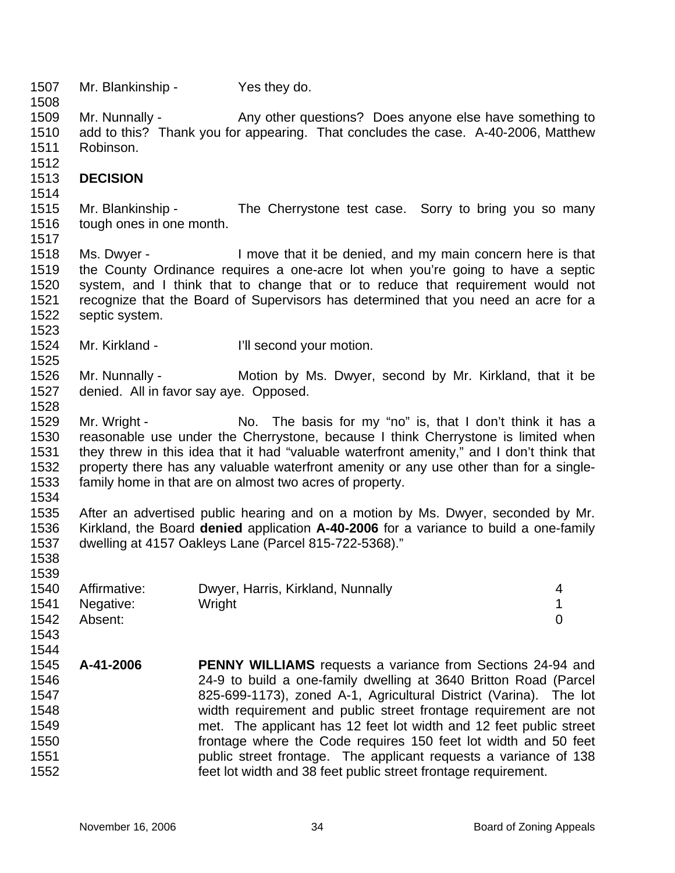1507 Mr. Blankinship - Yes they do.

1509 1510 1511 Mr. Nunnally - Any other questions? Does anyone else have something to add to this? Thank you for appearing. That concludes the case. A-40-2006, Matthew Robinson.

## 1513 **DECISION**

1514

1517

1523

1525

1534

1538 1539

1543

1512

1508

1515 1516 Mr. Blankinship - The Cherrystone test case. Sorry to bring you so many tough ones in one month.

1518 1519 1520 1521 1522 Ms. Dwyer - I move that it be denied, and my main concern here is that the County Ordinance requires a one-acre lot when you're going to have a septic system, and I think that to change that or to reduce that requirement would not recognize that the Board of Supervisors has determined that you need an acre for a septic system.

1524 Mr. Kirkland - **I'll second your motion.** 

1526 1527 1528 Mr. Nunnally - Motion by Ms. Dwyer, second by Mr. Kirkland, that it be denied. All in favor say aye. Opposed.

1529 1530 1531 1532 1533 Mr. Wright - No. The basis for my "no" is, that I don't think it has a reasonable use under the Cherrystone, because I think Cherrystone is limited when they threw in this idea that it had "valuable waterfront amenity," and I don't think that property there has any valuable waterfront amenity or any use other than for a singlefamily home in that are on almost two acres of property.

1535 1536 1537 After an advertised public hearing and on a motion by Ms. Dwyer, seconded by Mr. Kirkland, the Board **denied** application **A-40-2006** for a variance to build a one-family dwelling at 4157 Oakleys Lane (Parcel 815-722-5368)."

| 1540 | Affirmative:   | Dwyer, Harris, Kirkland, Nunnally |  |
|------|----------------|-----------------------------------|--|
|      | 1541 Negative: | Wright                            |  |
| 1542 | Absent:        |                                   |  |

1544 1545 1546 1547 1548 1549 1550 1551 1552 **A-41-2006 PENNY WILLIAMS** requests a variance from Sections 24-94 and 24-9 to build a one-family dwelling at 3640 Britton Road (Parcel 825-699-1173), zoned A-1, Agricultural District (Varina). The lot width requirement and public street frontage requirement are not met. The applicant has 12 feet lot width and 12 feet public street frontage where the Code requires 150 feet lot width and 50 feet public street frontage. The applicant requests a variance of 138 feet lot width and 38 feet public street frontage requirement.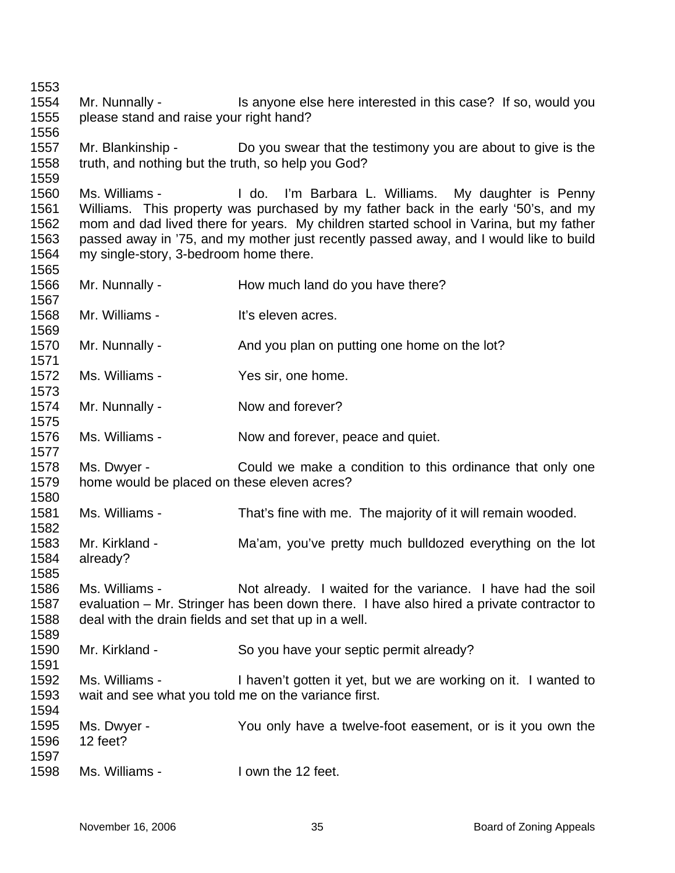Mr. Nunnally - Is anyone else here interested in this case? If so, would you please stand and raise your right hand? Mr. Blankinship - Do you swear that the testimony you are about to give is the truth, and nothing but the truth, so help you God? Ms. Williams - I do. I'm Barbara L. Williams. My daughter is Penny Williams. This property was purchased by my father back in the early '50's, and my mom and dad lived there for years. My children started school in Varina, but my father passed away in '75, and my mother just recently passed away, and I would like to build my single-story, 3-bedroom home there. Mr. Nunnally - How much land do you have there? Mr. Williams - It's eleven acres. Mr. Nunnally - And you plan on putting one home on the lot? Ms. Williams - The Yes sir, one home. Mr. Nunnally - Now and forever? Ms. Williams - Now and forever, peace and quiet. Ms. Dwyer - Could we make a condition to this ordinance that only one home would be placed on these eleven acres? Ms. Williams - That's fine with me. The majority of it will remain wooded. Mr. Kirkland - The Ma'am, you've pretty much bulldozed everything on the lot already? Ms. Williams - Not already. I waited for the variance. I have had the soil evaluation – Mr. Stringer has been down there. I have also hired a private contractor to deal with the drain fields and set that up in a well. Mr. Kirkland - So you have your septic permit already? Ms. Williams - I haven't gotten it yet, but we are working on it. I wanted to wait and see what you told me on the variance first. Ms. Dwyer - You only have a twelve-foot easement, or is it you own the 12 feet? Ms. Williams - The U own the 12 feet.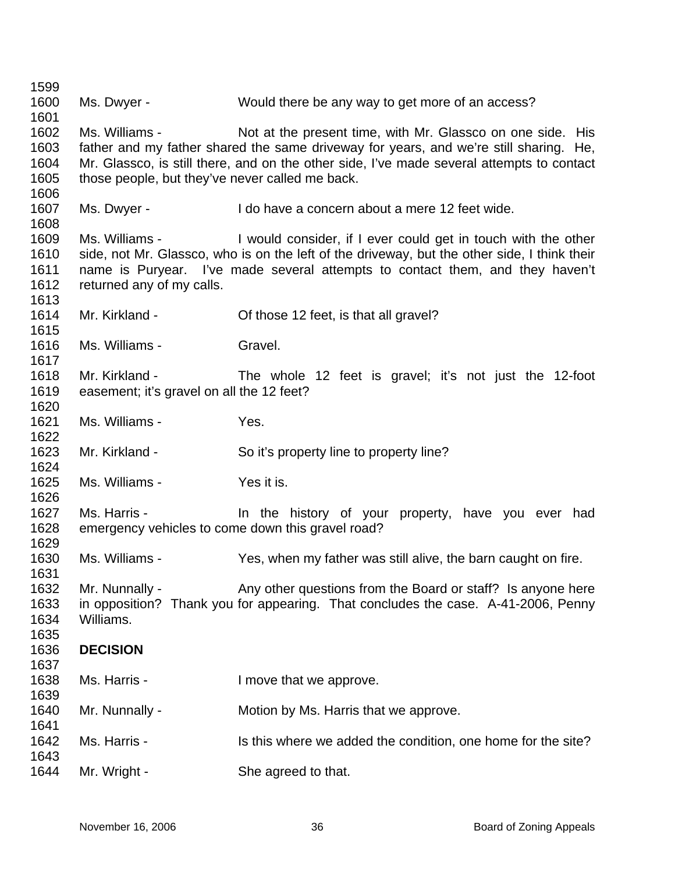Ms. Dwyer - Would there be any way to get more of an access? Ms. Williams - Not at the present time, with Mr. Glassco on one side. His father and my father shared the same driveway for years, and we're still sharing. He, Mr. Glassco, is still there, and on the other side, I've made several attempts to contact those people, but they've never called me back. Ms. Dwyer - I do have a concern about a mere 12 feet wide. Ms. Williams - I would consider, if I ever could get in touch with the other side, not Mr. Glassco, who is on the left of the driveway, but the other side, I think their name is Puryear. I've made several attempts to contact them, and they haven't returned any of my calls. Mr. Kirkland - Cf those 12 feet, is that all gravel? Ms. Williams - Gravel. Mr. Kirkland - The whole 12 feet is gravel; it's not just the 12-foot easement; it's gravel on all the 12 feet? Ms. Williams - Yes. Mr. Kirkland - So it's property line to property line? Ms. Williams - Yes it is. Ms. Harris - The the history of your property, have you ever had emergency vehicles to come down this gravel road? Ms. Williams - Yes, when my father was still alive, the barn caught on fire. Mr. Nunnally - Any other questions from the Board or staff? Is anyone here in opposition? Thank you for appearing. That concludes the case. A-41-2006, Penny Williams. **DECISION**  Ms. Harris - I move that we approve. Mr. Nunnally - **Motion by Ms. Harris that we approve.** Ms. Harris - This this where we added the condition, one home for the site? Mr. Wright - She agreed to that.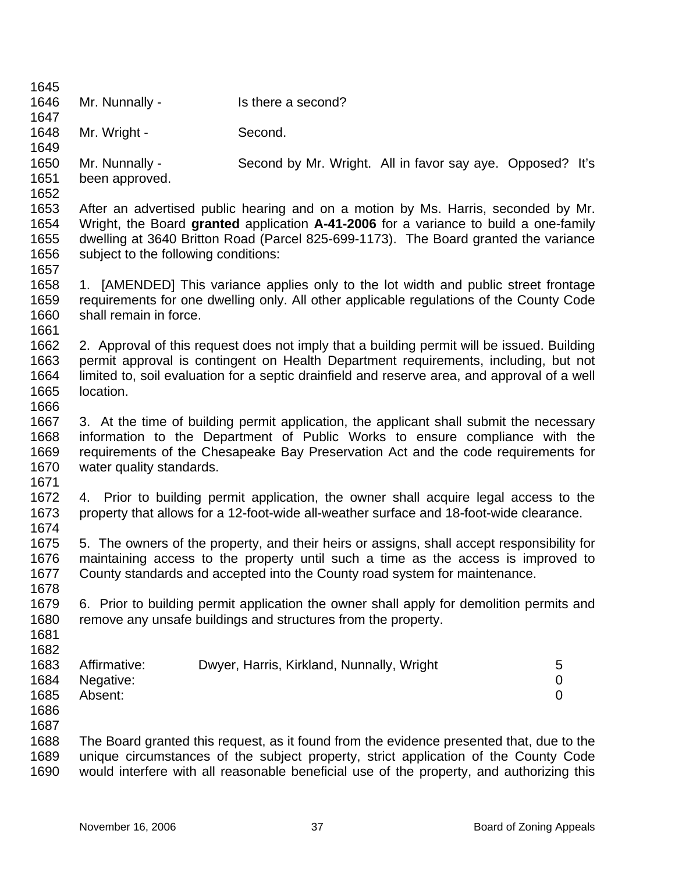| 1645 |                                      |                                                                                              |                  |
|------|--------------------------------------|----------------------------------------------------------------------------------------------|------------------|
| 1646 | Mr. Nunnally -                       | Is there a second?                                                                           |                  |
| 1647 |                                      |                                                                                              |                  |
| 1648 | Mr. Wright -                         | Second.                                                                                      |                  |
| 1649 |                                      |                                                                                              |                  |
| 1650 | Mr. Nunnally -                       | Second by Mr. Wright. All in favor say aye. Opposed? It's                                    |                  |
| 1651 | been approved.                       |                                                                                              |                  |
| 1652 |                                      |                                                                                              |                  |
| 1653 |                                      | After an advertised public hearing and on a motion by Ms. Harris, seconded by Mr.            |                  |
| 1654 |                                      | Wright, the Board granted application A-41-2006 for a variance to build a one-family         |                  |
| 1655 |                                      | dwelling at 3640 Britton Road (Parcel 825-699-1173). The Board granted the variance          |                  |
| 1656 | subject to the following conditions: |                                                                                              |                  |
| 1657 |                                      |                                                                                              |                  |
| 1658 |                                      | 1. [AMENDED] This variance applies only to the lot width and public street frontage          |                  |
| 1659 |                                      | requirements for one dwelling only. All other applicable regulations of the County Code      |                  |
| 1660 | shall remain in force.               |                                                                                              |                  |
| 1661 |                                      |                                                                                              |                  |
| 1662 |                                      | 2. Approval of this request does not imply that a building permit will be issued. Building   |                  |
| 1663 |                                      | permit approval is contingent on Health Department requirements, including, but not          |                  |
| 1664 |                                      | limited to, soil evaluation for a septic drainfield and reserve area, and approval of a well |                  |
| 1665 | location.                            |                                                                                              |                  |
| 1666 |                                      |                                                                                              |                  |
| 1667 |                                      | 3. At the time of building permit application, the applicant shall submit the necessary      |                  |
| 1668 |                                      | information to the Department of Public Works to ensure compliance with the                  |                  |
| 1669 |                                      | requirements of the Chesapeake Bay Preservation Act and the code requirements for            |                  |
| 1670 | water quality standards.             |                                                                                              |                  |
| 1671 |                                      |                                                                                              |                  |
| 1672 |                                      | 4. Prior to building permit application, the owner shall acquire legal access to the         |                  |
| 1673 |                                      | property that allows for a 12-foot-wide all-weather surface and 18-foot-wide clearance.      |                  |
| 1674 |                                      |                                                                                              |                  |
| 1675 |                                      | 5. The owners of the property, and their heirs or assigns, shall accept responsibility for   |                  |
| 1676 |                                      | maintaining access to the property until such a time as the access is improved to            |                  |
| 1677 |                                      | County standards and accepted into the County road system for maintenance                    |                  |
| 1678 |                                      |                                                                                              |                  |
| 1679 |                                      | 6. Prior to building permit application the owner shall apply for demolition permits and     |                  |
| 1680 |                                      | remove any unsafe buildings and structures from the property.                                |                  |
| 1681 |                                      |                                                                                              |                  |
| 1682 |                                      |                                                                                              |                  |
| 1683 | Affirmative:                         | Dwyer, Harris, Kirkland, Nunnally, Wright                                                    | 5                |
| 1684 | Negative:                            |                                                                                              | $\boldsymbol{0}$ |
| 1685 | Absent:                              |                                                                                              | $\overline{0}$   |
| 1686 |                                      |                                                                                              |                  |
| 1687 |                                      |                                                                                              |                  |
| 1688 |                                      | The Board granted this request, as it found from the evidence presented that, due to the     |                  |
| 1689 |                                      | unique circumstances of the subject property, strict application of the County Code          |                  |
| 1690 |                                      | would interfere with all reasonable beneficial use of the property, and authorizing this     |                  |
|      |                                      |                                                                                              |                  |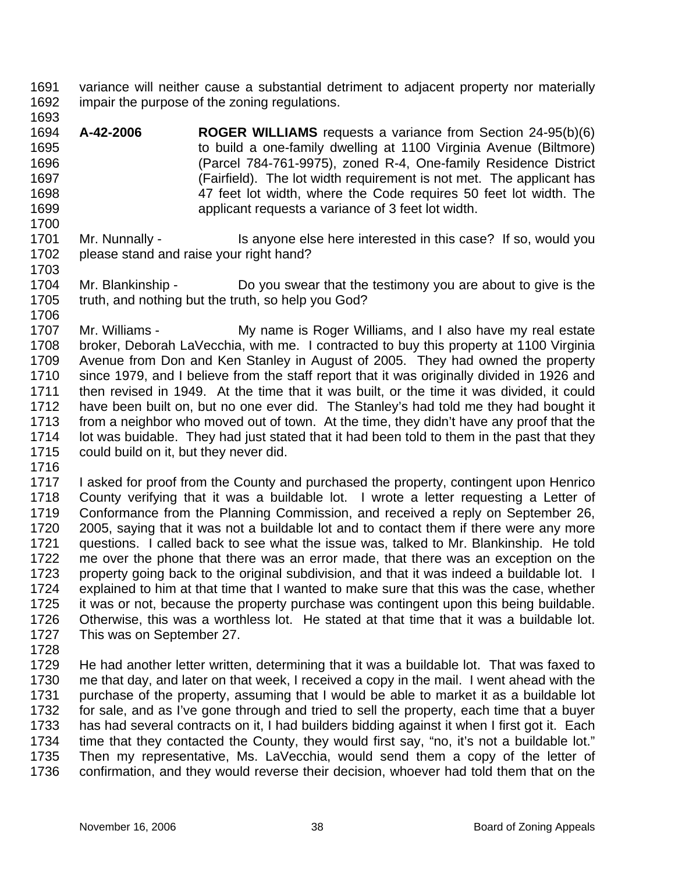- 1691 1692 variance will neither cause a substantial detriment to adjacent property nor materially impair the purpose of the zoning regulations.
- 1693

1700

- 1694 1695 1696 1697 1698 1699 **A-42-2006 ROGER WILLIAMS** requests a variance from Section 24-95(b)(6) to build a one-family dwelling at 1100 Virginia Avenue (Biltmore) (Parcel 784-761-9975), zoned R-4, One-family Residence District (Fairfield). The lot width requirement is not met. The applicant has 47 feet lot width, where the Code requires 50 feet lot width. The applicant requests a variance of 3 feet lot width.
- 1701 1702 1703 Mr. Nunnally - This anyone else here interested in this case? If so, would you please stand and raise your right hand?
- 1704 1705 1706 Mr. Blankinship - Do you swear that the testimony you are about to give is the truth, and nothing but the truth, so help you God?
- 1707 1708 1709 1710 1711 1712 1713 1714 1715 Mr. Williams - My name is Roger Williams, and I also have my real estate broker, Deborah LaVecchia, with me. I contracted to buy this property at 1100 Virginia Avenue from Don and Ken Stanley in August of 2005. They had owned the property since 1979, and I believe from the staff report that it was originally divided in 1926 and then revised in 1949. At the time that it was built, or the time it was divided, it could have been built on, but no one ever did. The Stanley's had told me they had bought it from a neighbor who moved out of town. At the time, they didn't have any proof that the lot was buidable. They had just stated that it had been told to them in the past that they could build on it, but they never did.
- 1716

1717 1718 1719 1720 1721 1722 1723 1724 1725 1726 1727 I asked for proof from the County and purchased the property, contingent upon Henrico County verifying that it was a buildable lot. I wrote a letter requesting a Letter of Conformance from the Planning Commission, and received a reply on September 26, 2005, saying that it was not a buildable lot and to contact them if there were any more questions. I called back to see what the issue was, talked to Mr. Blankinship. He told me over the phone that there was an error made, that there was an exception on the property going back to the original subdivision, and that it was indeed a buildable lot. I explained to him at that time that I wanted to make sure that this was the case, whether it was or not, because the property purchase was contingent upon this being buildable. Otherwise, this was a worthless lot. He stated at that time that it was a buildable lot. This was on September 27.

1728

1729 1730 1731 1732 1733 1734 1735 1736 He had another letter written, determining that it was a buildable lot. That was faxed to me that day, and later on that week, I received a copy in the mail. I went ahead with the purchase of the property, assuming that I would be able to market it as a buildable lot for sale, and as I've gone through and tried to sell the property, each time that a buyer has had several contracts on it, I had builders bidding against it when I first got it. Each time that they contacted the County, they would first say, "no, it's not a buildable lot." Then my representative, Ms. LaVecchia, would send them a copy of the letter of confirmation, and they would reverse their decision, whoever had told them that on the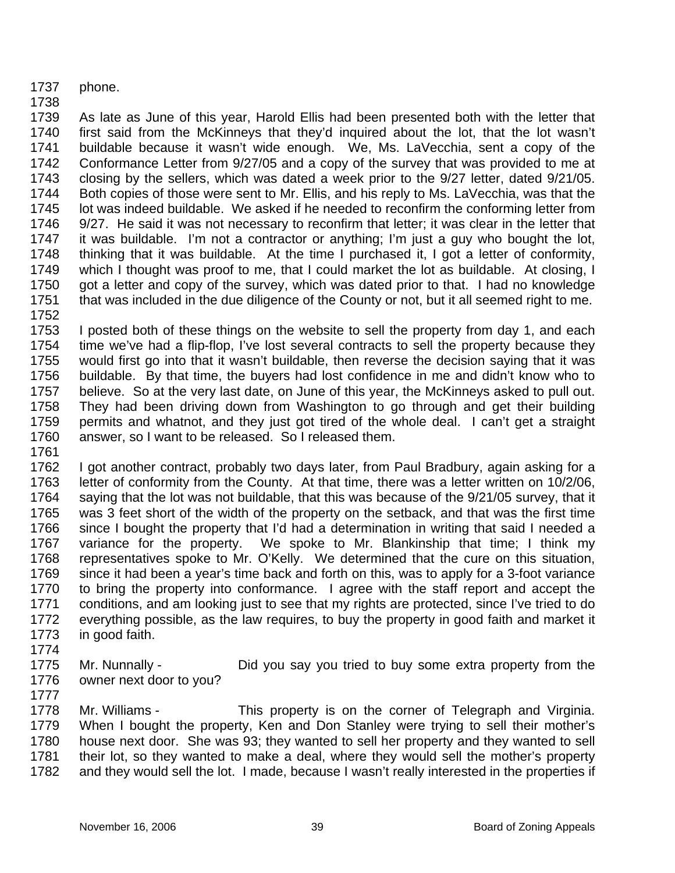- 1737 phone.
- 1738

1739 1740 1741 1742 1743 1744 1745 1746 1747 1748 1749 1750 1751 1752 As late as June of this year, Harold Ellis had been presented both with the letter that first said from the McKinneys that they'd inquired about the lot, that the lot wasn't buildable because it wasn't wide enough. We, Ms. LaVecchia, sent a copy of the Conformance Letter from 9/27/05 and a copy of the survey that was provided to me at closing by the sellers, which was dated a week prior to the 9/27 letter, dated 9/21/05. Both copies of those were sent to Mr. Ellis, and his reply to Ms. LaVecchia, was that the lot was indeed buildable. We asked if he needed to reconfirm the conforming letter from 9/27. He said it was not necessary to reconfirm that letter; it was clear in the letter that it was buildable. I'm not a contractor or anything; I'm just a guy who bought the lot, thinking that it was buildable. At the time I purchased it, I got a letter of conformity, which I thought was proof to me, that I could market the lot as buildable. At closing, I got a letter and copy of the survey, which was dated prior to that. I had no knowledge that was included in the due diligence of the County or not, but it all seemed right to me.

1753 1754 1755 1756 1757 1758 1759 1760 1761 I posted both of these things on the website to sell the property from day 1, and each time we've had a flip-flop, I've lost several contracts to sell the property because they would first go into that it wasn't buildable, then reverse the decision saying that it was buildable. By that time, the buyers had lost confidence in me and didn't know who to believe. So at the very last date, on June of this year, the McKinneys asked to pull out. They had been driving down from Washington to go through and get their building permits and whatnot, and they just got tired of the whole deal. I can't get a straight answer, so I want to be released. So I released them.

- 1762 1763 1764 1765 1766 1767 1768 1769 1770 1771 1772 1773 I got another contract, probably two days later, from Paul Bradbury, again asking for a letter of conformity from the County. At that time, there was a letter written on 10/2/06, saying that the lot was not buildable, that this was because of the 9/21/05 survey, that it was 3 feet short of the width of the property on the setback, and that was the first time since I bought the property that I'd had a determination in writing that said I needed a variance for the property. We spoke to Mr. Blankinship that time; I think my representatives spoke to Mr. O'Kelly. We determined that the cure on this situation, since it had been a year's time back and forth on this, was to apply for a 3-foot variance to bring the property into conformance. I agree with the staff report and accept the conditions, and am looking just to see that my rights are protected, since I've tried to do everything possible, as the law requires, to buy the property in good faith and market it in good faith.
- 1774
- 1775 1776 Mr. Nunnally - Did you say you tried to buy some extra property from the owner next door to you?
- 1777

1778 1779 1780 1781 1782 Mr. Williams - This property is on the corner of Telegraph and Virginia. When I bought the property, Ken and Don Stanley were trying to sell their mother's house next door. She was 93; they wanted to sell her property and they wanted to sell their lot, so they wanted to make a deal, where they would sell the mother's property and they would sell the lot. I made, because I wasn't really interested in the properties if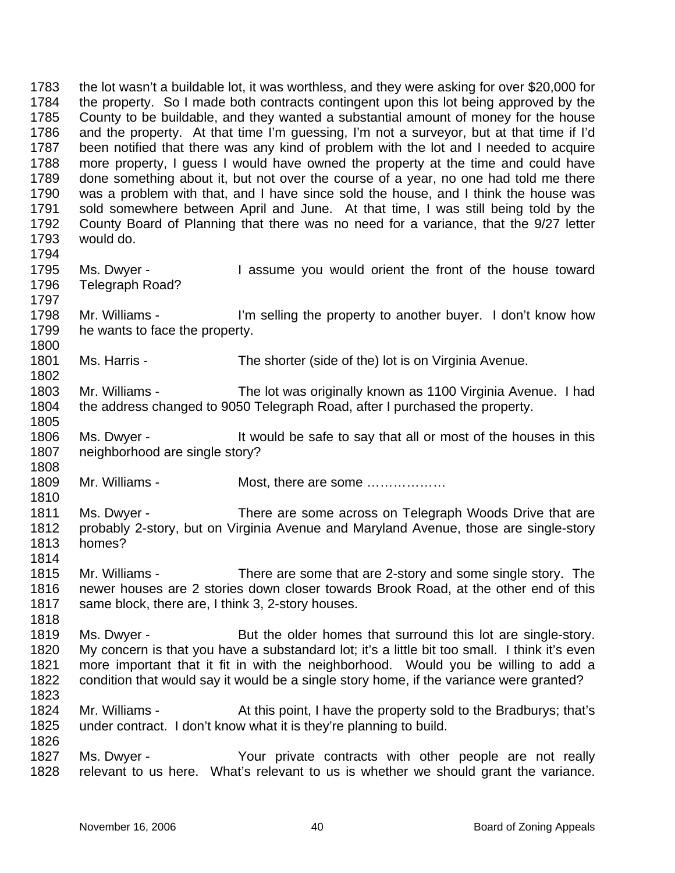1783 1784 1785 1786 1787 1788 1789 1790 1791 1792 1793 1794 1795 1796 1797 1798 1799 1800 1801 1802 1803 1804 1805 1806 1807 1808 1809 1810 1811 1812 1813 1814 1815 1816 1817 1818 1819 1820 1821 1822 1823 1824 1825 1826 1827 1828 the lot wasn't a buildable lot, it was worthless, and they were asking for over \$20,000 for the property. So I made both contracts contingent upon this lot being approved by the County to be buildable, and they wanted a substantial amount of money for the house and the property. At that time I'm guessing, I'm not a surveyor, but at that time if I'd been notified that there was any kind of problem with the lot and I needed to acquire more property, I guess I would have owned the property at the time and could have done something about it, but not over the course of a year, no one had told me there was a problem with that, and I have since sold the house, and I think the house was sold somewhere between April and June. At that time, I was still being told by the County Board of Planning that there was no need for a variance, that the 9/27 letter would do. Ms. Dwyer - The Sume you would orient the front of the house toward Telegraph Road? Mr. Williams - I'm selling the property to another buyer. I don't know how he wants to face the property. Ms. Harris - The shorter (side of the) lot is on Virginia Avenue. Mr. Williams - The lot was originally known as 1100 Virginia Avenue. I had the address changed to 9050 Telegraph Road, after I purchased the property. Ms. Dwyer - It would be safe to say that all or most of the houses in this neighborhood are single story? Mr. Williams - Most, there are some ……………… Ms. Dwyer - There are some across on Telegraph Woods Drive that are probably 2-story, but on Virginia Avenue and Maryland Avenue, those are single-story homes? Mr. Williams - There are some that are 2-story and some single story. The newer houses are 2 stories down closer towards Brook Road, at the other end of this same block, there are, I think 3, 2-story houses. Ms. Dwyer - But the older homes that surround this lot are single-story. My concern is that you have a substandard lot; it's a little bit too small. I think it's even more important that it fit in with the neighborhood. Would you be willing to add a condition that would say it would be a single story home, if the variance were granted? Mr. Williams - At this point, I have the property sold to the Bradburys; that's under contract. I don't know what it is they're planning to build. Ms. Dwyer - The Your private contracts with other people are not really relevant to us here. What's relevant to us is whether we should grant the variance.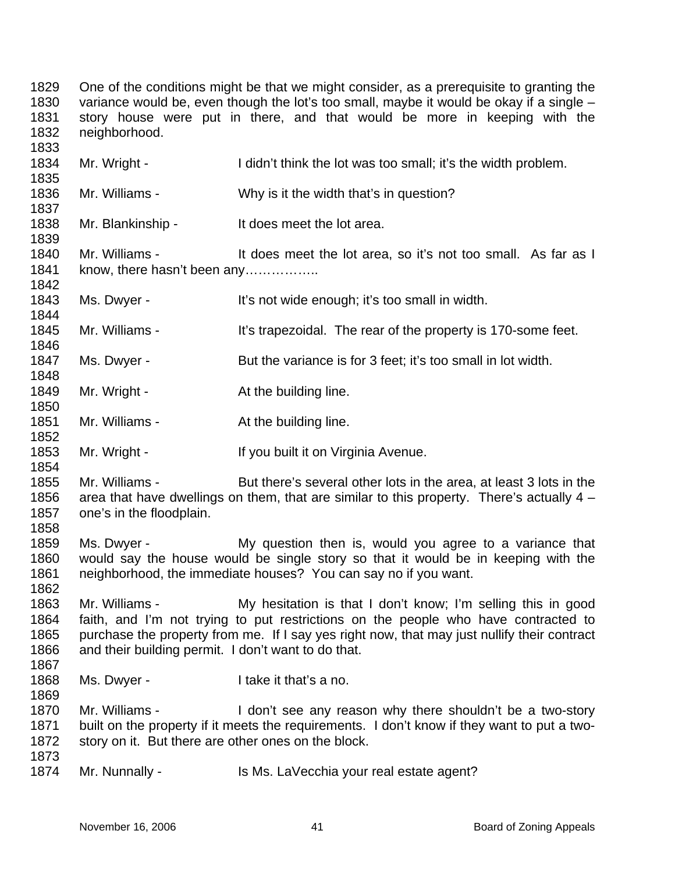1829 1830 1831 1832 1833 1834 1835 1836 1837 1838 1839 1840 1841 1842 1843 1844 1845 1846 1847 1848 1849 1850 1851 1852 1853 1854 1855 1856 1857 1858 1859 1860 1861 1862 1863 1864 1865 1866 1867 1868 1869 1870 1871 1872 1873 1874 One of the conditions might be that we might consider, as a prerequisite to granting the variance would be, even though the lot's too small, maybe it would be okay if a single – story house were put in there, and that would be more in keeping with the neighborhood. Mr. Wright - I didn't think the lot was too small; it's the width problem. Mr. Williams - Why is it the width that's in question? Mr. Blankinship - It does meet the lot area. Mr. Williams - It does meet the lot area, so it's not too small. As far as I know, there hasn't been any…………….. Ms. Dwyer - It's not wide enough; it's too small in width. Mr. Williams - It's trapezoidal. The rear of the property is 170-some feet. Ms. Dwyer - But the variance is for 3 feet; it's too small in lot width. Mr. Wright - The At the building line. Mr. Williams - The building line. Mr. Wright - If you built it on Virginia Avenue. Mr. Williams - But there's several other lots in the area, at least 3 lots in the area that have dwellings on them, that are similar to this property. There's actually 4 – one's in the floodplain. Ms. Dwyer - The My question then is, would you agree to a variance that would say the house would be single story so that it would be in keeping with the neighborhood, the immediate houses? You can say no if you want. Mr. Williams - My hesitation is that I don't know; I'm selling this in good faith, and I'm not trying to put restrictions on the people who have contracted to purchase the property from me. If I say yes right now, that may just nullify their contract and their building permit. I don't want to do that. Ms. Dwyer - The Unit of that's a no. Mr. Williams - I don't see any reason why there shouldn't be a two-story built on the property if it meets the requirements. I don't know if they want to put a twostory on it. But there are other ones on the block. Mr. Nunnally - Is Ms. LaVecchia your real estate agent?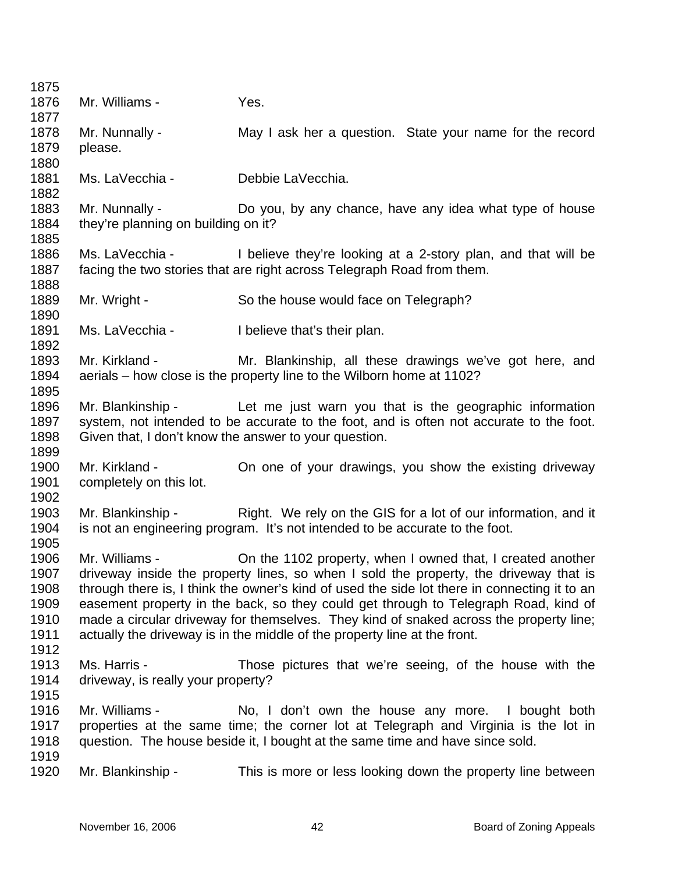| 1875 |                                     |                                                                                              |
|------|-------------------------------------|----------------------------------------------------------------------------------------------|
| 1876 | Mr. Williams -                      | Yes.                                                                                         |
| 1877 |                                     |                                                                                              |
| 1878 | Mr. Nunnally -                      | May I ask her a question. State your name for the record                                     |
| 1879 | please.                             |                                                                                              |
| 1880 |                                     |                                                                                              |
| 1881 | Ms. LaVecchia -                     | Debbie LaVecchia.                                                                            |
| 1882 |                                     |                                                                                              |
| 1883 | Mr. Nunnally -                      | Do you, by any chance, have any idea what type of house                                      |
| 1884 | they're planning on building on it? |                                                                                              |
| 1885 |                                     |                                                                                              |
| 1886 | Ms. LaVecchia -                     | I believe they're looking at a 2-story plan, and that will be                                |
| 1887 |                                     | facing the two stories that are right across Telegraph Road from them.                       |
| 1888 |                                     |                                                                                              |
| 1889 | Mr. Wright -                        | So the house would face on Telegraph?                                                        |
| 1890 |                                     |                                                                                              |
| 1891 | Ms. LaVecchia -                     | I believe that's their plan.                                                                 |
| 1892 |                                     |                                                                                              |
| 1893 | Mr. Kirkland -                      |                                                                                              |
|      |                                     | Mr. Blankinship, all these drawings we've got here, and                                      |
| 1894 |                                     | aerials – how close is the property line to the Wilborn home at 1102?                        |
| 1895 |                                     |                                                                                              |
| 1896 | Mr. Blankinship -                   | Let me just warn you that is the geographic information                                      |
| 1897 |                                     | system, not intended to be accurate to the foot, and is often not accurate to the foot.      |
| 1898 |                                     | Given that, I don't know the answer to your question.                                        |
| 1899 |                                     |                                                                                              |
| 1900 | Mr. Kirkland -                      | On one of your drawings, you show the existing driveway                                      |
| 1901 | completely on this lot.             |                                                                                              |
| 1902 |                                     |                                                                                              |
| 1903 | Mr. Blankinship -                   | Right. We rely on the GIS for a lot of our information, and it                               |
| 1904 |                                     | is not an engineering program. It's not intended to be accurate to the foot.                 |
| 1905 |                                     |                                                                                              |
| 1906 | Mr. Williams -                      | On the 1102 property, when I owned that, I created another                                   |
| 1907 |                                     | driveway inside the property lines, so when I sold the property, the driveway that is        |
| 1908 |                                     | through there is, I think the owner's kind of used the side lot there in connecting it to an |
| 1909 |                                     | easement property in the back, so they could get through to Telegraph Road, kind of          |
| 1910 |                                     | made a circular driveway for themselves. They kind of snaked across the property line;       |
| 1911 |                                     | actually the driveway is in the middle of the property line at the front.                    |
| 1912 |                                     |                                                                                              |
| 1913 | Ms. Harris -                        | Those pictures that we're seeing, of the house with the                                      |
| 1914 | driveway, is really your property?  |                                                                                              |
| 1915 |                                     |                                                                                              |
| 1916 | Mr. Williams -                      | No, I don't own the house any more. I bought both                                            |
| 1917 |                                     | properties at the same time; the corner lot at Telegraph and Virginia is the lot in          |
| 1918 |                                     | question. The house beside it, I bought at the same time and have since sold.                |
| 1919 |                                     |                                                                                              |
| 1920 | Mr. Blankinship -                   | This is more or less looking down the property line between                                  |
|      |                                     |                                                                                              |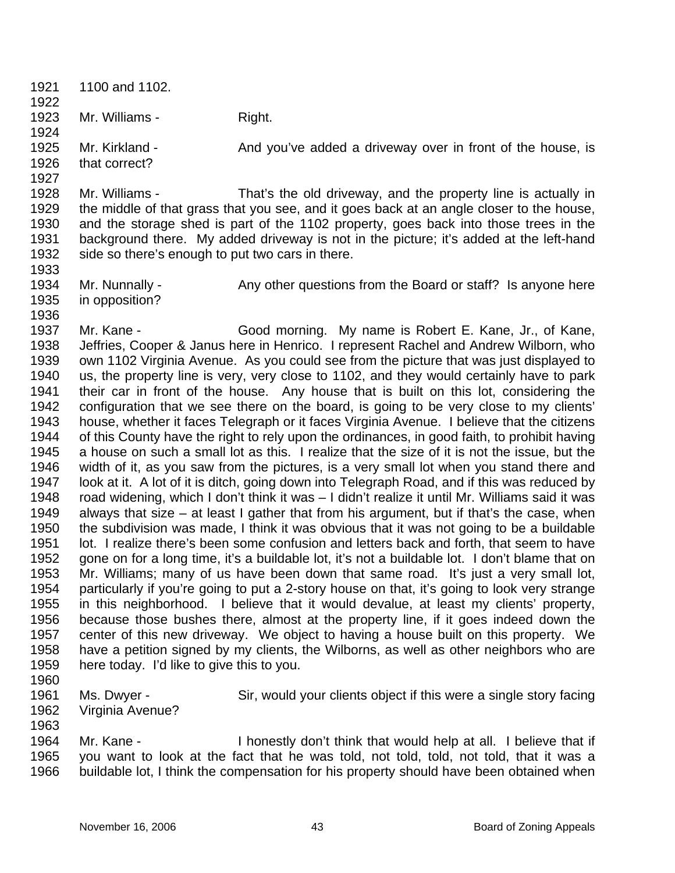1921 1922 1923 1924 1925 1926 1927 1928 1929 1930 1931 1932 1933 1934 1935 1936 1937 1938 1939 1940 1941 1942 1943 1944 1945 1946 1947 1948 1949 1950 1951 1952 1953 1954 1955 1956 1957 1958 1959 1960 1961 1962 1963 1964 1100 and 1102. Mr. Williams - Right. Mr. Kirkland - The And you've added a driveway over in front of the house, is that correct? Mr. Williams - That's the old driveway, and the property line is actually in the middle of that grass that you see, and it goes back at an angle closer to the house, and the storage shed is part of the 1102 property, goes back into those trees in the background there. My added driveway is not in the picture; it's added at the left-hand side so there's enough to put two cars in there. Mr. Nunnally - Any other questions from the Board or staff? Is anyone here in opposition? Mr. Kane - Good morning. My name is Robert E. Kane, Jr., of Kane, Jeffries, Cooper & Janus here in Henrico. I represent Rachel and Andrew Wilborn, who own 1102 Virginia Avenue. As you could see from the picture that was just displayed to us, the property line is very, very close to 1102, and they would certainly have to park their car in front of the house. Any house that is built on this lot, considering the configuration that we see there on the board, is going to be very close to my clients' house, whether it faces Telegraph or it faces Virginia Avenue. I believe that the citizens of this County have the right to rely upon the ordinances, in good faith, to prohibit having a house on such a small lot as this. I realize that the size of it is not the issue, but the width of it, as you saw from the pictures, is a very small lot when you stand there and look at it. A lot of it is ditch, going down into Telegraph Road, and if this was reduced by road widening, which I don't think it was – I didn't realize it until Mr. Williams said it was always that size – at least I gather that from his argument, but if that's the case, when the subdivision was made, I think it was obvious that it was not going to be a buildable lot. I realize there's been some confusion and letters back and forth, that seem to have gone on for a long time, it's a buildable lot, it's not a buildable lot. I don't blame that on Mr. Williams; many of us have been down that same road. It's just a very small lot, particularly if you're going to put a 2-story house on that, it's going to look very strange in this neighborhood. I believe that it would devalue, at least my clients' property, because those bushes there, almost at the property line, if it goes indeed down the center of this new driveway. We object to having a house built on this property. We have a petition signed by my clients, the Wilborns, as well as other neighbors who are here today. I'd like to give this to you. Ms. Dwyer - Sir, would your clients object if this were a single story facing Virginia Avenue? Mr. Kane - I honestly don't think that would help at all. I believe that if

1965 1966 you want to look at the fact that he was told, not told, told, not told, that it was a buildable lot, I think the compensation for his property should have been obtained when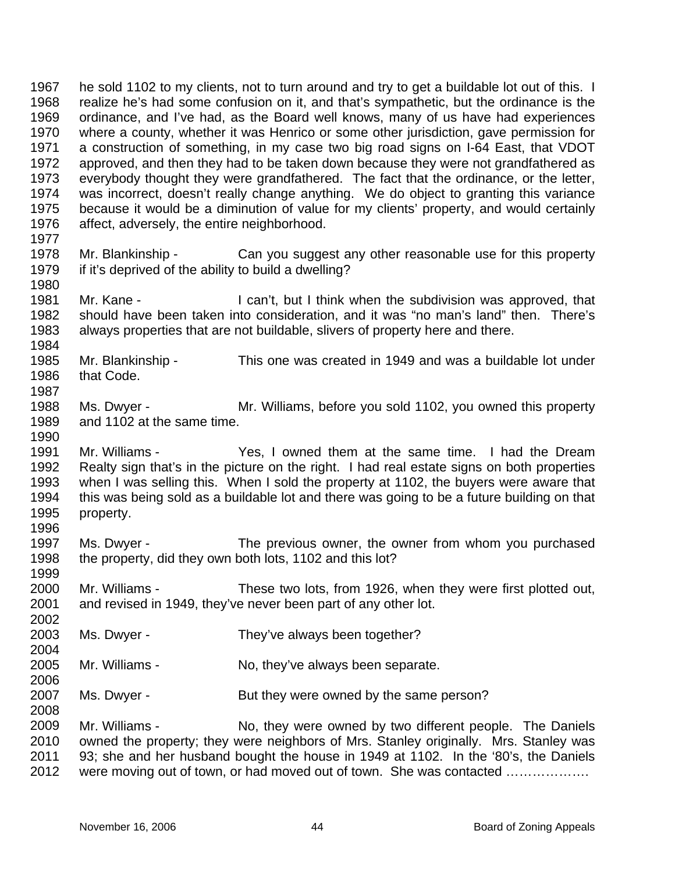1967 1968 1969 1970 1971 1972 1973 1974 1975 1976 1977 1978 1979 1980 1981 1982 1983 1984 1985 1986 1987 1988 1989 1990 1991 1992 1993 1994 1995 1996 1997 1998 1999 2000 2001 2002 2003 2004 2005 2006 2007 2008 2009 2010 2011 2012 he sold 1102 to my clients, not to turn around and try to get a buildable lot out of this. I realize he's had some confusion on it, and that's sympathetic, but the ordinance is the ordinance, and I've had, as the Board well knows, many of us have had experiences where a county, whether it was Henrico or some other jurisdiction, gave permission for a construction of something, in my case two big road signs on I-64 East, that VDOT approved, and then they had to be taken down because they were not grandfathered as everybody thought they were grandfathered. The fact that the ordinance, or the letter, was incorrect, doesn't really change anything. We do object to granting this variance because it would be a diminution of value for my clients' property, and would certainly affect, adversely, the entire neighborhood. Mr. Blankinship - Can you suggest any other reasonable use for this property if it's deprived of the ability to build a dwelling? Mr. Kane - The Can't, but I think when the subdivision was approved, that should have been taken into consideration, and it was "no man's land" then. There's always properties that are not buildable, slivers of property here and there. Mr. Blankinship - This one was created in 1949 and was a buildable lot under that Code. Ms. Dwyer - Mr. Williams, before you sold 1102, you owned this property and 1102 at the same time. Mr. Williams - Yes, I owned them at the same time. I had the Dream Realty sign that's in the picture on the right. I had real estate signs on both properties when I was selling this. When I sold the property at 1102, the buyers were aware that this was being sold as a buildable lot and there was going to be a future building on that property. Ms. Dwyer - The previous owner, the owner from whom you purchased the property, did they own both lots, 1102 and this lot? Mr. Williams - These two lots, from 1926, when they were first plotted out, and revised in 1949, they've never been part of any other lot. Ms. Dwyer - They've always been together? Mr. Williams - No, they've always been separate. Ms. Dwyer - But they were owned by the same person? Mr. Williams - No, they were owned by two different people. The Daniels owned the property; they were neighbors of Mrs. Stanley originally. Mrs. Stanley was 93; she and her husband bought the house in 1949 at 1102. In the '80's, the Daniels were moving out of town, or had moved out of town. She was contacted ..................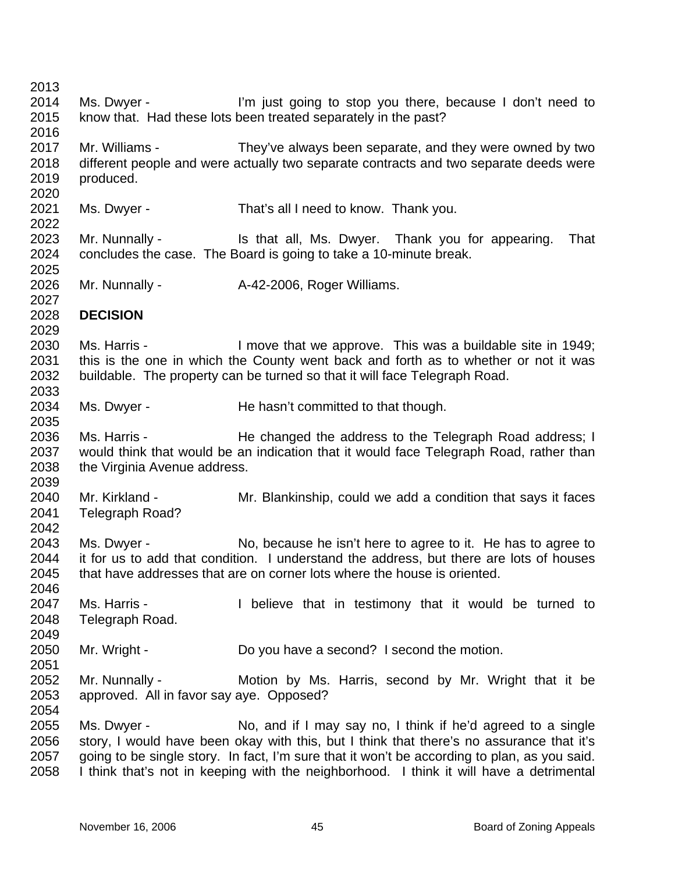2013 2014 2015 2016 2017 2018 2019 2020 2021 2022 2023 2024 2025 2026 2027 2028 2029 2030 2031 2032 2033 2034 2035 2036 2037 2038 2039 2040 2041 2042 2043 2044 2045 2046 2047 2048 2049 2050 2051 2052 2053 2054 2055 2056 2057 2058 Ms. Dwyer - I'm just going to stop you there, because I don't need to know that. Had these lots been treated separately in the past? Mr. Williams - They've always been separate, and they were owned by two different people and were actually two separate contracts and two separate deeds were produced. Ms. Dwyer - That's all I need to know. Thank you. Mr. Nunnally - That is that all, Ms. Dwyer. Thank you for appearing. That concludes the case. The Board is going to take a 10-minute break. Mr. Nunnally - A-42-2006, Roger Williams. **DECISION**  Ms. Harris - I move that we approve. This was a buildable site in 1949; this is the one in which the County went back and forth as to whether or not it was buildable. The property can be turned so that it will face Telegraph Road. Ms. Dwyer - The hasn't committed to that though. Ms. Harris - He changed the address to the Telegraph Road address; I would think that would be an indication that it would face Telegraph Road, rather than the Virginia Avenue address. Mr. Kirkland - The Mr. Blankinship, could we add a condition that says it faces Telegraph Road? Ms. Dwyer - No, because he isn't here to agree to it. He has to agree to it for us to add that condition. I understand the address, but there are lots of houses that have addresses that are on corner lots where the house is oriented. Ms. Harris - The University of the testimony that it would be turned to Telegraph Road. Mr. Wright - Do you have a second? I second the motion. Mr. Nunnally - The Motion by Ms. Harris, second by Mr. Wright that it be approved. All in favor say aye. Opposed? Ms. Dwyer - No, and if I may say no, I think if he'd agreed to a single story, I would have been okay with this, but I think that there's no assurance that it's going to be single story. In fact, I'm sure that it won't be according to plan, as you said. I think that's not in keeping with the neighborhood. I think it will have a detrimental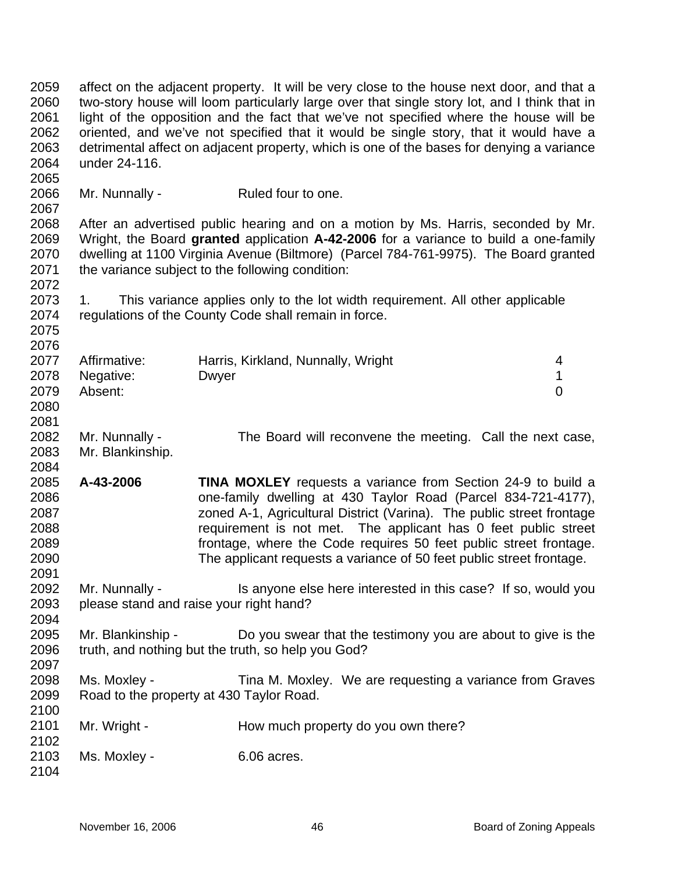2059 2060 2061 2062 2063 2064 2065 2066 2067 2068 2069 2070 2071 2072 2073 2074 2075 2076 2077 2078 2079 2080 2081 2082 2083 2084 2085 2086 2087 2088 2089 2090 2091 2092 2093 2094 2095 2096 2097 2098 2099 2100 2101 2102 2103 2104 affect on the adjacent property. It will be very close to the house next door, and that a two-story house will loom particularly large over that single story lot, and I think that in light of the opposition and the fact that we've not specified where the house will be oriented, and we've not specified that it would be single story, that it would have a detrimental affect on adjacent property, which is one of the bases for denying a variance under 24-116. Mr. Nunnally - Ruled four to one. After an advertised public hearing and on a motion by Ms. Harris, seconded by Mr. Wright, the Board **granted** application **A-42-2006** for a variance to build a one-family dwelling at 1100 Virginia Avenue (Biltmore) (Parcel 784-761-9975). The Board granted the variance subject to the following condition: 1. This variance applies only to the lot width requirement. All other applicable regulations of the County Code shall remain in force. Affirmative: Harris, Kirkland, Nunnally, Wright 4 Negative: Dwyer 2008 Dwyer 2009 1 Absent: 0 Mr. Nunnally - The Board will reconvene the meeting. Call the next case, Mr. Blankinship. **A-43-2006 TINA MOXLEY** requests a variance from Section 24-9 to build a one-family dwelling at 430 Taylor Road (Parcel 834-721-4177), zoned A-1, Agricultural District (Varina). The public street frontage requirement is not met. The applicant has 0 feet public street frontage, where the Code requires 50 feet public street frontage. The applicant requests a variance of 50 feet public street frontage. Mr. Nunnally - Is anyone else here interested in this case? If so, would you please stand and raise your right hand? Mr. Blankinship - Do you swear that the testimony you are about to give is the truth, and nothing but the truth, so help you God? Ms. Moxley - Tina M. Moxley. We are requesting a variance from Graves Road to the property at 430 Taylor Road. Mr. Wright - How much property do you own there? Ms. Moxley - 6.06 acres.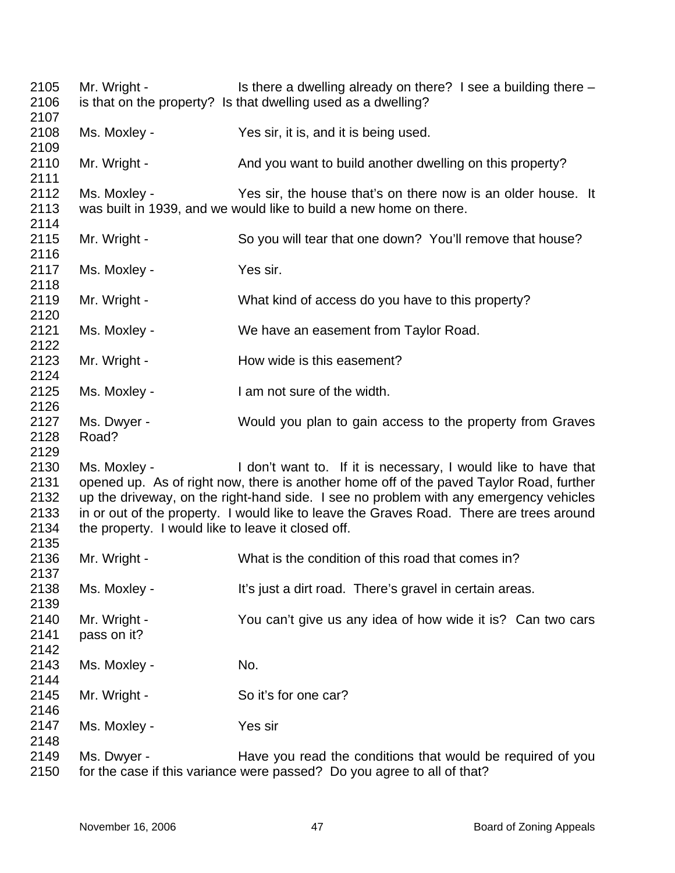| 2105<br>2106                         | Mr. Wright -                                                       | Is there a dwelling already on there? I see a building there -<br>is that on the property? Is that dwelling used as a dwelling?                                                                                                                                                                                                                |
|--------------------------------------|--------------------------------------------------------------------|------------------------------------------------------------------------------------------------------------------------------------------------------------------------------------------------------------------------------------------------------------------------------------------------------------------------------------------------|
| 2107<br>2108                         | Ms. Moxley -                                                       | Yes sir, it is, and it is being used.                                                                                                                                                                                                                                                                                                          |
| 2109                                 |                                                                    |                                                                                                                                                                                                                                                                                                                                                |
| 2110<br>2111                         | Mr. Wright -                                                       | And you want to build another dwelling on this property?                                                                                                                                                                                                                                                                                       |
| 2112<br>2113<br>2114                 | Ms. Moxley -                                                       | Yes sir, the house that's on there now is an older house. It<br>was built in 1939, and we would like to build a new home on there.                                                                                                                                                                                                             |
| 2115<br>2116                         | Mr. Wright -                                                       | So you will tear that one down? You'll remove that house?                                                                                                                                                                                                                                                                                      |
| 2117<br>2118                         | Ms. Moxley -                                                       | Yes sir.                                                                                                                                                                                                                                                                                                                                       |
| 2119<br>2120                         | Mr. Wright -                                                       | What kind of access do you have to this property?                                                                                                                                                                                                                                                                                              |
| 2121<br>2122                         | Ms. Moxley -                                                       | We have an easement from Taylor Road.                                                                                                                                                                                                                                                                                                          |
| 2123<br>2124                         | Mr. Wright -                                                       | How wide is this easement?                                                                                                                                                                                                                                                                                                                     |
| 2125<br>2126                         | Ms. Moxley -                                                       | I am not sure of the width.                                                                                                                                                                                                                                                                                                                    |
| 2127<br>2128<br>2129                 | Ms. Dwyer -<br>Road?                                               | Would you plan to gain access to the property from Graves                                                                                                                                                                                                                                                                                      |
| 2130<br>2131<br>2132<br>2133<br>2134 | Ms. Moxley -<br>the property. I would like to leave it closed off. | I don't want to. If it is necessary, I would like to have that<br>opened up. As of right now, there is another home off of the paved Taylor Road, further<br>up the driveway, on the right-hand side. I see no problem with any emergency vehicles<br>in or out of the property. I would like to leave the Graves Road. There are trees around |
| 2135<br>2136                         | Mr. Wright -                                                       | What is the condition of this road that comes in?                                                                                                                                                                                                                                                                                              |
| 2137<br>2138<br>2139                 | Ms. Moxley -                                                       | It's just a dirt road. There's gravel in certain areas.                                                                                                                                                                                                                                                                                        |
| 2140<br>2141<br>2142                 | Mr. Wright -<br>pass on it?                                        | You can't give us any idea of how wide it is? Can two cars                                                                                                                                                                                                                                                                                     |
| 2143<br>2144                         | Ms. Moxley -                                                       | No.                                                                                                                                                                                                                                                                                                                                            |
| 2145<br>2146                         | Mr. Wright -                                                       | So it's for one car?                                                                                                                                                                                                                                                                                                                           |
| 2147<br>2148                         | Ms. Moxley -                                                       | Yes sir                                                                                                                                                                                                                                                                                                                                        |
| 2149<br>2150                         | Ms. Dwyer -                                                        | Have you read the conditions that would be required of you<br>for the case if this variance were passed? Do you agree to all of that?                                                                                                                                                                                                          |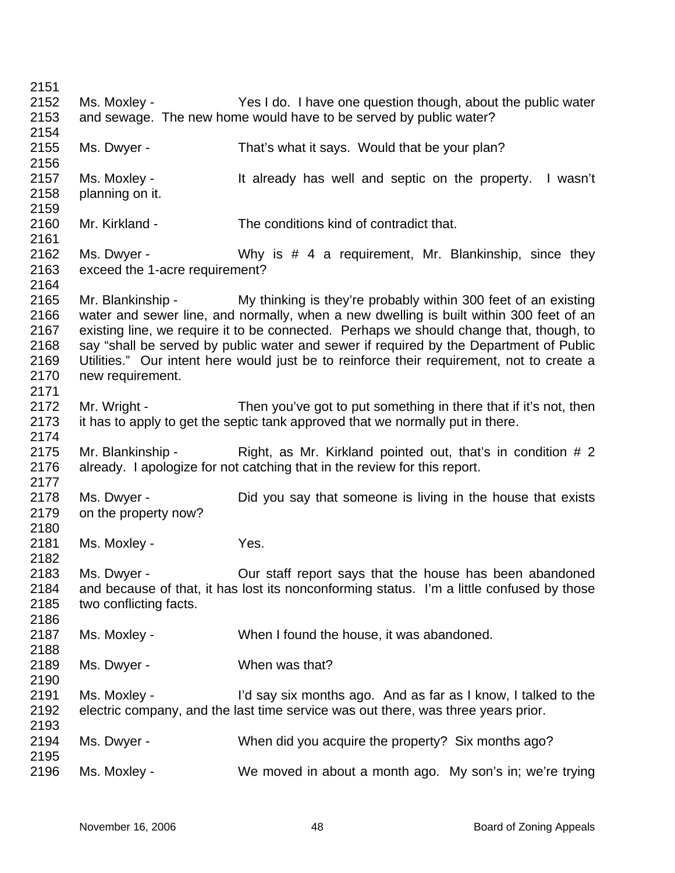| 2151 |                                |                                                                                           |
|------|--------------------------------|-------------------------------------------------------------------------------------------|
| 2152 | Ms. Moxley -                   | Yes I do. I have one question though, about the public water                              |
| 2153 |                                | and sewage. The new home would have to be served by public water?                         |
| 2154 |                                |                                                                                           |
| 2155 | Ms. Dwyer -                    | That's what it says. Would that be your plan?                                             |
| 2156 |                                |                                                                                           |
| 2157 | Ms. Moxley -                   | It already has well and septic on the property.<br>I wasn't                               |
| 2158 | planning on it.                |                                                                                           |
| 2159 |                                |                                                                                           |
| 2160 | Mr. Kirkland -                 | The conditions kind of contradict that.                                                   |
| 2161 |                                |                                                                                           |
| 2162 | Ms. Dwyer -                    | Why is # 4 a requirement, Mr. Blankinship, since they                                     |
| 2163 | exceed the 1-acre requirement? |                                                                                           |
| 2164 |                                |                                                                                           |
| 2165 | Mr. Blankinship -              | My thinking is they're probably within 300 feet of an existing                            |
| 2166 |                                | water and sewer line, and normally, when a new dwelling is built within 300 feet of an    |
| 2167 |                                | existing line, we require it to be connected. Perhaps we should change that, though, to   |
| 2168 |                                | say "shall be served by public water and sewer if required by the Department of Public    |
| 2169 |                                | Utilities." Our intent here would just be to reinforce their requirement, not to create a |
| 2170 | new requirement.               |                                                                                           |
| 2171 |                                |                                                                                           |
| 2172 | Mr. Wright -                   | Then you've got to put something in there that if it's not, then                          |
| 2173 |                                | it has to apply to get the septic tank approved that we normally put in there.            |
| 2174 |                                |                                                                                           |
| 2175 |                                | Mr. Blankinship - Right, as Mr. Kirkland pointed out, that's in condition # 2             |
| 2176 |                                | already. I apologize for not catching that in the review for this report.                 |
| 2177 |                                |                                                                                           |
| 2178 | Ms. Dwyer -                    | Did you say that someone is living in the house that exists                               |
| 2179 | on the property now?           |                                                                                           |
| 2180 |                                |                                                                                           |
| 2181 | Ms. Moxley -                   | Yes.                                                                                      |
| 2182 |                                |                                                                                           |
| 2183 | Ms. Dwver -                    | Our staff report says that the house has been abandoned                                   |
| 2184 |                                | and because of that, it has lost its nonconforming status. I'm a little confused by those |
| 2185 | two conflicting facts.         |                                                                                           |
| 2186 |                                |                                                                                           |
| 2187 | Ms. Moxley -                   | When I found the house, it was abandoned.                                                 |
| 2188 |                                |                                                                                           |
| 2189 | Ms. Dwyer -                    | When was that?                                                                            |
| 2190 |                                |                                                                                           |
| 2191 | Ms. Moxley -                   | I'd say six months ago. And as far as I know, I talked to the                             |
| 2192 |                                | electric company, and the last time service was out there, was three years prior.         |
| 2193 |                                |                                                                                           |
| 2194 | Ms. Dwyer -                    | When did you acquire the property? Six months ago?                                        |
| 2195 |                                |                                                                                           |
| 2196 | Ms. Moxley -                   | We moved in about a month ago. My son's in; we're trying                                  |
|      |                                |                                                                                           |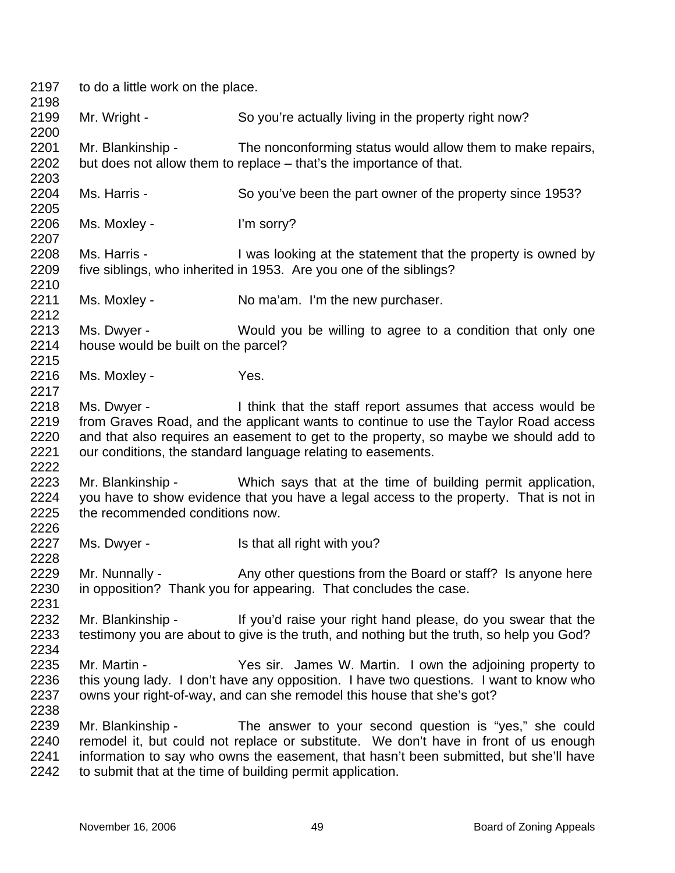| 2197<br>2198                         | to do a little work on the place.                  |                                                                                                                                                                                                                                                                                                           |
|--------------------------------------|----------------------------------------------------|-----------------------------------------------------------------------------------------------------------------------------------------------------------------------------------------------------------------------------------------------------------------------------------------------------------|
| 2199<br>2200                         | Mr. Wright -                                       | So you're actually living in the property right now?                                                                                                                                                                                                                                                      |
| 2201<br>2202<br>2203                 | Mr. Blankinship -                                  | The nonconforming status would allow them to make repairs,<br>but does not allow them to replace – that's the importance of that.                                                                                                                                                                         |
| 2204<br>2205                         | Ms. Harris -                                       | So you've been the part owner of the property since 1953?                                                                                                                                                                                                                                                 |
| 2206<br>2207                         | Ms. Moxley -                                       | I'm sorry?                                                                                                                                                                                                                                                                                                |
| 2208<br>2209<br>2210                 | Ms. Harris -                                       | I was looking at the statement that the property is owned by<br>five siblings, who inherited in 1953. Are you one of the siblings?                                                                                                                                                                        |
| 2211<br>2212                         | Ms. Moxley -                                       | No ma'am. I'm the new purchaser.                                                                                                                                                                                                                                                                          |
| 2213<br>2214<br>2215                 | Ms. Dwyer -<br>house would be built on the parcel? | Would you be willing to agree to a condition that only one                                                                                                                                                                                                                                                |
| 2216<br>2217                         | Ms. Moxley -                                       | Yes.                                                                                                                                                                                                                                                                                                      |
| 2218<br>2219<br>2220<br>2221         | Ms. Dwyer -                                        | I think that the staff report assumes that access would be<br>from Graves Road, and the applicant wants to continue to use the Taylor Road access<br>and that also requires an easement to get to the property, so maybe we should add to<br>our conditions, the standard language relating to easements. |
| 2222<br>2223<br>2224<br>2225<br>2226 | the recommended conditions now.                    | Mr. Blankinship - Which says that at the time of building permit application,<br>you have to show evidence that you have a legal access to the property. That is not in                                                                                                                                   |
| 2227<br>2228                         | Ms. Dwyer -                                        | Is that all right with you?                                                                                                                                                                                                                                                                               |
| 2229<br>2230<br>2231                 | Mr. Nunnally -                                     | Any other questions from the Board or staff? Is anyone here<br>in opposition? Thank you for appearing. That concludes the case.                                                                                                                                                                           |
| 2232<br>2233<br>2234                 | Mr. Blankinship -                                  | If you'd raise your right hand please, do you swear that the<br>testimony you are about to give is the truth, and nothing but the truth, so help you God?                                                                                                                                                 |
| 2235<br>2236<br>2237<br>2238         | Mr. Martin -                                       | Yes sir. James W. Martin. I own the adjoining property to<br>this young lady. I don't have any opposition. I have two questions. I want to know who<br>owns your right-of-way, and can she remodel this house that she's got?                                                                             |
| 2239<br>2240<br>2241<br>2242         | Mr. Blankinship -                                  | The answer to your second question is "yes," she could<br>remodel it, but could not replace or substitute. We don't have in front of us enough<br>information to say who owns the easement, that hasn't been submitted, but she'll have<br>to submit that at the time of building permit application.     |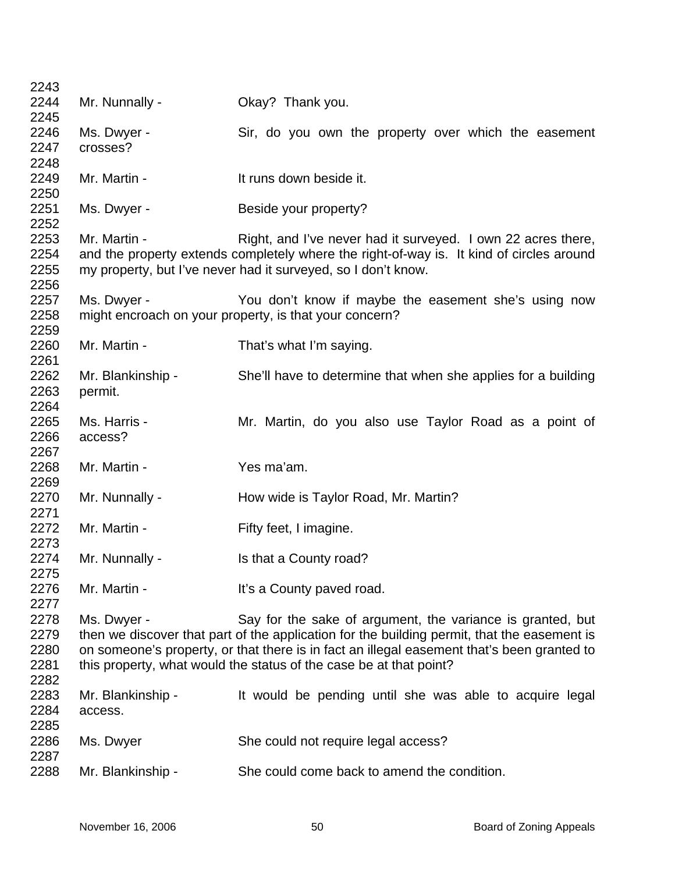| 2243         |                   |                                                                                             |
|--------------|-------------------|---------------------------------------------------------------------------------------------|
| 2244         | Mr. Nunnally -    | Okay? Thank you.                                                                            |
| 2245         |                   |                                                                                             |
| 2246         | Ms. Dwyer -       | Sir, do you own the property over which the easement                                        |
| 2247         | crosses?          |                                                                                             |
| 2248         |                   |                                                                                             |
| 2249         | Mr. Martin -      | It runs down beside it.                                                                     |
| 2250         |                   |                                                                                             |
| 2251         | Ms. Dwyer -       | Beside your property?                                                                       |
| 2252         |                   |                                                                                             |
| 2253         | Mr. Martin -      | Right, and I've never had it surveyed. I own 22 acres there,                                |
| 2254         |                   | and the property extends completely where the right-of-way is. It kind of circles around    |
| 2255         |                   | my property, but I've never had it surveyed, so I don't know.                               |
| 2256         |                   |                                                                                             |
| 2257         | Ms. Dwyer -       | You don't know if maybe the easement she's using now                                        |
| 2258         |                   | might encroach on your property, is that your concern?                                      |
| 2259         |                   |                                                                                             |
| 2260         | Mr. Martin -      |                                                                                             |
| 2261         |                   | That's what I'm saying.                                                                     |
|              |                   |                                                                                             |
| 2262         | Mr. Blankinship - | She'll have to determine that when she applies for a building                               |
| 2263         | permit.           |                                                                                             |
| 2264         |                   |                                                                                             |
| 2265         | Ms. Harris -      | Mr. Martin, do you also use Taylor Road as a point of                                       |
| 2266         | access?           |                                                                                             |
|              |                   |                                                                                             |
| 2267         |                   |                                                                                             |
| 2268         | Mr. Martin -      | Yes ma'am.                                                                                  |
| 2269         |                   |                                                                                             |
| 2270         | Mr. Nunnally -    | How wide is Taylor Road, Mr. Martin?                                                        |
| 2271         |                   |                                                                                             |
| 2272         | Mr. Martin -      | Fifty feet, I imagine.                                                                      |
| 2273         |                   |                                                                                             |
| 2274         | Mr. Nunnally -    | Is that a County road?                                                                      |
| 2275         |                   |                                                                                             |
| 2276         | Mr. Martin -      | It's a County paved road.                                                                   |
| 2277         |                   |                                                                                             |
|              |                   |                                                                                             |
| 2278         | Ms. Dwyer -       | Say for the sake of argument, the variance is granted, but                                  |
| 2279         |                   | then we discover that part of the application for the building permit, that the easement is |
| 2280         |                   | on someone's property, or that there is in fact an illegal easement that's been granted to  |
| 2281         |                   | this property, what would the status of the case be at that point?                          |
| 2282         |                   |                                                                                             |
| 2283         | Mr. Blankinship - | It would be pending until she was able to acquire legal                                     |
| 2284         | access.           |                                                                                             |
| 2285         |                   |                                                                                             |
| 2286         | Ms. Dwyer         | She could not require legal access?                                                         |
| 2287<br>2288 | Mr. Blankinship - | She could come back to amend the condition.                                                 |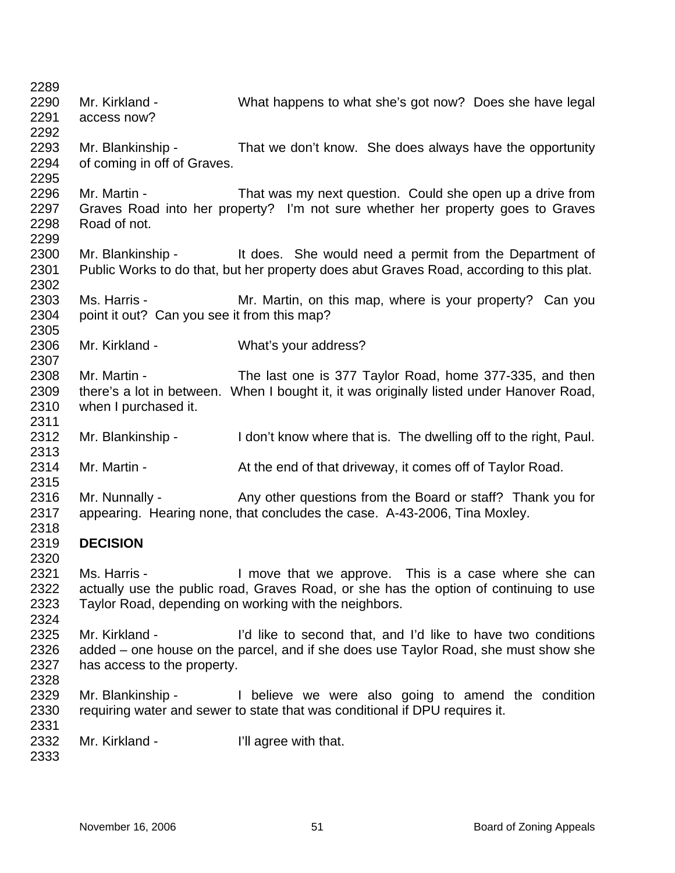| 2289         |                                             |                                                                                          |
|--------------|---------------------------------------------|------------------------------------------------------------------------------------------|
| 2290         | Mr. Kirkland -                              | What happens to what she's got now? Does she have legal                                  |
| 2291         | access now?                                 |                                                                                          |
| 2292         |                                             |                                                                                          |
| 2293         |                                             | Mr. Blankinship - That we don't know. She does always have the opportunity               |
| 2294         | of coming in off of Graves.                 |                                                                                          |
| 2295         |                                             |                                                                                          |
| 2296         | Mr. Martin -                                | That was my next question. Could she open up a drive from                                |
| 2297         | Road of not.                                | Graves Road into her property? I'm not sure whether her property goes to Graves          |
| 2298<br>2299 |                                             |                                                                                          |
| 2300         |                                             | Mr. Blankinship - It does. She would need a permit from the Department of                |
| 2301         |                                             | Public Works to do that, but her property does abut Graves Road, according to this plat. |
| 2302         |                                             |                                                                                          |
| 2303         | Ms. Harris -                                | Mr. Martin, on this map, where is your property? Can you                                 |
| 2304         | point it out? Can you see it from this map? |                                                                                          |
| 2305         |                                             |                                                                                          |
| 2306         | Mr. Kirkland -                              | What's your address?                                                                     |
| 2307         |                                             |                                                                                          |
| 2308         | Mr. Martin -                                | The last one is 377 Taylor Road, home 377-335, and then                                  |
| 2309         |                                             | there's a lot in between. When I bought it, it was originally listed under Hanover Road, |
| 2310         | when I purchased it.                        |                                                                                          |
| 2311         |                                             |                                                                                          |
| 2312         | Mr. Blankinship -                           | I don't know where that is. The dwelling off to the right, Paul.                         |
| 2313         |                                             |                                                                                          |
| 2314         | Mr. Martin -                                | At the end of that driveway, it comes off of Taylor Road.                                |
| 2315         |                                             |                                                                                          |
| 2316         | Mr. Nunnally -                              | Any other questions from the Board or staff? Thank you for                               |
| 2317         |                                             | appearing. Hearing none, that concludes the case. A-43-2006, Tina Moxley.                |
| 2318         |                                             |                                                                                          |
| 2319         | <b>DECISION</b>                             |                                                                                          |
| 2320         |                                             |                                                                                          |
| 2321         | Ms. Harris -                                | I move that we approve. This is a case where she can                                     |
| 2322         |                                             | actually use the public road, Graves Road, or she has the option of continuing to use    |
| 2323         |                                             | Taylor Road, depending on working with the neighbors.                                    |
| 2324         |                                             |                                                                                          |
| 2325         | Mr. Kirkland -                              | I'd like to second that, and I'd like to have two conditions                             |
| 2326         |                                             | added – one house on the parcel, and if she does use Taylor Road, she must show she      |
| 2327         | has access to the property.                 |                                                                                          |
| 2328         |                                             |                                                                                          |
| 2329         | Mr. Blankinship -                           | I believe we were also going to amend the condition                                      |
| 2330         |                                             | requiring water and sewer to state that was conditional if DPU requires it.              |
| 2331         |                                             |                                                                                          |
| 2332         | Mr. Kirkland -                              | I'll agree with that.                                                                    |
| 2333         |                                             |                                                                                          |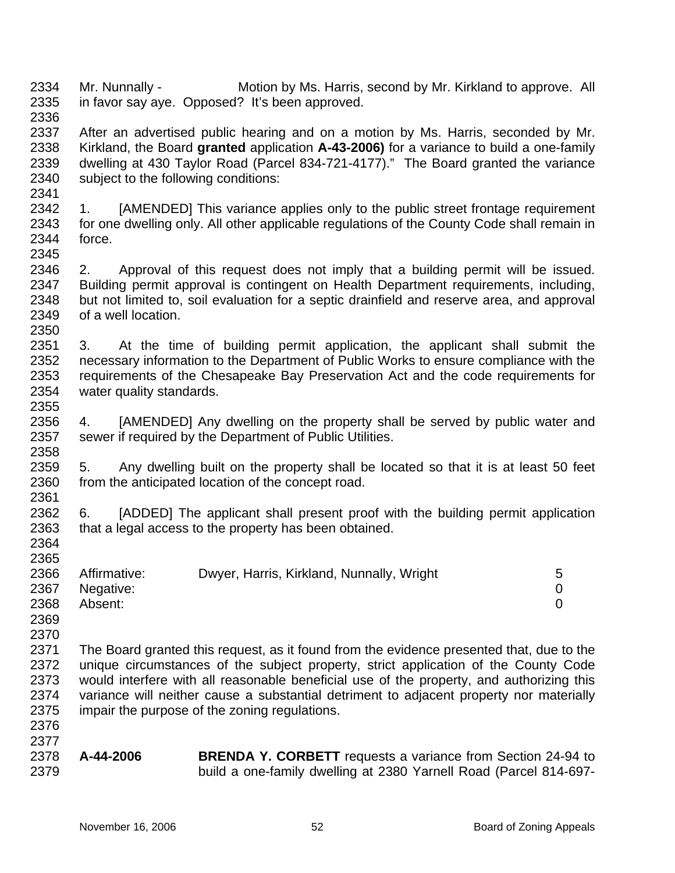2334 2335 2336 Mr. Nunnally - Motion by Ms. Harris, second by Mr. Kirkland to approve. All in favor say aye. Opposed? It's been approved.

2337 2338 2339 2340 After an advertised public hearing and on a motion by Ms. Harris, seconded by Mr. Kirkland, the Board **granted** application **A-43-2006)** for a variance to build a one-family dwelling at 430 Taylor Road (Parcel 834-721-4177)." The Board granted the variance subject to the following conditions:

2342 2343 2344 2345 1. [AMENDED] This variance applies only to the public street frontage requirement for one dwelling only. All other applicable regulations of the County Code shall remain in force.

2346 2347 2348 2349 2350 2. Approval of this request does not imply that a building permit will be issued. Building permit approval is contingent on Health Department requirements, including, but not limited to, soil evaluation for a septic drainfield and reserve area, and approval of a well location.

2351 2352 2353 2354 2355 3. At the time of building permit application, the applicant shall submit the necessary information to the Department of Public Works to ensure compliance with the requirements of the Chesapeake Bay Preservation Act and the code requirements for water quality standards.

2356 2357 2358 4. [AMENDED] Any dwelling on the property shall be served by public water and sewer if required by the Department of Public Utilities.

2359 2360 2361 5. Any dwelling built on the property shall be located so that it is at least 50 feet from the anticipated location of the concept road.

2362 2363 2364 6. [ADDED] The applicant shall present proof with the building permit application that a legal access to the property has been obtained.

2366 2367 2368 Affirmative: Dwyer, Harris, Kirkland, Nunnally, Wright 5 Negative: 0 Absent: 0

2369 2370

2376

2379

2365

2341

2371 2372 2373 2374 2375 The Board granted this request, as it found from the evidence presented that, due to the unique circumstances of the subject property, strict application of the County Code would interfere with all reasonable beneficial use of the property, and authorizing this variance will neither cause a substantial detriment to adjacent property nor materially impair the purpose of the zoning regulations.

2377 2378

**A-44-2006 BRENDA Y. CORBETT** requests a variance from Section 24-94 to build a one-family dwelling at 2380 Yarnell Road (Parcel 814-697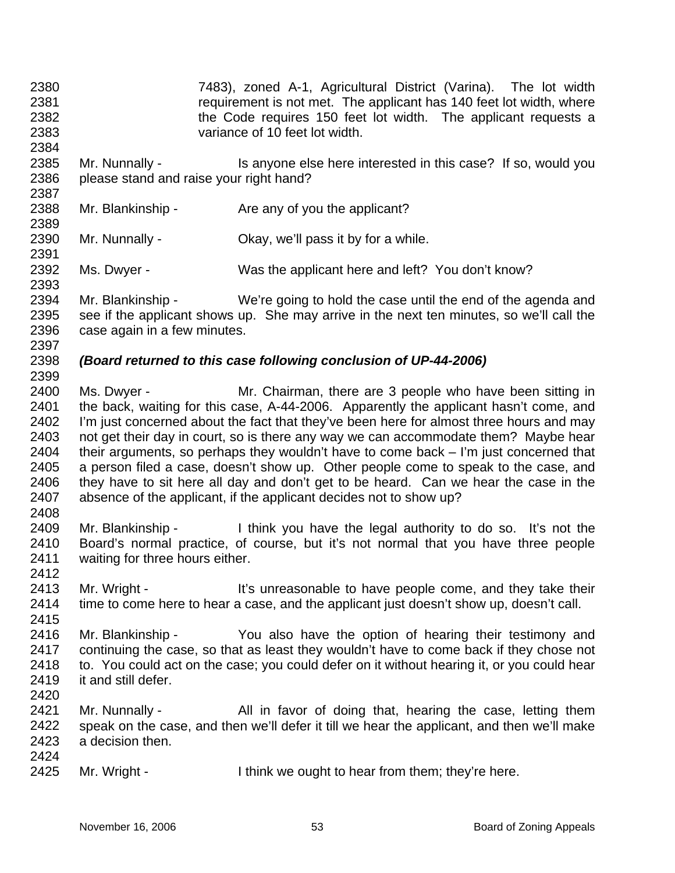2380 2381 2382 2383 2384 2385 2386 2387 2388 2389 2390 2391 2392 2393 2394 2395 2396 2397 2398 2399 2400 2401 2402 2403 2404 2405 2406 2407 2408 2409 2410 2411 2412 2413 2414 2415 2416 2417 2418 2419 2420 2421 2422 2423 2424 2425 7483), zoned A-1, Agricultural District (Varina). The lot width requirement is not met. The applicant has 140 feet lot width, where the Code requires 150 feet lot width. The applicant requests a variance of 10 feet lot width. Mr. Nunnally - Is anyone else here interested in this case? If so, would you please stand and raise your right hand? Mr. Blankinship - Are any of you the applicant? Mr. Nunnally - Ckay, we'll pass it by for a while. Ms. Dwyer - Was the applicant here and left? You don't know? Mr. Blankinship - We're going to hold the case until the end of the agenda and see if the applicant shows up. She may arrive in the next ten minutes, so we'll call the case again in a few minutes. *(Board returned to this case following conclusion of UP-44-2006)*  Ms. Dwyer - The Mr. Chairman, there are 3 people who have been sitting in the back, waiting for this case, A-44-2006. Apparently the applicant hasn't come, and I'm just concerned about the fact that they've been here for almost three hours and may not get their day in court, so is there any way we can accommodate them? Maybe hear their arguments, so perhaps they wouldn't have to come back – I'm just concerned that a person filed a case, doesn't show up. Other people come to speak to the case, and they have to sit here all day and don't get to be heard. Can we hear the case in the absence of the applicant, if the applicant decides not to show up? Mr. Blankinship - I think you have the legal authority to do so. It's not the Board's normal practice, of course, but it's not normal that you have three people waiting for three hours either. Mr. Wright - It's unreasonable to have people come, and they take their time to come here to hear a case, and the applicant just doesn't show up, doesn't call. Mr. Blankinship - You also have the option of hearing their testimony and continuing the case, so that as least they wouldn't have to come back if they chose not to. You could act on the case; you could defer on it without hearing it, or you could hear it and still defer. Mr. Nunnally - All in favor of doing that, hearing the case, letting them speak on the case, and then we'll defer it till we hear the applicant, and then we'll make a decision then. Mr. Wright - I think we ought to hear from them; they're here.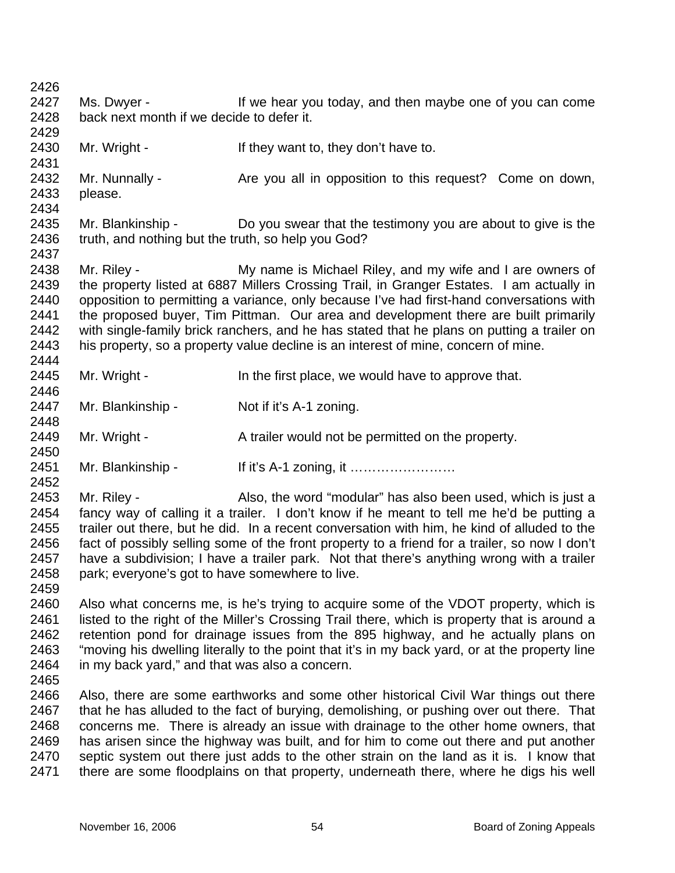| 2426 |                                                    |                                                                                                                                                                                      |
|------|----------------------------------------------------|--------------------------------------------------------------------------------------------------------------------------------------------------------------------------------------|
| 2427 | Ms. Dwyer -                                        | If we hear you today, and then maybe one of you can come                                                                                                                             |
| 2428 | back next month if we decide to defer it.          |                                                                                                                                                                                      |
| 2429 |                                                    |                                                                                                                                                                                      |
| 2430 | Mr. Wright -                                       | If they want to, they don't have to.                                                                                                                                                 |
| 2431 |                                                    |                                                                                                                                                                                      |
| 2432 | Mr. Nunnally -                                     | Are you all in opposition to this request? Come on down,                                                                                                                             |
| 2433 | please.                                            |                                                                                                                                                                                      |
| 2434 |                                                    |                                                                                                                                                                                      |
| 2435 | Mr. Blankinship -                                  | Do you swear that the testimony you are about to give is the                                                                                                                         |
| 2436 | truth, and nothing but the truth, so help you God? |                                                                                                                                                                                      |
| 2437 |                                                    |                                                                                                                                                                                      |
| 2438 | Mr. Riley -                                        | My name is Michael Riley, and my wife and I are owners of                                                                                                                            |
| 2439 |                                                    | the property listed at 6887 Millers Crossing Trail, in Granger Estates. I am actually in                                                                                             |
| 2440 |                                                    | opposition to permitting a variance, only because I've had first-hand conversations with                                                                                             |
| 2441 |                                                    | the proposed buyer, Tim Pittman. Our area and development there are built primarily                                                                                                  |
| 2442 |                                                    | with single-family brick ranchers, and he has stated that he plans on putting a trailer on                                                                                           |
| 2443 |                                                    | his property, so a property value decline is an interest of mine, concern of mine.                                                                                                   |
| 2444 |                                                    |                                                                                                                                                                                      |
| 2445 | Mr. Wright -                                       | In the first place, we would have to approve that.                                                                                                                                   |
| 2446 |                                                    |                                                                                                                                                                                      |
| 2447 | Mr. Blankinship -                                  | Not if it's A-1 zoning.                                                                                                                                                              |
| 2448 |                                                    |                                                                                                                                                                                      |
| 2449 | Mr. Wright -                                       | A trailer would not be permitted on the property.                                                                                                                                    |
| 2450 |                                                    |                                                                                                                                                                                      |
| 2451 | Mr. Blankinship -                                  |                                                                                                                                                                                      |
| 2452 |                                                    |                                                                                                                                                                                      |
| 2453 | Mr. Riley -                                        | Also, the word "modular" has also been used, which is just a                                                                                                                         |
| 2454 |                                                    | fancy way of calling it a trailer. I don't know if he meant to tell me he'd be putting a                                                                                             |
| 2455 |                                                    | trailer out there, but he did. In a recent conversation with him, he kind of alluded to the                                                                                          |
| 2456 |                                                    | fact of possibly selling some of the front property to a friend for a trailer, so now I don't                                                                                        |
| 2457 |                                                    | have a subdivision; I have a trailer park. Not that there's anything wrong with a trailer                                                                                            |
| 2458 |                                                    |                                                                                                                                                                                      |
| 2459 | park; everyone's got to have somewhere to live.    |                                                                                                                                                                                      |
| 2460 |                                                    |                                                                                                                                                                                      |
| 2461 |                                                    | Also what concerns me, is he's trying to acquire some of the VDOT property, which is<br>listed to the right of the Miller's Crossing Trail there, which is property that is around a |
| 2462 |                                                    |                                                                                                                                                                                      |
|      |                                                    | retention pond for drainage issues from the 895 highway, and he actually plans on                                                                                                    |
| 2463 |                                                    | "moving his dwelling literally to the point that it's in my back yard, or at the property line                                                                                       |
| 2464 | in my back yard," and that was also a concern.     |                                                                                                                                                                                      |
| 2465 |                                                    |                                                                                                                                                                                      |
| 2466 |                                                    | Also, there are some earthworks and some other historical Civil War things out there                                                                                                 |
| 2467 |                                                    | that he has alluded to the fact of burying, demolishing, or pushing over out there. That                                                                                             |
| 2468 |                                                    | concerns me. There is already an issue with drainage to the other home owners, that                                                                                                  |
| 2469 |                                                    | has arisen since the highway was built, and for him to come out there and put another                                                                                                |
| 2470 |                                                    | septic system out there just adds to the other strain on the land as it is. I know that                                                                                              |
| 2471 |                                                    | there are some floodplains on that property, underneath there, where he digs his well                                                                                                |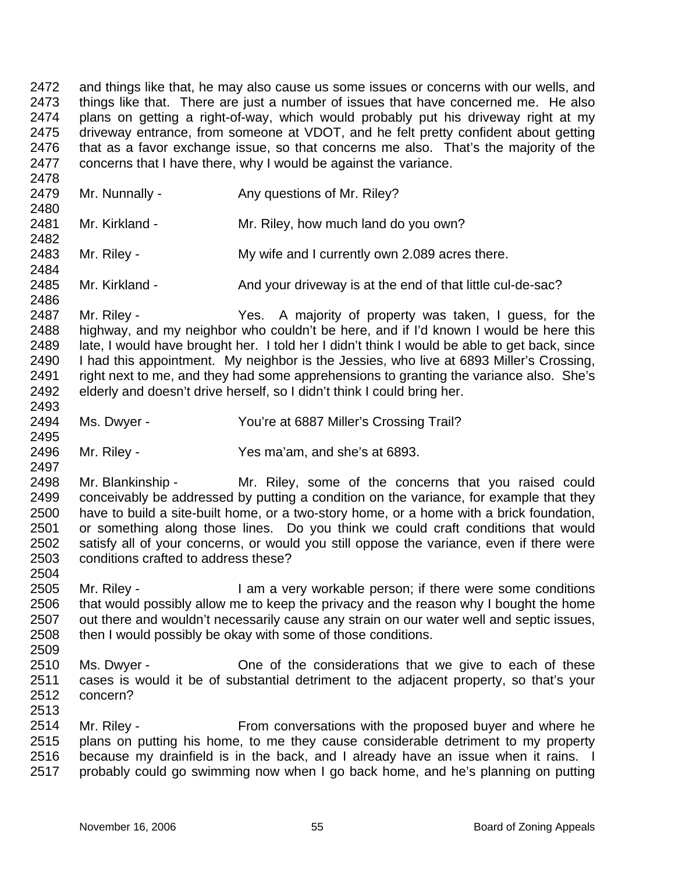2472 2473 2474 2475 2476 2477 and things like that, he may also cause us some issues or concerns with our wells, and things like that. There are just a number of issues that have concerned me. He also plans on getting a right-of-way, which would probably put his driveway right at my driveway entrance, from someone at VDOT, and he felt pretty confident about getting that as a favor exchange issue, so that concerns me also. That's the majority of the concerns that I have there, why I would be against the variance.

- 2478 2479 2480 2481 2482 2483 2484 Mr. Nunnally - Any questions of Mr. Riley? Mr. Kirkland - Mr. Riley, how much land do you own? Mr. Riley - My wife and I currently own 2.089 acres there.
- 2485 2486 Mr. Kirkland - And your driveway is at the end of that little cul-de-sac?

2487 2488 2489 2490 2491 2492 2493 Mr. Riley - The Music Constants are a Yes. A majority of property was taken, I guess, for the highway, and my neighbor who couldn't be here, and if I'd known I would be here this late, I would have brought her. I told her I didn't think I would be able to get back, since I had this appointment. My neighbor is the Jessies, who live at 6893 Miller's Crossing, right next to me, and they had some apprehensions to granting the variance also. She's elderly and doesn't drive herself, so I didn't think I could bring her.

- 2494 Ms. Dwyer - You're at 6887 Miller's Crossing Trail?
- 2496 Mr. Riley - Yes ma'am, and she's at 6893.

2498 2499 2500 2501 2502 2503 Mr. Blankinship - Mr. Riley, some of the concerns that you raised could conceivably be addressed by putting a condition on the variance, for example that they have to build a site-built home, or a two-story home, or a home with a brick foundation, or something along those lines. Do you think we could craft conditions that would satisfy all of your concerns, or would you still oppose the variance, even if there were conditions crafted to address these?

- 2505 2506 2507 2508 Mr. Riley - I am a very workable person; if there were some conditions that would possibly allow me to keep the privacy and the reason why I bought the home out there and wouldn't necessarily cause any strain on our water well and septic issues, then I would possibly be okay with some of those conditions.
- 2510 2511 2512 2513 Ms. Dwyer - One of the considerations that we give to each of these cases is would it be of substantial detriment to the adjacent property, so that's your concern?
- 2514 2515 2516 2517 Mr. Riley - From conversations with the proposed buyer and where he plans on putting his home, to me they cause considerable detriment to my property because my drainfield is in the back, and I already have an issue when it rains. I probably could go swimming now when I go back home, and he's planning on putting

2495

2497

2504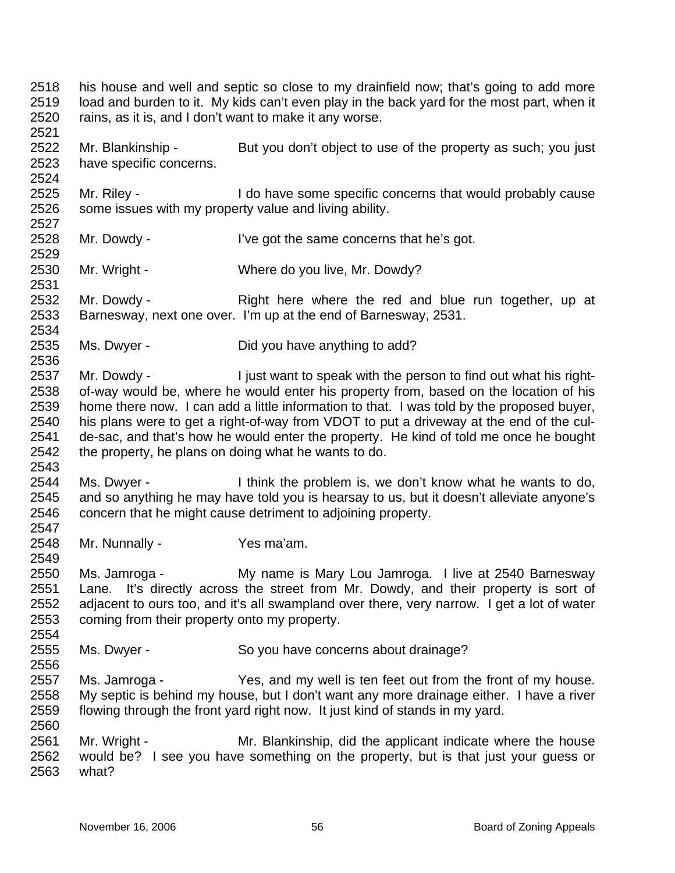2518 2519 2520 his house and well and septic so close to my drainfield now; that's going to add more load and burden to it. My kids can't even play in the back yard for the most part, when it rains, as it is, and I don't want to make it any worse.

2522 2523 Mr. Blankinship - But you don't object to use of the property as such; you just have specific concerns.

2525 2526 Mr. Riley - I do have some specific concerns that would probably cause some issues with my property value and living ability.

2528 2529 Mr. Dowdy - I've got the same concerns that he's got.

2530 Mr. Wright - Where do you live, Mr. Dowdy?

2532 2533 2534 Mr. Dowdy - Right here where the red and blue run together, up at Barnesway, next one over. I'm up at the end of Barnesway, 2531.

2535 Ms. Dwyer - Did you have anything to add?

2537 2538 2539 2540 2541 2542 Mr. Dowdy - I just want to speak with the person to find out what his rightof-way would be, where he would enter his property from, based on the location of his home there now. I can add a little information to that. I was told by the proposed buyer, his plans were to get a right-of-way from VDOT to put a driveway at the end of the culde-sac, and that's how he would enter the property. He kind of told me once he bought the property, he plans on doing what he wants to do.

2544 2545 2546 Ms. Dwyer - I think the problem is, we don't know what he wants to do, and so anything he may have told you is hearsay to us, but it doesn't alleviate anyone's concern that he might cause detriment to adjoining property.

2548 Mr. Nunnally - Yes ma'am.

2521

2524

2527

2531

2536

2543

2547

2549

2554

2556

2560

2550 2551 2552 2553 Ms. Jamroga - My name is Mary Lou Jamroga. I live at 2540 Barnesway Lane. It's directly across the street from Mr. Dowdy, and their property is sort of adjacent to ours too, and it's all swampland over there, very narrow. I get a lot of water coming from their property onto my property.

- 2555 Ms. Dwyer - So you have concerns about drainage?
- 2557 2558 2559 Ms. Jamroga - Yes, and my well is ten feet out from the front of my house. My septic is behind my house, but I don't want any more drainage either. I have a river flowing through the front yard right now. It just kind of stands in my yard.

2561 2562 2563 Mr. Wright - Mr. Blankinship, did the applicant indicate where the house would be? I see you have something on the property, but is that just your guess or what?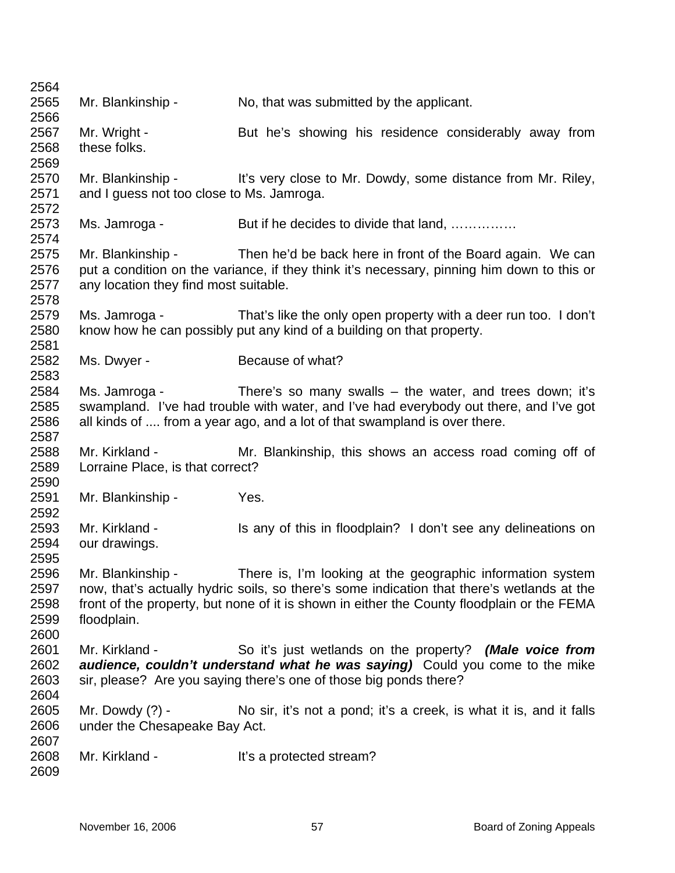2564 2565 2566 2567 2568 2569 2570 2571 2572 2573 2574 2575 2576 2577 2578 2579 2580 2581 2582 2583 2584 2585 2586 2587 2588 2589 2590 2591 2592 2593 2594 2595 2596 2597 2598 2599 2600 2601 2602 2603 2604 2605 2606 2607 2608 2609 Mr. Blankinship - No, that was submitted by the applicant. Mr. Wright - But he's showing his residence considerably away from these folks. Mr. Blankinship - It's very close to Mr. Dowdy, some distance from Mr. Riley, and I guess not too close to Ms. Jamroga. Ms. Jamroga - But if he decides to divide that land, …………… Mr. Blankinship - Then he'd be back here in front of the Board again. We can put a condition on the variance, if they think it's necessary, pinning him down to this or any location they find most suitable. Ms. Jamroga - That's like the only open property with a deer run too. I don't know how he can possibly put any kind of a building on that property. Ms. Dwyer - Because of what? Ms. Jamroga - There's so many swalls – the water, and trees down; it's swampland. I've had trouble with water, and I've had everybody out there, and I've got all kinds of .... from a year ago, and a lot of that swampland is over there. Mr. Kirkland - The Mr. Blankinship, this shows an access road coming off of Lorraine Place, is that correct? Mr. Blankinship - Yes. Mr. Kirkland - Is any of this in floodplain? I don't see any delineations on our drawings. Mr. Blankinship - There is, I'm looking at the geographic information system now, that's actually hydric soils, so there's some indication that there's wetlands at the front of the property, but none of it is shown in either the County floodplain or the FEMA floodplain. Mr. Kirkland - So it's just wetlands on the property? *(Male voice from audience, couldn't understand what he was saying)* Could you come to the mike sir, please? Are you saying there's one of those big ponds there? Mr. Dowdy (?) - No sir, it's not a pond; it's a creek, is what it is, and it falls under the Chesapeake Bay Act. Mr. Kirkland - The It's a protected stream?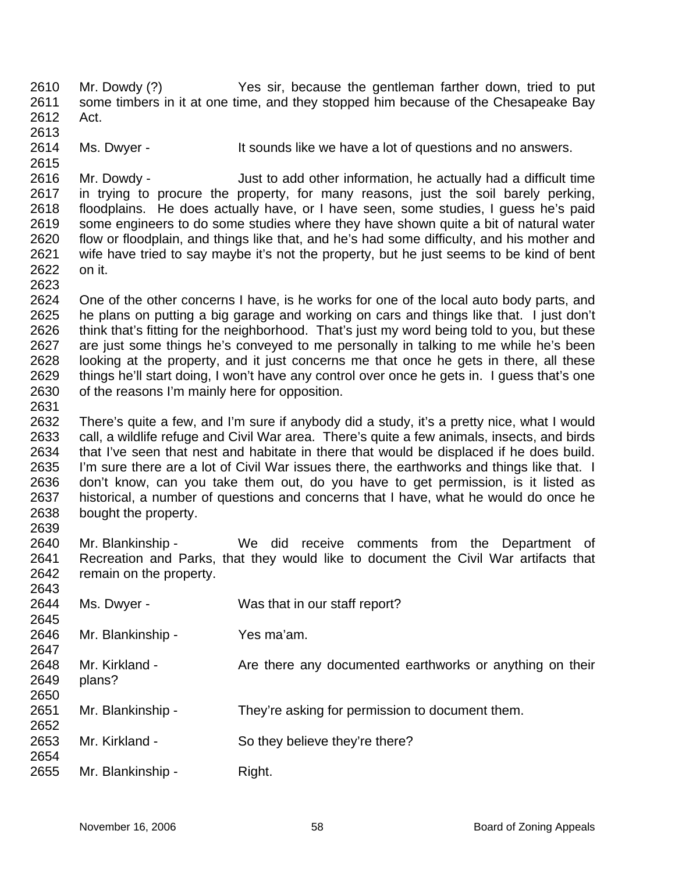- 2610 2611 2612 Mr. Dowdy (?) Yes sir, because the gentleman farther down, tried to put some timbers in it at one time, and they stopped him because of the Chesapeake Bay Act.
- 2614 Ms. Dwyer - It sounds like we have a lot of questions and no answers.

2616 2617 2618 2619 2620 2621 2622 Mr. Dowdy - Just to add other information, he actually had a difficult time in trying to procure the property, for many reasons, just the soil barely perking, floodplains. He does actually have, or I have seen, some studies, I guess he's paid some engineers to do some studies where they have shown quite a bit of natural water flow or floodplain, and things like that, and he's had some difficulty, and his mother and wife have tried to say maybe it's not the property, but he just seems to be kind of bent on it.

2624 2625 2626 2627 2628 2629 2630 One of the other concerns I have, is he works for one of the local auto body parts, and he plans on putting a big garage and working on cars and things like that. I just don't think that's fitting for the neighborhood. That's just my word being told to you, but these are just some things he's conveyed to me personally in talking to me while he's been looking at the property, and it just concerns me that once he gets in there, all these things he'll start doing, I won't have any control over once he gets in. I guess that's one of the reasons I'm mainly here for opposition.

2632 2633 2634 2635 2636 2637 2638 2639 There's quite a few, and I'm sure if anybody did a study, it's a pretty nice, what I would call, a wildlife refuge and Civil War area. There's quite a few animals, insects, and birds that I've seen that nest and habitate in there that would be displaced if he does build. I'm sure there are a lot of Civil War issues there, the earthworks and things like that. I don't know, can you take them out, do you have to get permission, is it listed as historical, a number of questions and concerns that I have, what he would do once he bought the property.

2640 2641 2642 2642 Mr. Blankinship - We did receive comments from the Department of Recreation and Parks, that they would like to document the Civil War artifacts that remain on the property.

| 204J |                   |                                                          |
|------|-------------------|----------------------------------------------------------|
| 2644 | Ms. Dwyer -       | Was that in our staff report?                            |
| 2645 |                   |                                                          |
| 2646 | Mr. Blankinship - | Yes ma'am.                                               |
| 2647 |                   |                                                          |
| 2648 | Mr. Kirkland -    | Are there any documented earthworks or anything on their |
| 2649 | plans?            |                                                          |
| 2650 |                   |                                                          |
| 2651 | Mr. Blankinship - | They're asking for permission to document them.          |
| 2652 |                   |                                                          |
| 2653 | Mr. Kirkland -    | So they believe they're there?                           |
| 2654 |                   |                                                          |
| 2655 | Mr. Blankinship - | Right.                                                   |
|      |                   |                                                          |

2613

2615

2623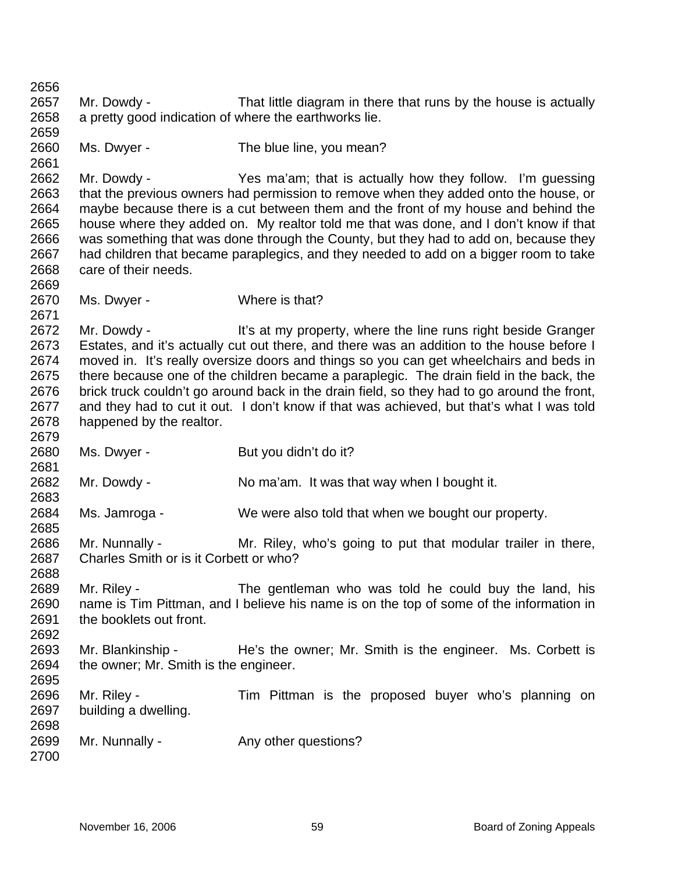2656 2657 2658 2659 2660 2661 2662 2663 2664 2665 2666 2667 2668 2669 2670 2671 2672 2673 2674 2675 2676 2677 2678 2679 2680 2681 2682 2683 2684 2685 2686 2687 2688 2689 2690 2691 2692 2693 2694 2695 2696 2697 2698 2699 2700 Mr. Dowdy - That little diagram in there that runs by the house is actually a pretty good indication of where the earthworks lie. Ms. Dwyer - The blue line, you mean? Mr. Dowdy - Yes ma'am; that is actually how they follow. I'm guessing that the previous owners had permission to remove when they added onto the house, or maybe because there is a cut between them and the front of my house and behind the house where they added on. My realtor told me that was done, and I don't know if that was something that was done through the County, but they had to add on, because they had children that became paraplegics, and they needed to add on a bigger room to take care of their needs. Ms. Dwyer - Where is that? Mr. Dowdy - It's at my property, where the line runs right beside Granger Estates, and it's actually cut out there, and there was an addition to the house before I moved in. It's really oversize doors and things so you can get wheelchairs and beds in there because one of the children became a paraplegic. The drain field in the back, the brick truck couldn't go around back in the drain field, so they had to go around the front, and they had to cut it out. I don't know if that was achieved, but that's what I was told happened by the realtor. Ms. Dwyer - But you didn't do it? Mr. Dowdy - No ma'am. It was that way when I bought it. Ms. Jamroga - We were also told that when we bought our property. Mr. Nunnally - Mr. Riley, who's going to put that modular trailer in there, Charles Smith or is it Corbett or who? Mr. Riley - The gentleman who was told he could buy the land, his name is Tim Pittman, and I believe his name is on the top of some of the information in the booklets out front. Mr. Blankinship - The's the owner; Mr. Smith is the engineer. Ms. Corbett is the owner; Mr. Smith is the engineer. Mr. Riley - Tim Pittman is the proposed buyer who's planning on building a dwelling. Mr. Nunnally - Any other questions?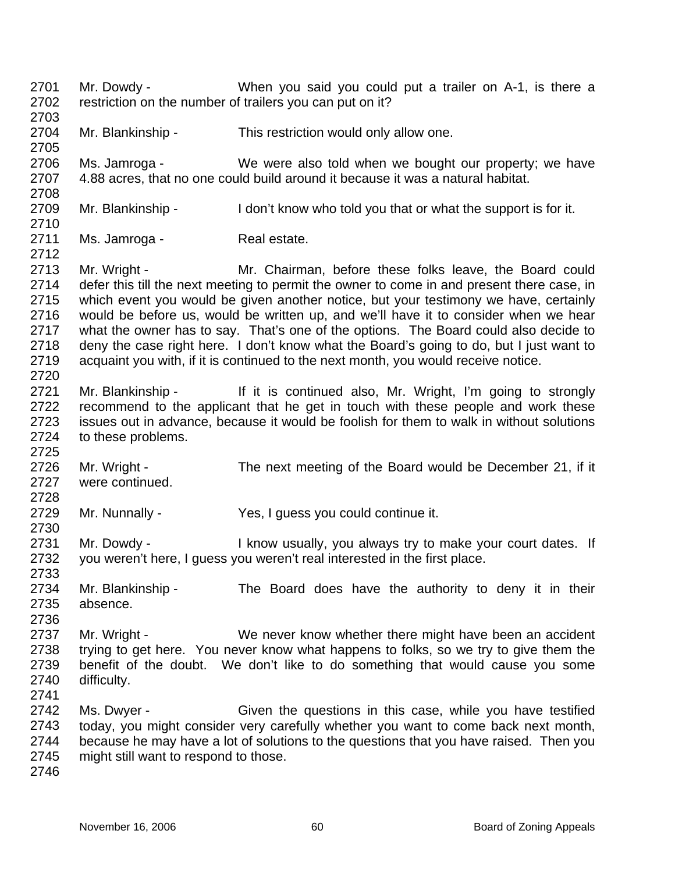- 2701 2702 2703 Mr. Dowdy - When you said you could put a trailer on A-1, is there a restriction on the number of trailers you can put on it?
- 2704 Mr. Blankinship - This restriction would only allow one.

2706 2707 Ms. Jamroga - We were also told when we bought our property; we have 4.88 acres, that no one could build around it because it was a natural habitat.

- 2709 Mr. Blankinship - I don't know who told you that or what the support is for it.
- 2711 Ms. Jamroga - Real estate.

2713 2714 2715 2716 2717 2718 2719 2720 Mr. Wright - The Mr. Chairman, before these folks leave, the Board could defer this till the next meeting to permit the owner to come in and present there case, in which event you would be given another notice, but your testimony we have, certainly would be before us, would be written up, and we'll have it to consider when we hear what the owner has to say. That's one of the options. The Board could also decide to deny the case right here. I don't know what the Board's going to do, but I just want to acquaint you with, if it is continued to the next month, you would receive notice.

- 2721 2722 2723 2724 Mr. Blankinship - If it is continued also, Mr. Wright, I'm going to strongly recommend to the applicant that he get in touch with these people and work these issues out in advance, because it would be foolish for them to walk in without solutions to these problems.
- 2726 2727 Mr. Wright - The next meeting of the Board would be December 21, if it were continued.
- 2729 Mr. Nunnally - Yes, I guess you could continue it.
- 2731 2732 Mr. Dowdy - I know usually, you always try to make your court dates. If you weren't here, I guess you weren't real interested in the first place.
- 2734 2735 Mr. Blankinship - The Board does have the authority to deny it in their absence.
- 2737 2738 2739 2740 Mr. Wright - We never know whether there might have been an accident trying to get here. You never know what happens to folks, so we try to give them the benefit of the doubt. We don't like to do something that would cause you some difficulty.
- 2742 2743 2744 2745 Ms. Dwyer - Given the questions in this case, while you have testified today, you might consider very carefully whether you want to come back next month, because he may have a lot of solutions to the questions that you have raised. Then you might still want to respond to those.
- 2746

2705

2708

2710

2712

2725

2728

2730

2733

2736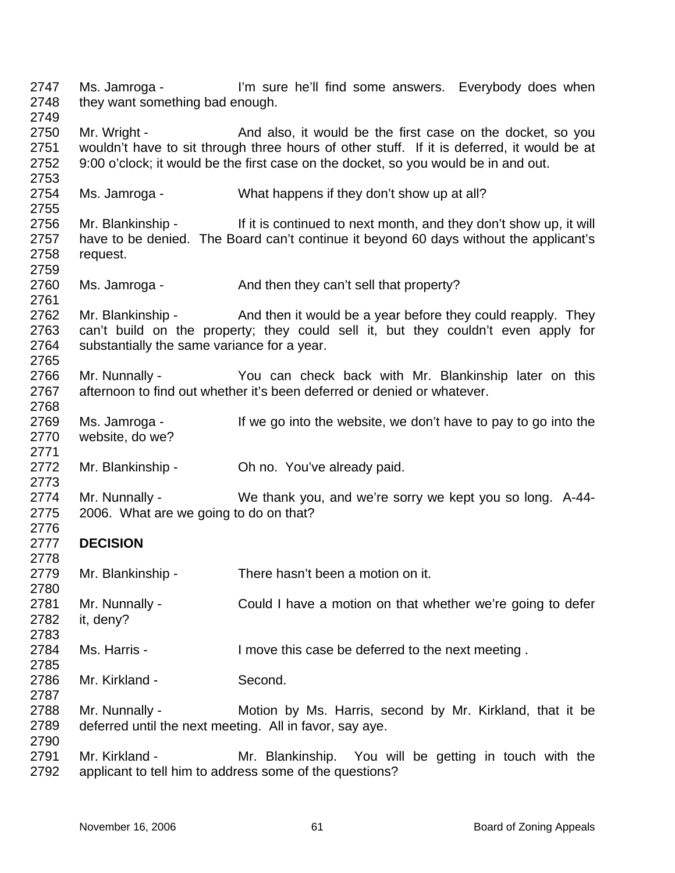2747 2748 2749 2750 2751 2752 2753 2754 2755 2756 2757 2758 2759 2760 2761 2762 2763 2764 2765 2766 2767 2768 2769 2770 2771 2772 2773 2774 2775 2776 2777 2778 2779 2780 2781 2782 2783 2784 2785 2786 2787 2788 2789 2790 2791 2792 Ms. Jamroga - I'm sure he'll find some answers. Everybody does when they want something bad enough. Mr. Wright - And also, it would be the first case on the docket, so you wouldn't have to sit through three hours of other stuff. If it is deferred, it would be at 9:00 o'clock; it would be the first case on the docket, so you would be in and out. Ms. Jamroga - What happens if they don't show up at all? Mr. Blankinship - If it is continued to next month, and they don't show up, it will have to be denied. The Board can't continue it beyond 60 days without the applicant's request. Ms. Jamroga - And then they can't sell that property? Mr. Blankinship - And then it would be a year before they could reapply. They can't build on the property; they could sell it, but they couldn't even apply for substantially the same variance for a year. Mr. Nunnally - You can check back with Mr. Blankinship later on this afternoon to find out whether it's been deferred or denied or whatever. Ms. Jamroga - If we go into the website, we don't have to pay to go into the website, do we? Mr. Blankinship - Oh no. You've already paid. Mr. Nunnally - We thank you, and we're sorry we kept you so long. A-44-2006. What are we going to do on that? **DECISION**  Mr. Blankinship - There hasn't been a motion on it. Mr. Nunnally - Could I have a motion on that whether we're going to defer it, deny? Ms. Harris - I move this case be deferred to the next meeting. Mr. Kirkland - Second. Mr. Nunnally - Motion by Ms. Harris, second by Mr. Kirkland, that it be deferred until the next meeting. All in favor, say aye. Mr. Kirkland - The Mr. Blankinship. You will be getting in touch with the applicant to tell him to address some of the questions?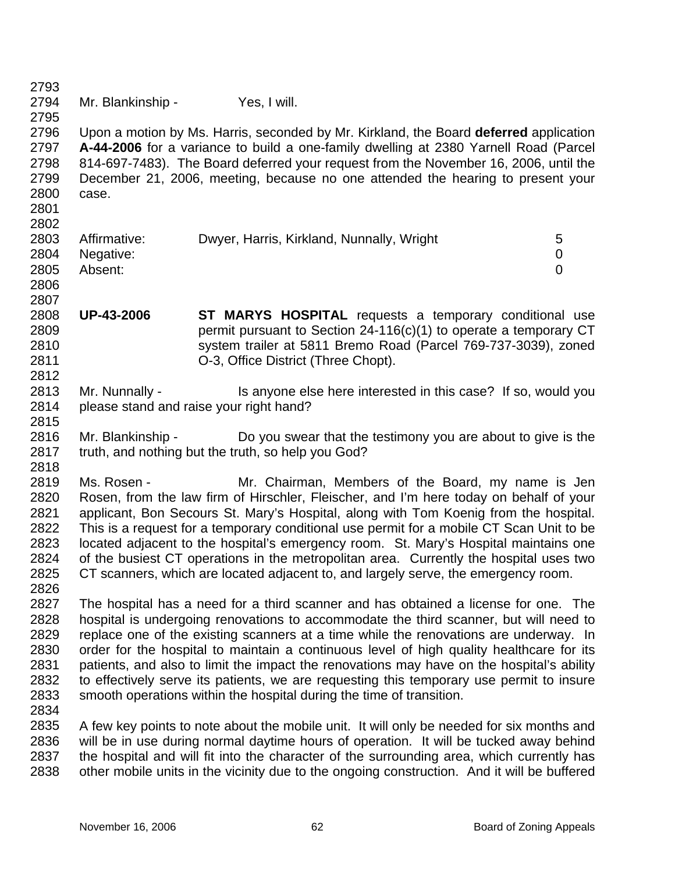2793 2794 2795 2796 2797 2798 2799 2800 2801 2802 2803 2804 2805 2806 2807 2808 2809 2810 2811 2812 2813 2814 2815 2816 2817 2818 2819 2820 2821 2822 2823 2824 2825 2826 2827 2828 2829 2830 2831 2832 2833 2834 2835 2836 2837 2838 Mr. Blankinship - Yes, I will. Upon a motion by Ms. Harris, seconded by Mr. Kirkland, the Board **deferred** application **A-44-2006** for a variance to build a one-family dwelling at 2380 Yarnell Road (Parcel 814-697-7483). The Board deferred your request from the November 16, 2006, until the December 21, 2006, meeting, because no one attended the hearing to present your case. Affirmative: Dwyer, Harris, Kirkland, Nunnally, Wright 5 Negative: 0 Absent: 0 **UP-43-2006 ST MARYS HOSPITAL** requests a temporary conditional use permit pursuant to Section 24-116(c)(1) to operate a temporary CT system trailer at 5811 Bremo Road (Parcel 769-737-3039), zoned O-3, Office District (Three Chopt). Mr. Nunnally - Is anyone else here interested in this case? If so, would you please stand and raise your right hand? Mr. Blankinship - Do you swear that the testimony you are about to give is the truth, and nothing but the truth, so help you God? Ms. Rosen - Mr. Chairman, Members of the Board, my name is Jen Rosen, from the law firm of Hirschler, Fleischer, and I'm here today on behalf of your applicant, Bon Secours St. Mary's Hospital, along with Tom Koenig from the hospital. This is a request for a temporary conditional use permit for a mobile CT Scan Unit to be located adjacent to the hospital's emergency room. St. Mary's Hospital maintains one of the busiest CT operations in the metropolitan area. Currently the hospital uses two CT scanners, which are located adjacent to, and largely serve, the emergency room. The hospital has a need for a third scanner and has obtained a license for one. The hospital is undergoing renovations to accommodate the third scanner, but will need to replace one of the existing scanners at a time while the renovations are underway. In order for the hospital to maintain a continuous level of high quality healthcare for its patients, and also to limit the impact the renovations may have on the hospital's ability to effectively serve its patients, we are requesting this temporary use permit to insure smooth operations within the hospital during the time of transition. A few key points to note about the mobile unit. It will only be needed for six months and will be in use during normal daytime hours of operation. It will be tucked away behind the hospital and will fit into the character of the surrounding area, which currently has other mobile units in the vicinity due to the ongoing construction. And it will be buffered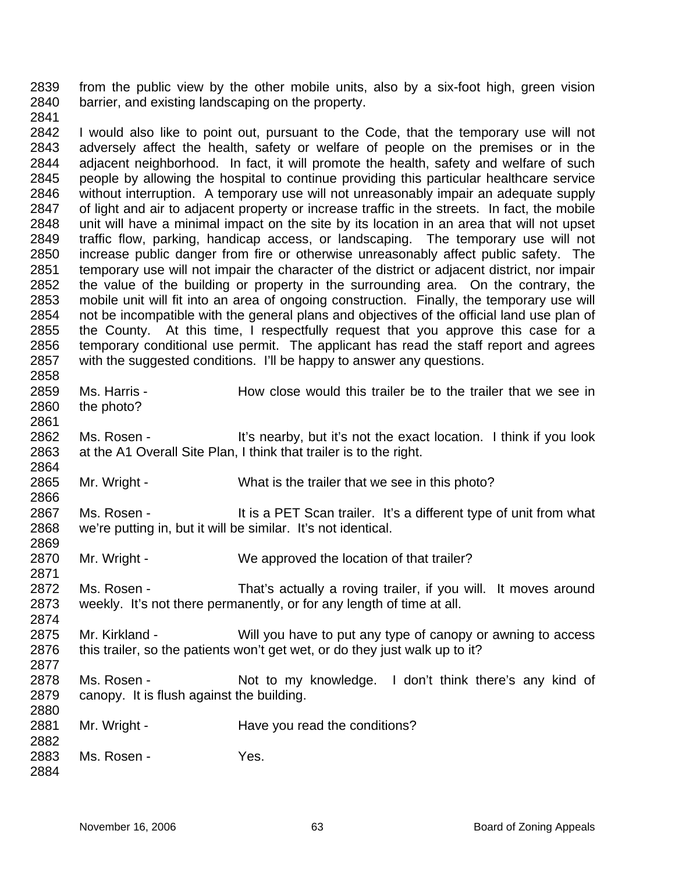2839 2840 from the public view by the other mobile units, also by a six-foot high, green vision barrier, and existing landscaping on the property.

2841

2861

2864

2866

2871

2874

2884

2842 2843 2844 2845 2846 2847 2848 2849 2850 2851 2852 2853 2854 2855 2856 2857 2858 I would also like to point out, pursuant to the Code, that the temporary use will not adversely affect the health, safety or welfare of people on the premises or in the adjacent neighborhood. In fact, it will promote the health, safety and welfare of such people by allowing the hospital to continue providing this particular healthcare service without interruption. A temporary use will not unreasonably impair an adequate supply of light and air to adjacent property or increase traffic in the streets. In fact, the mobile unit will have a minimal impact on the site by its location in an area that will not upset traffic flow, parking, handicap access, or landscaping. The temporary use will not increase public danger from fire or otherwise unreasonably affect public safety. The temporary use will not impair the character of the district or adjacent district, nor impair the value of the building or property in the surrounding area. On the contrary, the mobile unit will fit into an area of ongoing construction. Finally, the temporary use will not be incompatible with the general plans and objectives of the official land use plan of the County. At this time, I respectfully request that you approve this case for a temporary conditional use permit. The applicant has read the staff report and agrees with the suggested conditions. I'll be happy to answer any questions.

2859 2860 Ms. Harris - The How close would this trailer be to the trailer that we see in the photo?

2862 2863 Ms. Rosen - It's nearby, but it's not the exact location. I think if you look at the A1 Overall Site Plan, I think that trailer is to the right.

- 2865 Mr. Wright - What is the trailer that we see in this photo?
- 2867 2868 2869 Ms. Rosen - It is a PET Scan trailer. It's a different type of unit from what we're putting in, but it will be similar. It's not identical.
- 2870 Mr. Wright - We approved the location of that trailer?
- 2872 2873 Ms. Rosen - That's actually a roving trailer, if you will. It moves around weekly. It's not there permanently, or for any length of time at all.
- 2875 2876 2877 Mr. Kirkland - Will you have to put any type of canopy or awning to access this trailer, so the patients won't get wet, or do they just walk up to it?
- 2878 2879 2880 Ms. Rosen - Not to my knowledge. I don't think there's any kind of canopy. It is flush against the building.
- 2881 Mr. Wright - The Have you read the conditions?
- 2882 2883 Ms. Rosen - Yes.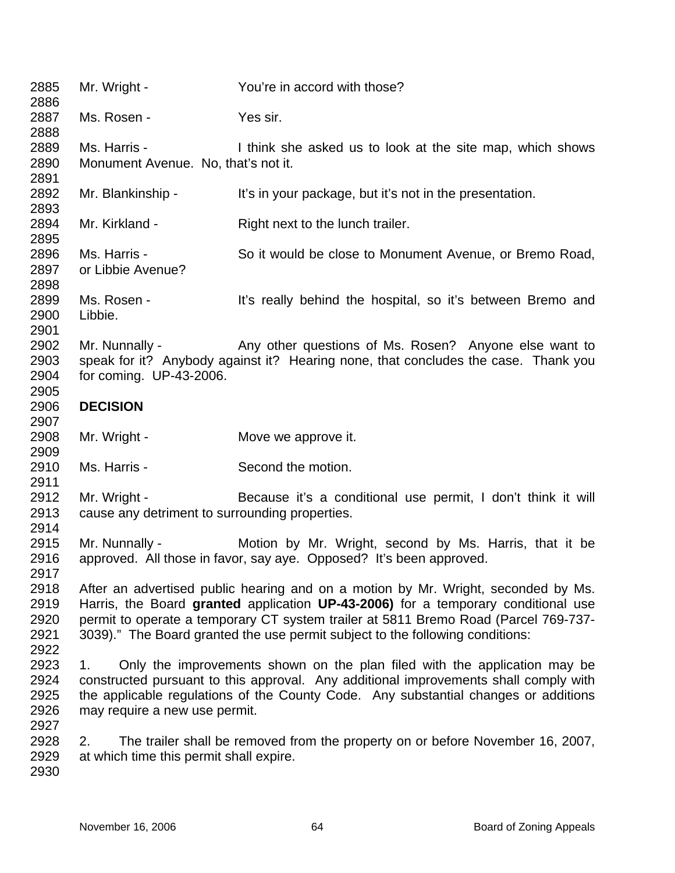| 2885<br>2886                         | Mr. Wright -                                                                                                                                                                                                                                                                                    | You're in accord with those?                                                                                                                                                                                                                                                                                                                   |  |
|--------------------------------------|-------------------------------------------------------------------------------------------------------------------------------------------------------------------------------------------------------------------------------------------------------------------------------------------------|------------------------------------------------------------------------------------------------------------------------------------------------------------------------------------------------------------------------------------------------------------------------------------------------------------------------------------------------|--|
| 2887<br>2888                         | Ms. Rosen -                                                                                                                                                                                                                                                                                     | Yes sir.                                                                                                                                                                                                                                                                                                                                       |  |
| 2889<br>2890<br>2891                 | Ms. Harris -<br>Monument Avenue. No, that's not it.                                                                                                                                                                                                                                             | I think she asked us to look at the site map, which shows                                                                                                                                                                                                                                                                                      |  |
| 2892<br>2893                         | Mr. Blankinship -                                                                                                                                                                                                                                                                               | It's in your package, but it's not in the presentation.                                                                                                                                                                                                                                                                                        |  |
| 2894<br>2895                         | Mr. Kirkland -                                                                                                                                                                                                                                                                                  | Right next to the lunch trailer.                                                                                                                                                                                                                                                                                                               |  |
| 2896<br>2897<br>2898                 | Ms. Harris -<br>or Libbie Avenue?                                                                                                                                                                                                                                                               | So it would be close to Monument Avenue, or Bremo Road,                                                                                                                                                                                                                                                                                        |  |
| 2899<br>2900<br>2901                 | Ms. Rosen -<br>Libbie.                                                                                                                                                                                                                                                                          | It's really behind the hospital, so it's between Bremo and                                                                                                                                                                                                                                                                                     |  |
| 2902<br>2903<br>2904<br>2905         | Mr. Nunnally -<br>for coming. UP-43-2006.                                                                                                                                                                                                                                                       | Any other questions of Ms. Rosen? Anyone else want to<br>speak for it? Anybody against it? Hearing none, that concludes the case. Thank you                                                                                                                                                                                                    |  |
| 2906<br>2907                         | <b>DECISION</b>                                                                                                                                                                                                                                                                                 |                                                                                                                                                                                                                                                                                                                                                |  |
| 2908<br>2909                         | Mr. Wright -                                                                                                                                                                                                                                                                                    | Move we approve it.                                                                                                                                                                                                                                                                                                                            |  |
| 2910<br>2911                         | Ms. Harris -                                                                                                                                                                                                                                                                                    | Second the motion.                                                                                                                                                                                                                                                                                                                             |  |
| 2912<br>2913<br>2914                 | Mr. Wright -<br>cause any detriment to surrounding properties.                                                                                                                                                                                                                                  | Because it's a conditional use permit, I don't think it will                                                                                                                                                                                                                                                                                   |  |
| 2915<br>2916<br>2917                 | Mr. Nunnally -                                                                                                                                                                                                                                                                                  | Motion by Mr. Wright, second by Ms. Harris, that it be<br>approved. All those in favor, say aye. Opposed? It's been approved.                                                                                                                                                                                                                  |  |
| 2918<br>2919<br>2920<br>2921<br>2922 |                                                                                                                                                                                                                                                                                                 | After an advertised public hearing and on a motion by Mr. Wright, seconded by Ms.<br>Harris, the Board granted application UP-43-2006) for a temporary conditional use<br>permit to operate a temporary CT system trailer at 5811 Bremo Road (Parcel 769-737-<br>3039)." The Board granted the use permit subject to the following conditions: |  |
| 2923<br>2924<br>2925<br>2926<br>2927 | Only the improvements shown on the plan filed with the application may be<br>1.<br>constructed pursuant to this approval. Any additional improvements shall comply with<br>the applicable regulations of the County Code. Any substantial changes or additions<br>may require a new use permit. |                                                                                                                                                                                                                                                                                                                                                |  |
| 2928<br>2929<br>2930                 | 2.<br>at which time this permit shall expire.                                                                                                                                                                                                                                                   | The trailer shall be removed from the property on or before November 16, 2007,                                                                                                                                                                                                                                                                 |  |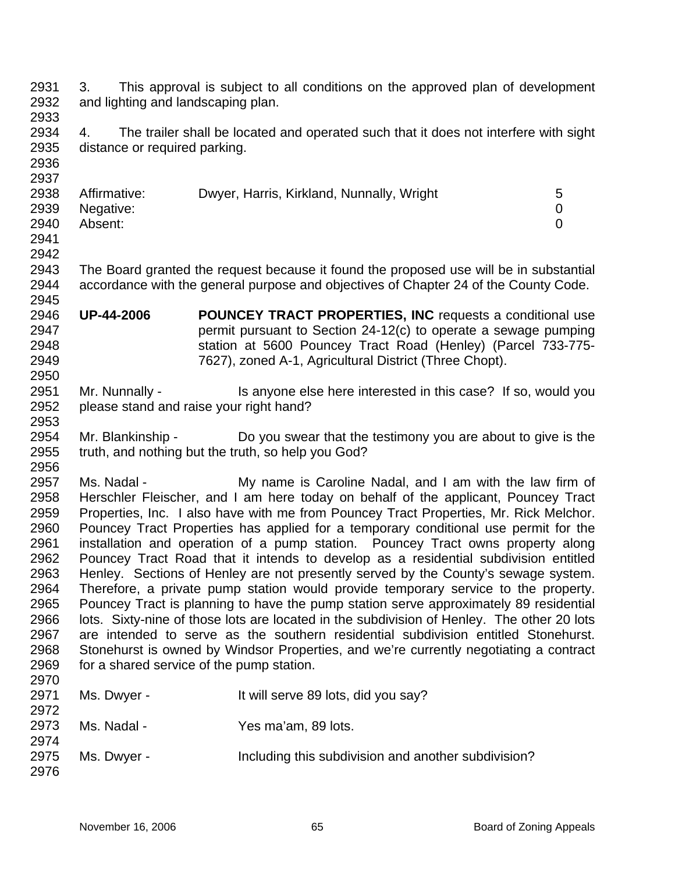2932 2933 2934 2935 2936 2937 2938 2939 2940 2941 2942 2943 2944 2945 2946 2947 2948 2949 2950 2951 2952 2953 2954 2955 2956 2957 2958 2959 2960 2961 2962 2963 2964 2965 2966 2967 2968 2969 2970 2971 2972 2973 2974 2975 2976 3. This approval is subject to all conditions on the approved plan of development and lighting and landscaping plan. 4. The trailer shall be located and operated such that it does not interfere with sight distance or required parking. Affirmative: Dwyer, Harris, Kirkland, Nunnally, Wright 5 Negative: 0 Absent: 0 The Board granted the request because it found the proposed use will be in substantial accordance with the general purpose and objectives of Chapter 24 of the County Code. **UP-44-2006 POUNCEY TRACT PROPERTIES, INC** requests a conditional use permit pursuant to Section 24-12(c) to operate a sewage pumping station at 5600 Pouncey Tract Road (Henley) (Parcel 733-775- 7627), zoned A-1, Agricultural District (Three Chopt). Mr. Nunnally - Is anyone else here interested in this case? If so, would you please stand and raise your right hand? Mr. Blankinship - Do you swear that the testimony you are about to give is the truth, and nothing but the truth, so help you God? Ms. Nadal - My name is Caroline Nadal, and I am with the law firm of Herschler Fleischer, and I am here today on behalf of the applicant, Pouncey Tract Properties, Inc. I also have with me from Pouncey Tract Properties, Mr. Rick Melchor. Pouncey Tract Properties has applied for a temporary conditional use permit for the installation and operation of a pump station. Pouncey Tract owns property along Pouncey Tract Road that it intends to develop as a residential subdivision entitled Henley. Sections of Henley are not presently served by the County's sewage system. Therefore, a private pump station would provide temporary service to the property. Pouncey Tract is planning to have the pump station serve approximately 89 residential lots. Sixty-nine of those lots are located in the subdivision of Henley. The other 20 lots are intended to serve as the southern residential subdivision entitled Stonehurst. Stonehurst is owned by Windsor Properties, and we're currently negotiating a contract for a shared service of the pump station. Ms. Dwyer - It will serve 89 lots, did you say? Ms. Nadal - Yes ma'am, 89 lots. Ms. Dwyer - Including this subdivision and another subdivision?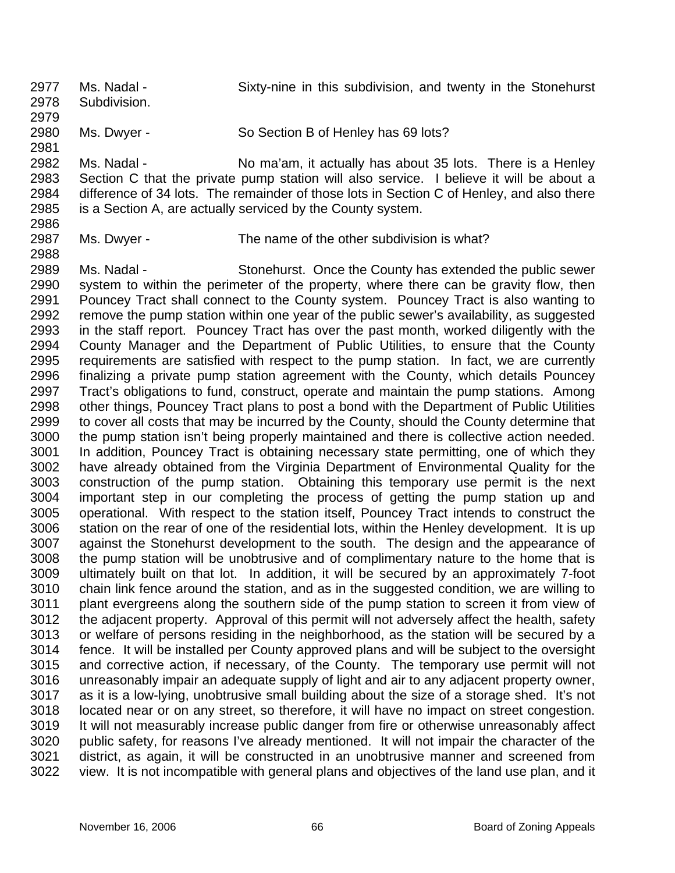2977 2978 2979 2980 2981 2982 2983 2984 2985 2986 2987 2988 Ms. Nadal - Sixty-nine in this subdivision, and twenty in the Stonehurst Subdivision. Ms. Dwyer - So Section B of Henley has 69 lots? Ms. Nadal - No ma'am, it actually has about 35 lots. There is a Henley Section C that the private pump station will also service. I believe it will be about a difference of 34 lots. The remainder of those lots in Section C of Henley, and also there is a Section A, are actually serviced by the County system. Ms. Dwyer - The name of the other subdivision is what?

2989 2990 2991 2992 2993 2994 2995 2996 2997 2998 2999 3000 3001 3002 3003 3004 3005 3006 3007 3008 3009 3010 3011 3012 3013 3014 3015 3016 3017 3018 3019 3020 3021 3022 Ms. Nadal - Stonehurst. Once the County has extended the public sewer system to within the perimeter of the property, where there can be gravity flow, then Pouncey Tract shall connect to the County system. Pouncey Tract is also wanting to remove the pump station within one year of the public sewer's availability, as suggested in the staff report. Pouncey Tract has over the past month, worked diligently with the County Manager and the Department of Public Utilities, to ensure that the County requirements are satisfied with respect to the pump station. In fact, we are currently finalizing a private pump station agreement with the County, which details Pouncey Tract's obligations to fund, construct, operate and maintain the pump stations. Among other things, Pouncey Tract plans to post a bond with the Department of Public Utilities to cover all costs that may be incurred by the County, should the County determine that the pump station isn't being properly maintained and there is collective action needed. In addition, Pouncey Tract is obtaining necessary state permitting, one of which they have already obtained from the Virginia Department of Environmental Quality for the construction of the pump station. Obtaining this temporary use permit is the next important step in our completing the process of getting the pump station up and operational. With respect to the station itself, Pouncey Tract intends to construct the station on the rear of one of the residential lots, within the Henley development. It is up against the Stonehurst development to the south. The design and the appearance of the pump station will be unobtrusive and of complimentary nature to the home that is ultimately built on that lot. In addition, it will be secured by an approximately 7-foot chain link fence around the station, and as in the suggested condition, we are willing to plant evergreens along the southern side of the pump station to screen it from view of the adjacent property. Approval of this permit will not adversely affect the health, safety or welfare of persons residing in the neighborhood, as the station will be secured by a fence. It will be installed per County approved plans and will be subject to the oversight and corrective action, if necessary, of the County. The temporary use permit will not unreasonably impair an adequate supply of light and air to any adjacent property owner, as it is a low-lying, unobtrusive small building about the size of a storage shed. It's not located near or on any street, so therefore, it will have no impact on street congestion. It will not measurably increase public danger from fire or otherwise unreasonably affect public safety, for reasons I've already mentioned. It will not impair the character of the district, as again, it will be constructed in an unobtrusive manner and screened from view. It is not incompatible with general plans and objectives of the land use plan, and it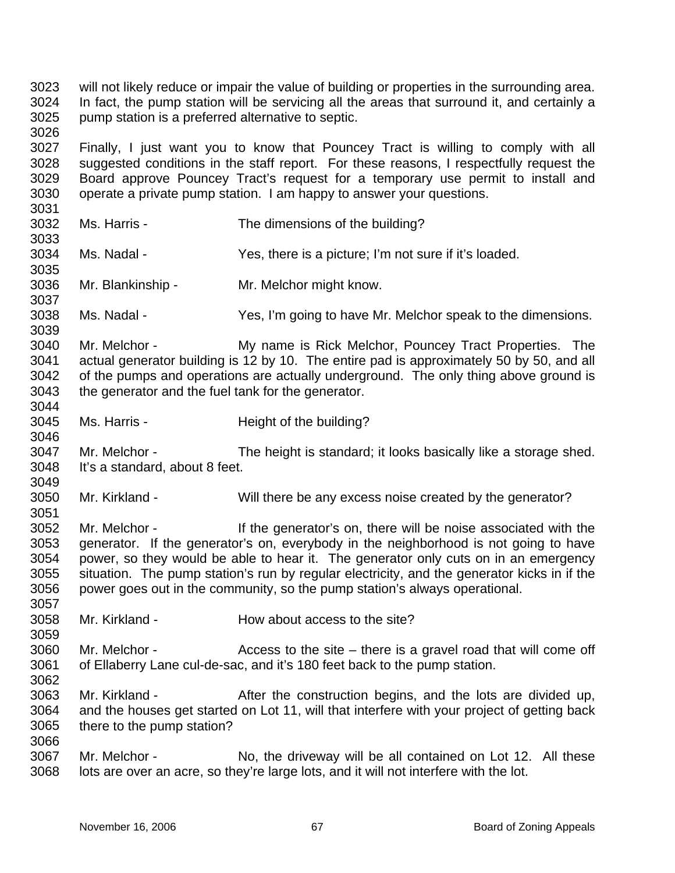3023 3024 3025 3026 will not likely reduce or impair the value of building or properties in the surrounding area. In fact, the pump station will be servicing all the areas that surround it, and certainly a pump station is a preferred alternative to septic.

3027 3028 3029 3030 Finally, I just want you to know that Pouncey Tract is willing to comply with all suggested conditions in the staff report. For these reasons, I respectfully request the Board approve Pouncey Tract's request for a temporary use permit to install and operate a private pump station. I am happy to answer your questions.

- Ms. Harris The dimensions of the building?
- 3034 Ms. Nadal - Yes, there is a picture; I'm not sure if it's loaded.
- 3036 3037 Mr. Blankinship - Mr. Melchor might know.

3031 3032 3033

3035

3039

3044

3046

3051

3059

3066

- 3038 Ms. Nadal - Yes, I'm going to have Mr. Melchor speak to the dimensions.
- 3040 3041 3042 3043 Mr. Melchor - The My name is Rick Melchor, Pouncey Tract Properties. The actual generator building is 12 by 10. The entire pad is approximately 50 by 50, and all of the pumps and operations are actually underground. The only thing above ground is the generator and the fuel tank for the generator.
- 3045 Ms. Harris - Theight of the building?
- 3047 3048 3049 Mr. Melchor - The height is standard; it looks basically like a storage shed. It's a standard, about 8 feet.
- 3050 Mr. Kirkland - Will there be any excess noise created by the generator?

3052 3053 3054 3055 3056 3057 Mr. Melchor - If the generator's on, there will be noise associated with the generator. If the generator's on, everybody in the neighborhood is not going to have power, so they would be able to hear it. The generator only cuts on in an emergency situation. The pump station's run by regular electricity, and the generator kicks in if the power goes out in the community, so the pump station's always operational.

- 3058 Mr. Kirkland - How about access to the site?
- 3060 3061 3062 Mr. Melchor -  $\blacksquare$  Access to the site – there is a gravel road that will come off of Ellaberry Lane cul-de-sac, and it's 180 feet back to the pump station.
- 3063 3064 3065 Mr. Kirkland - **After the construction begins, and the lots are divided up,** and the houses get started on Lot 11, will that interfere with your project of getting back there to the pump station?
- 3067 3068 Mr. Melchor - No, the driveway will be all contained on Lot 12. All these lots are over an acre, so they're large lots, and it will not interfere with the lot.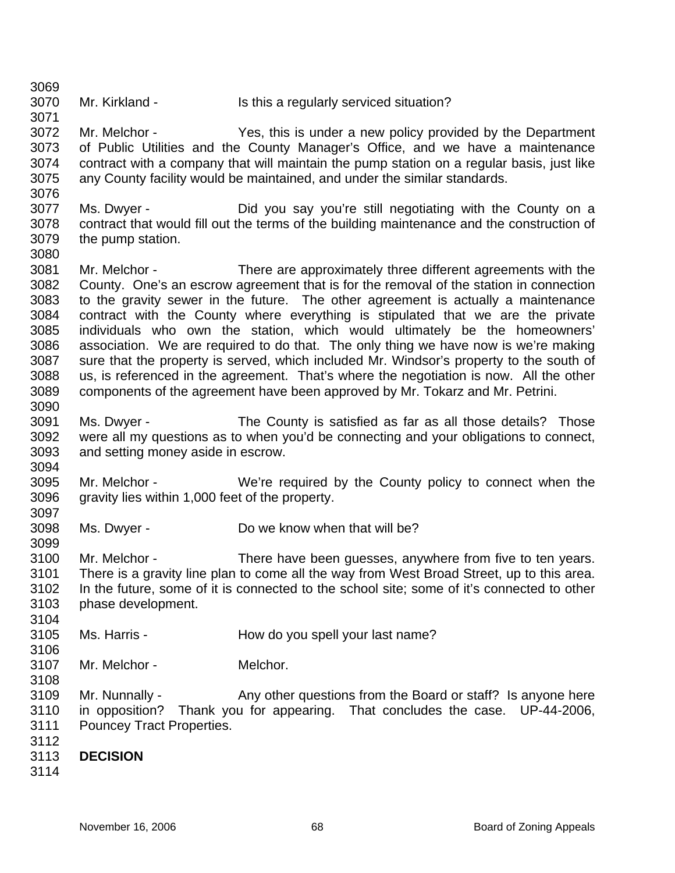- 3070 Mr. Kirkland - Is this a regularly serviced situation?
- 3072 3073 3074 3075 3076 Mr. Melchor - Yes, this is under a new policy provided by the Department of Public Utilities and the County Manager's Office, and we have a maintenance contract with a company that will maintain the pump station on a regular basis, just like any County facility would be maintained, and under the similar standards.
- 3077 3078 3079 Ms. Dwyer - The Did you say you're still negotiating with the County on a contract that would fill out the terms of the building maintenance and the construction of the pump station.
- 3081 3082 3083 3084 3085 3086 3087 3088 3089 3090 Mr. Melchor - There are approximately three different agreements with the County. One's an escrow agreement that is for the removal of the station in connection to the gravity sewer in the future. The other agreement is actually a maintenance contract with the County where everything is stipulated that we are the private individuals who own the station, which would ultimately be the homeowners' association. We are required to do that. The only thing we have now is we're making sure that the property is served, which included Mr. Windsor's property to the south of us, is referenced in the agreement. That's where the negotiation is now. All the other components of the agreement have been approved by Mr. Tokarz and Mr. Petrini.
- 3091 3092 3093 Ms. Dwyer - The County is satisfied as far as all those details? Those were all my questions as to when you'd be connecting and your obligations to connect, and setting money aside in escrow.
- 3095 3096 3097 Mr. Melchor - We're required by the County policy to connect when the gravity lies within 1,000 feet of the property.
- 3098 Ms. Dwyer - Do we know when that will be?
- 3100 3101 3102 3103 Mr. Melchor - There have been guesses, anywhere from five to ten years. There is a gravity line plan to come all the way from West Broad Street, up to this area. In the future, some of it is connected to the school site; some of it's connected to other phase development.
- 3105 Ms. Harris - The How do you spell your last name?
- 3106 3107 Mr. Melchor - Melchor.
- 3108 3109 3110 3111 Mr. Nunnally - Any other questions from the Board or staff? Is anyone here in opposition? Thank you for appearing. That concludes the case. UP-44-2006, Pouncey Tract Properties.
- 3112
- 3113 **DECISION**
- 3114

3069

3071

3080

3094

3099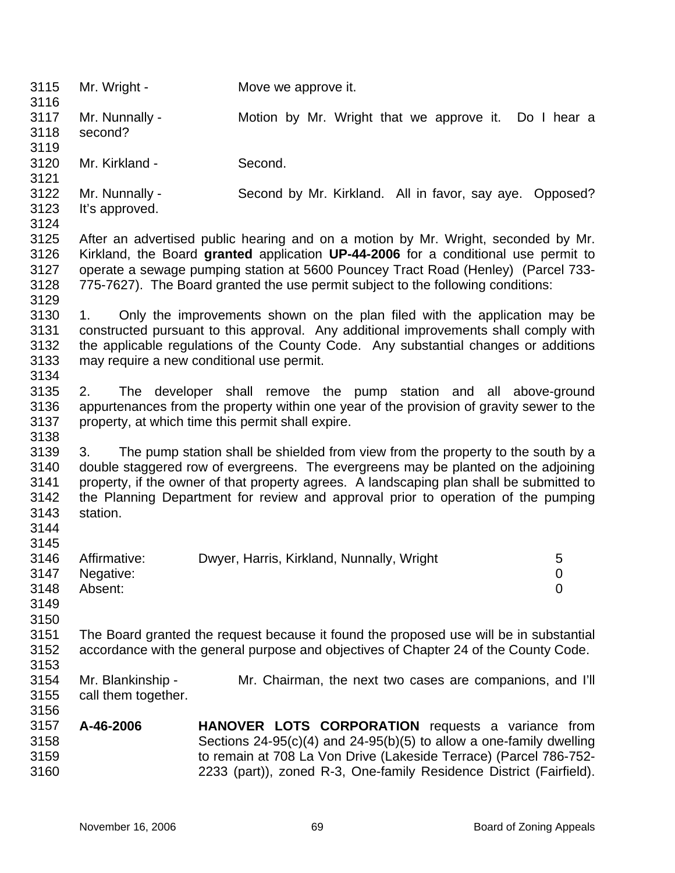| 3115<br>3116                                         | Mr. Wright -                             | Move we approve it.                                                                                                                                                                                                                                                                                                                                     |  |
|------------------------------------------------------|------------------------------------------|---------------------------------------------------------------------------------------------------------------------------------------------------------------------------------------------------------------------------------------------------------------------------------------------------------------------------------------------------------|--|
| 3117<br>3118<br>3119                                 | Mr. Nunnally -<br>second?                | Motion by Mr. Wright that we approve it. Do I hear a                                                                                                                                                                                                                                                                                                    |  |
| 3120<br>3121                                         | Mr. Kirkland -                           | Second.                                                                                                                                                                                                                                                                                                                                                 |  |
| 3122<br>3123<br>3124                                 | Mr. Nunnally -<br>It's approved.         | Second by Mr. Kirkland. All in favor, say aye. Opposed?                                                                                                                                                                                                                                                                                                 |  |
| 3125<br>3126<br>3127<br>3128<br>3129                 |                                          | After an advertised public hearing and on a motion by Mr. Wright, seconded by Mr.<br>Kirkland, the Board granted application UP-44-2006 for a conditional use permit to<br>operate a sewage pumping station at 5600 Pouncey Tract Road (Henley) (Parcel 733-<br>775-7627). The Board granted the use permit subject to the following conditions:        |  |
| 3130<br>3131<br>3132<br>3133<br>3134                 | 1.                                       | Only the improvements shown on the plan filed with the application may be<br>constructed pursuant to this approval. Any additional improvements shall comply with<br>the applicable regulations of the County Code. Any substantial changes or additions<br>may require a new conditional use permit.                                                   |  |
| 3135<br>3136<br>3137<br>3138                         | 2.                                       | The developer shall remove the pump station and all above-ground<br>appurtenances from the property within one year of the provision of gravity sewer to the<br>property, at which time this permit shall expire.                                                                                                                                       |  |
| 3139<br>3140<br>3141<br>3142<br>3143<br>3144<br>3145 | 3.<br>station.                           | The pump station shall be shielded from view from the property to the south by a<br>double staggered row of evergreens. The evergreens may be planted on the adjoining<br>property, if the owner of that property agrees. A landscaping plan shall be submitted to<br>the Planning Department for review and approval prior to operation of the pumping |  |
| 3146<br>3147<br>3148<br>3149<br>3150                 | Affirmative:<br>Negative:<br>Absent:     | Dwyer, Harris, Kirkland, Nunnally, Wright<br>5<br>$\mathbf 0$<br>$\overline{0}$                                                                                                                                                                                                                                                                         |  |
| 3151<br>3152<br>3153                                 |                                          | The Board granted the request because it found the proposed use will be in substantial<br>accordance with the general purpose and objectives of Chapter 24 of the County Code.                                                                                                                                                                          |  |
| 3154<br>3155<br>3156                                 | Mr. Blankinship -<br>call them together. | Mr. Chairman, the next two cases are companions, and I'll                                                                                                                                                                                                                                                                                               |  |
| 3157<br>3158<br>3159<br>3160                         | A-46-2006                                | <b>HANOVER LOTS CORPORATION</b> requests a variance from<br>Sections $24-95(c)(4)$ and $24-95(b)(5)$ to allow a one-family dwelling<br>to remain at 708 La Von Drive (Lakeside Terrace) (Parcel 786-752-<br>2233 (part)), zoned R-3, One-family Residence District (Fairfield).                                                                         |  |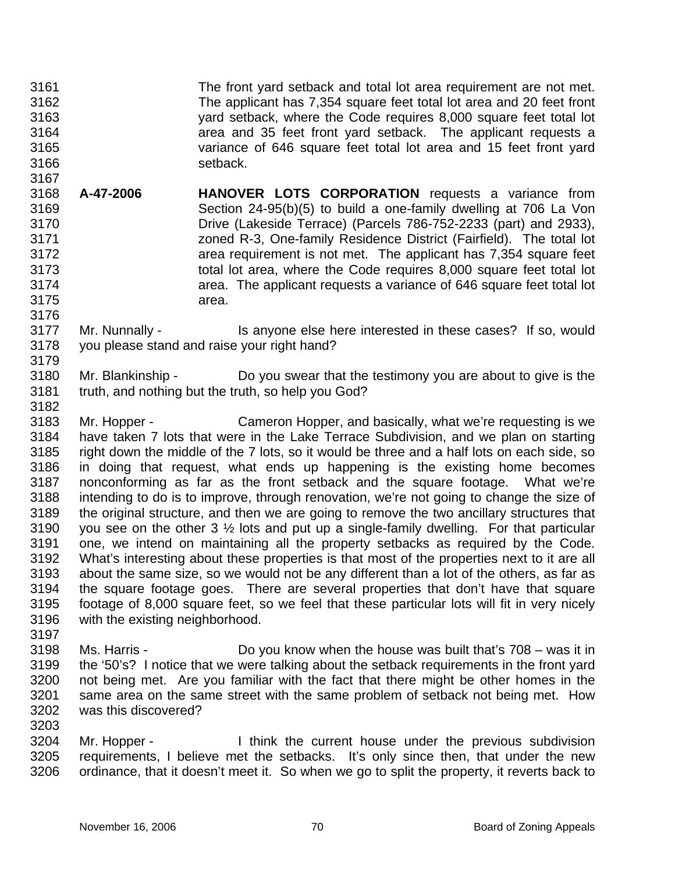3161 3162 3163 3164 3165 3166 3167 The front yard setback and total lot area requirement are not met. The applicant has 7,354 square feet total lot area and 20 feet front yard setback, where the Code requires 8,000 square feet total lot area and 35 feet front yard setback. The applicant requests a variance of 646 square feet total lot area and 15 feet front yard setback.

- 3168 3169 3170 3171 3172 3173 3174 3175 **A-47-2006 HANOVER LOTS CORPORATION** requests a variance from Section 24-95(b)(5) to build a one-family dwelling at 706 La Von Drive (Lakeside Terrace) (Parcels 786-752-2233 (part) and 2933), zoned R-3, One-family Residence District (Fairfield). The total lot area requirement is not met. The applicant has 7,354 square feet total lot area, where the Code requires 8,000 square feet total lot area. The applicant requests a variance of 646 square feet total lot area.
- 3177 3178 3179 Mr. Nunnally - Is anyone else here interested in these cases? If so, would you please stand and raise your right hand?
- 3180 3181 3182 Mr. Blankinship - Do you swear that the testimony you are about to give is the truth, and nothing but the truth, so help you God?
- 3183 3184 3185 3186 3187 3188 3189 3190 3191 3192 3193 3194 3195 3196 3197 Mr. Hopper - Cameron Hopper, and basically, what we're requesting is we have taken 7 lots that were in the Lake Terrace Subdivision, and we plan on starting right down the middle of the 7 lots, so it would be three and a half lots on each side, so in doing that request, what ends up happening is the existing home becomes nonconforming as far as the front setback and the square footage. What we're intending to do is to improve, through renovation, we're not going to change the size of the original structure, and then we are going to remove the two ancillary structures that you see on the other 3 ½ lots and put up a single-family dwelling. For that particular one, we intend on maintaining all the property setbacks as required by the Code. What's interesting about these properties is that most of the properties next to it are all about the same size, so we would not be any different than a lot of the others, as far as the square footage goes. There are several properties that don't have that square footage of 8,000 square feet, so we feel that these particular lots will fit in very nicely with the existing neighborhood.
- 3198 3199 3200 3201 3202 Ms. Harris - Do you know when the house was built that's 708 – was it in the '50's? I notice that we were talking about the setback requirements in the front yard not being met. Are you familiar with the fact that there might be other homes in the same area on the same street with the same problem of setback not being met. How was this discovered?
- 3204 3205 3206 Mr. Hopper - Think the current house under the previous subdivision requirements, I believe met the setbacks. It's only since then, that under the new ordinance, that it doesn't meet it. So when we go to split the property, it reverts back to

3176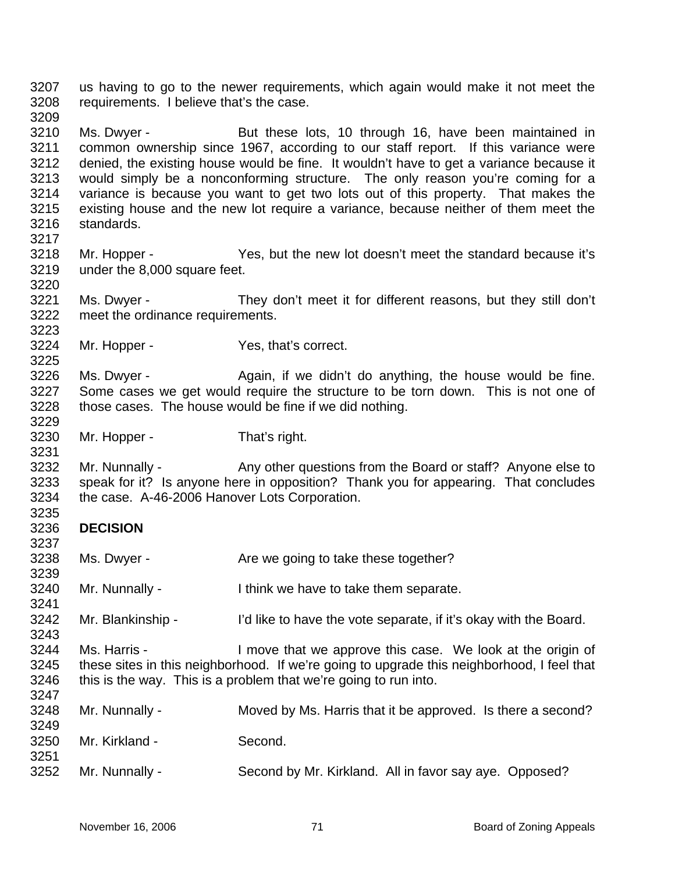3207 3208 3209 us having to go to the newer requirements, which again would make it not meet the requirements. I believe that's the case.

3210 3211 3212 3213 3214 3215 3216 Ms. Dwyer - But these lots, 10 through 16, have been maintained in common ownership since 1967, according to our staff report. If this variance were denied, the existing house would be fine. It wouldn't have to get a variance because it would simply be a nonconforming structure. The only reason you're coming for a variance is because you want to get two lots out of this property. That makes the existing house and the new lot require a variance, because neither of them meet the standards.

- 3218 3219 Mr. Hopper - Yes, but the new lot doesn't meet the standard because it's under the 8,000 square feet.
- 3221 3222 Ms. Dwyer - They don't meet it for different reasons, but they still don't meet the ordinance requirements.
- 3224 Mr. Hopper - Yes, that's correct.

3226 3227 3228 Ms. Dwyer - Again, if we didn't do anything, the house would be fine. Some cases we get would require the structure to be torn down. This is not one of those cases. The house would be fine if we did nothing.

3230 Mr. Hopper - That's right.

3232 3233 3234 Mr. Nunnally - Any other questions from the Board or staff? Anyone else to speak for it? Is anyone here in opposition? Thank you for appearing. That concludes the case. A-46-2006 Hanover Lots Corporation.

3236 **DECISION** 

3217

3220

3223

3225

3229

3231

3235

3237

3243

- 3238 3239 Ms. Dwyer - The Marken we going to take these together?
- 3240 3241 Mr. Nunnally - I think we have to take them separate.
- 3242 Mr. Blankinship - I'd like to have the vote separate, if it's okay with the Board.
- 3244 3245 3246 Ms. Harris - I move that we approve this case. We look at the origin of these sites in this neighborhood. If we're going to upgrade this neighborhood, I feel that this is the way. This is a problem that we're going to run into.
- 3248 3249 Mr. Nunnally - Moved by Ms. Harris that it be approved. Is there a second?
- 3250 3251 Mr. Kirkland - Second.
- 3252 Mr. Nunnally - Second by Mr. Kirkland. All in favor say aye. Opposed?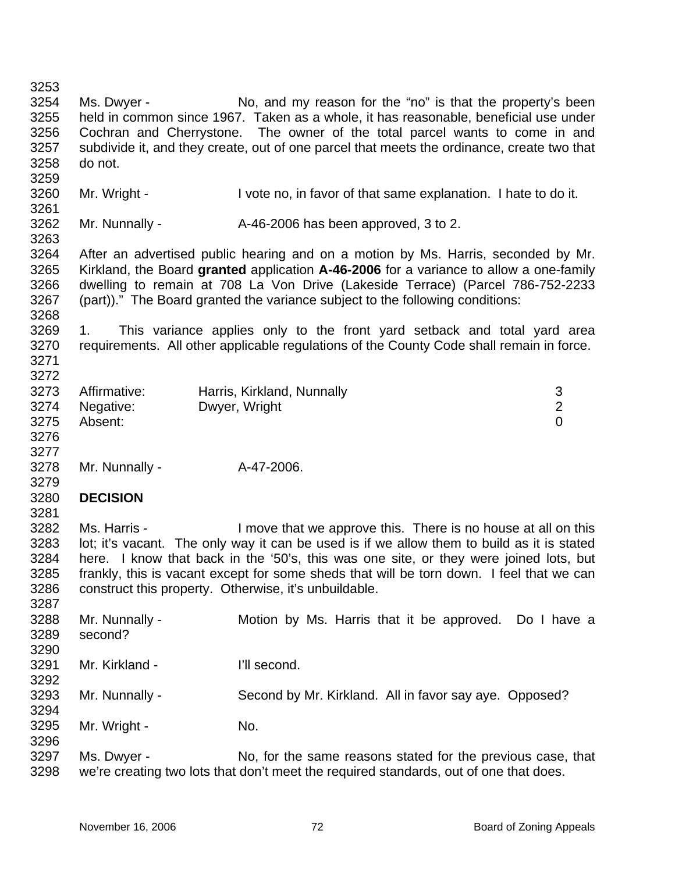| 3253 |                                                       |                                                                                            |                |
|------|-------------------------------------------------------|--------------------------------------------------------------------------------------------|----------------|
| 3254 | Ms. Dwyer -                                           | No, and my reason for the "no" is that the property's been                                 |                |
| 3255 |                                                       | held in common since 1967. Taken as a whole, it has reasonable, beneficial use under       |                |
| 3256 |                                                       | Cochran and Cherrystone. The owner of the total parcel wants to come in and                |                |
| 3257 |                                                       | subdivide it, and they create, out of one parcel that meets the ordinance, create two that |                |
|      |                                                       |                                                                                            |                |
| 3258 | do not.                                               |                                                                                            |                |
| 3259 |                                                       |                                                                                            |                |
| 3260 | Mr. Wright -                                          | I vote no, in favor of that same explanation. I hate to do it.                             |                |
| 3261 |                                                       |                                                                                            |                |
| 3262 | Mr. Nunnally -                                        | A-46-2006 has been approved, 3 to 2.                                                       |                |
| 3263 |                                                       |                                                                                            |                |
| 3264 |                                                       | After an advertised public hearing and on a motion by Ms. Harris, seconded by Mr.          |                |
| 3265 |                                                       | Kirkland, the Board granted application A-46-2006 for a variance to allow a one-family     |                |
| 3266 |                                                       | dwelling to remain at 708 La Von Drive (Lakeside Terrace) (Parcel 786-752-2233             |                |
| 3267 |                                                       | (part))." The Board granted the variance subject to the following conditions:              |                |
| 3268 |                                                       |                                                                                            |                |
| 3269 | 1.                                                    | This variance applies only to the front yard setback and total yard area                   |                |
| 3270 |                                                       | requirements. All other applicable regulations of the County Code shall remain in force.   |                |
|      |                                                       |                                                                                            |                |
| 3271 |                                                       |                                                                                            |                |
| 3272 |                                                       |                                                                                            |                |
| 3273 | Affirmative:                                          | Harris, Kirkland, Nunnally                                                                 | 3              |
| 3274 | Negative:                                             | Dwyer, Wright                                                                              | $\overline{2}$ |
| 3275 | Absent:                                               |                                                                                            | $\overline{0}$ |
| 3276 |                                                       |                                                                                            |                |
| 3277 |                                                       |                                                                                            |                |
| 3278 | Mr. Nunnally -                                        | A-47-2006.                                                                                 |                |
| 3279 |                                                       |                                                                                            |                |
| 3280 | <b>DECISION</b>                                       |                                                                                            |                |
| 3281 |                                                       |                                                                                            |                |
| 3282 | Ms. Harris -                                          | I move that we approve this. There is no house at all on this                              |                |
| 3283 |                                                       | lot; it's vacant. The only way it can be used is if we allow them to build as it is stated |                |
| 3284 |                                                       |                                                                                            |                |
|      |                                                       | here. I know that back in the '50's, this was one site, or they were joined lots, but      |                |
| 3285 |                                                       | frankly, this is vacant except for some sheds that will be torn down. I feel that we can   |                |
| 3286 | construct this property. Otherwise, it's unbuildable. |                                                                                            |                |
| 3287 |                                                       |                                                                                            |                |
| 3288 | Mr. Nunnally -                                        | Motion by Ms. Harris that it be approved. Do I have a                                      |                |
| 3289 | second?                                               |                                                                                            |                |
| 3290 |                                                       |                                                                                            |                |
| 3291 | Mr. Kirkland -                                        | I'll second.                                                                               |                |
| 3292 |                                                       |                                                                                            |                |
| 3293 | Mr. Nunnally -                                        | Second by Mr. Kirkland. All in favor say aye. Opposed?                                     |                |
| 3294 |                                                       |                                                                                            |                |
| 3295 | Mr. Wright -                                          | No.                                                                                        |                |
| 3296 |                                                       |                                                                                            |                |
|      |                                                       |                                                                                            |                |
| 3297 | Ms. Dwyer -                                           | No, for the same reasons stated for the previous case, that                                |                |
| 3298 |                                                       | we're creating two lots that don't meet the required standards, out of one that does.      |                |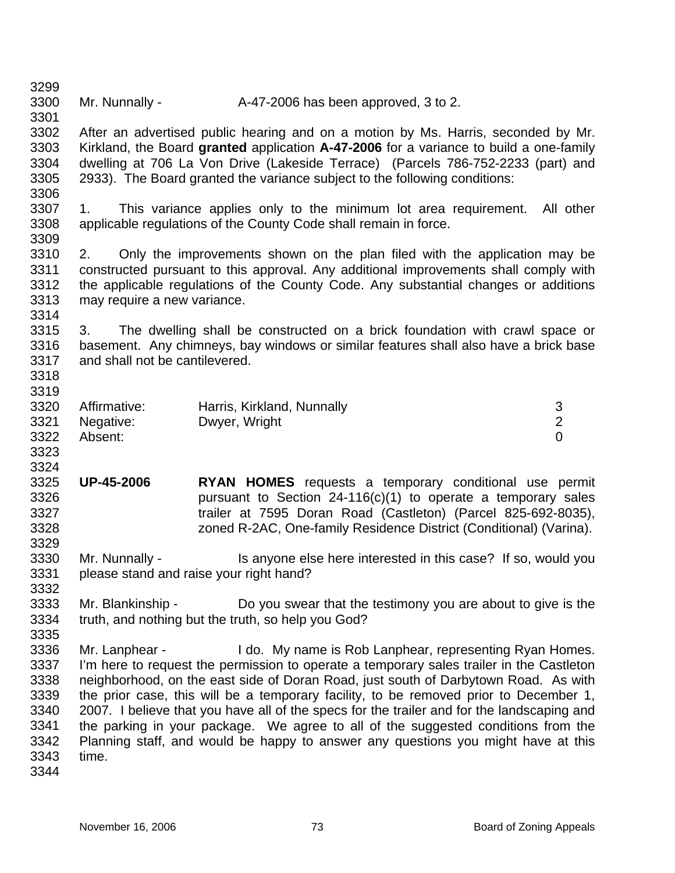| 3300 | Mr. Nunnally - | A-47-2006 has been approved, 3 to 2. |
|------|----------------|--------------------------------------|

3302 3303 3304 3305 3306 After an advertised public hearing and on a motion by Ms. Harris, seconded by Mr. Kirkland, the Board **granted** application **A-47-2006** for a variance to build a one-family dwelling at 706 La Von Drive (Lakeside Terrace) (Parcels 786-752-2233 (part) and 2933). The Board granted the variance subject to the following conditions:

3307 3308 1. This variance applies only to the minimum lot area requirement. All other applicable regulations of the County Code shall remain in force.

3310 3311 3312 3313 2. Only the improvements shown on the plan filed with the application may be constructed pursuant to this approval. Any additional improvements shall comply with the applicable regulations of the County Code. Any substantial changes or additions may require a new variance.

3315 3316 3317 3. The dwelling shall be constructed on a brick foundation with crawl space or basement. Any chimneys, bay windows or similar features shall also have a brick base and shall not be cantilevered.

3318 3319

3323 3324

3329

3332

3335

3299

3301

3309

3314

| 3320 | Affirmative:   | Harris, Kirkland, Nunnally |  |
|------|----------------|----------------------------|--|
|      | 3321 Negative: | Dwyer, Wright              |  |
| 3322 | Absent:        |                            |  |

3325 3326 3327 3328 **UP-45-2006 RYAN HOMES** requests a temporary conditional use permit pursuant to Section 24-116(c)(1) to operate a temporary sales trailer at 7595 Doran Road (Castleton) (Parcel 825-692-8035), zoned R-2AC, One-family Residence District (Conditional) (Varina).

3330 3331 Mr. Nunnally - Is anyone else here interested in this case? If so, would you please stand and raise your right hand?

3333 3334 Mr. Blankinship - Do you swear that the testimony you are about to give is the truth, and nothing but the truth, so help you God?

3336 3337 3338 3339 3340 3341 3342 3343 Mr. Lanphear - I do. My name is Rob Lanphear, representing Ryan Homes. I'm here to request the permission to operate a temporary sales trailer in the Castleton neighborhood, on the east side of Doran Road, just south of Darbytown Road. As with the prior case, this will be a temporary facility, to be removed prior to December 1, 2007. I believe that you have all of the specs for the trailer and for the landscaping and the parking in your package. We agree to all of the suggested conditions from the Planning staff, and would be happy to answer any questions you might have at this time.

3344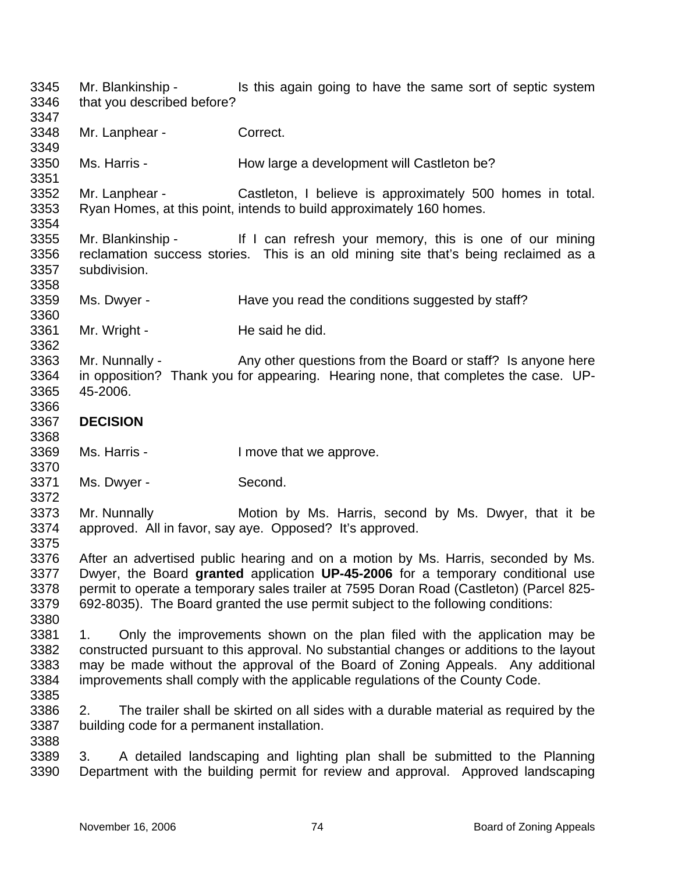3345 3346 3347 3348 3349 3350 3351 3352 3353 3354 3355 3356 3357 3358 3359 3360 3361 3362 3363 3364 3365 3366 3367 3368 3369 3370 3371 3372 3373 3374 3375 3376 3377 3378 3379 3380 3381 3382 3383 3384 3385 3386 3387 3388 3389 3390 Mr. Blankinship - Is this again going to have the same sort of septic system that you described before? Mr. Lanphear - Correct. Ms. Harris - The How large a development will Castleton be? Mr. Lanphear - Castleton, I believe is approximately 500 homes in total. Ryan Homes, at this point, intends to build approximately 160 homes. Mr. Blankinship - If I can refresh your memory, this is one of our mining reclamation success stories. This is an old mining site that's being reclaimed as a subdivision. Ms. Dwyer - The Have you read the conditions suggested by staff? Mr. Wright - He said he did. Mr. Nunnally - Any other questions from the Board or staff? Is anyone here in opposition? Thank you for appearing. Hearing none, that completes the case. UP-45-2006. **DECISION**  Ms. Harris - I move that we approve. Ms. Dwyer - Second. Mr. Nunnally **Motion by Ms. Harris, second by Ms. Dwyer, that it be** approved. All in favor, say aye. Opposed? It's approved. After an advertised public hearing and on a motion by Ms. Harris, seconded by Ms. Dwyer, the Board **granted** application **UP-45-2006** for a temporary conditional use permit to operate a temporary sales trailer at 7595 Doran Road (Castleton) (Parcel 825- 692-8035). The Board granted the use permit subject to the following conditions: 1. Only the improvements shown on the plan filed with the application may be constructed pursuant to this approval. No substantial changes or additions to the layout may be made without the approval of the Board of Zoning Appeals. Any additional improvements shall comply with the applicable regulations of the County Code. 2. The trailer shall be skirted on all sides with a durable material as required by the building code for a permanent installation. 3. A detailed landscaping and lighting plan shall be submitted to the Planning Department with the building permit for review and approval. Approved landscaping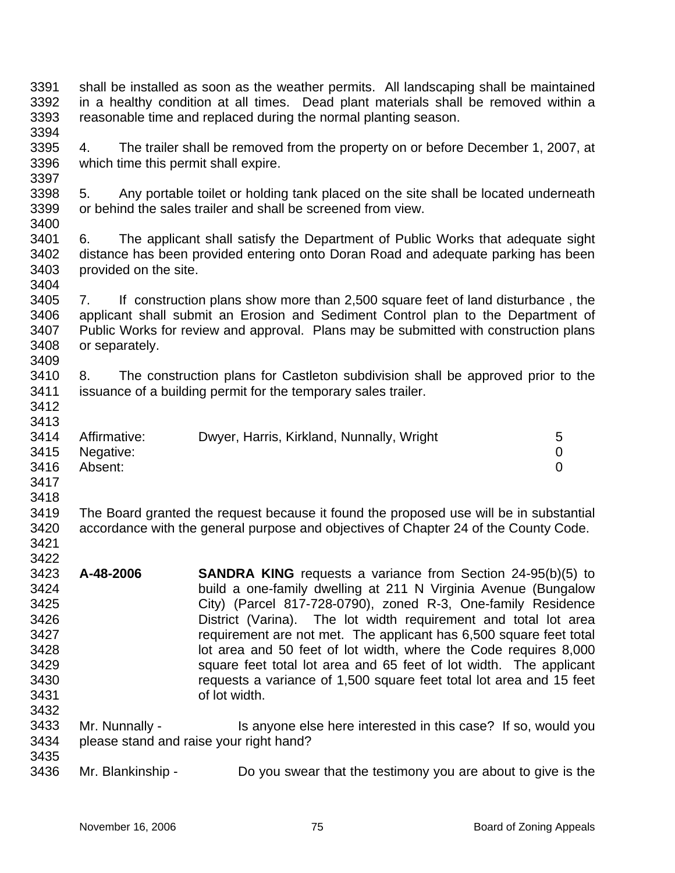| 3391<br>3392<br>3393<br>3394                                                 | shall be installed as soon as the weather permits. All landscaping shall be maintained<br>in a healthy condition at all times. Dead plant materials shall be removed within a<br>reasonable time and replaced during the normal planting season.                                    |                                                                                                                                                                                                                                                                                                                                                                                                                                                                                                                                                                                 |                          |
|------------------------------------------------------------------------------|-------------------------------------------------------------------------------------------------------------------------------------------------------------------------------------------------------------------------------------------------------------------------------------|---------------------------------------------------------------------------------------------------------------------------------------------------------------------------------------------------------------------------------------------------------------------------------------------------------------------------------------------------------------------------------------------------------------------------------------------------------------------------------------------------------------------------------------------------------------------------------|--------------------------|
| 3395<br>3396<br>3397                                                         | The trailer shall be removed from the property on or before December 1, 2007, at<br>4.<br>which time this permit shall expire.                                                                                                                                                      |                                                                                                                                                                                                                                                                                                                                                                                                                                                                                                                                                                                 |                          |
| 3398<br>3399<br>3400                                                         | Any portable toilet or holding tank placed on the site shall be located underneath<br>5.<br>or behind the sales trailer and shall be screened from view.                                                                                                                            |                                                                                                                                                                                                                                                                                                                                                                                                                                                                                                                                                                                 |                          |
| 3401<br>3402<br>3403<br>3404                                                 | The applicant shall satisfy the Department of Public Works that adequate sight<br>6.<br>distance has been provided entering onto Doran Road and adequate parking has been<br>provided on the site.                                                                                  |                                                                                                                                                                                                                                                                                                                                                                                                                                                                                                                                                                                 |                          |
| 3405<br>3406<br>3407<br>3408<br>3409                                         | If construction plans show more than 2,500 square feet of land disturbance, the<br>7.<br>applicant shall submit an Erosion and Sediment Control plan to the Department of<br>Public Works for review and approval. Plans may be submitted with construction plans<br>or separately. |                                                                                                                                                                                                                                                                                                                                                                                                                                                                                                                                                                                 |                          |
| 3410<br>3411<br>3412<br>3413                                                 | The construction plans for Castleton subdivision shall be approved prior to the<br>8.<br>issuance of a building permit for the temporary sales trailer.                                                                                                                             |                                                                                                                                                                                                                                                                                                                                                                                                                                                                                                                                                                                 |                          |
| 3414<br>3415<br>3416<br>3417<br>3418                                         | Affirmative:<br>Negative:<br>Absent:                                                                                                                                                                                                                                                | Dwyer, Harris, Kirkland, Nunnally, Wright                                                                                                                                                                                                                                                                                                                                                                                                                                                                                                                                       | 5<br>0<br>$\overline{0}$ |
| 3419<br>3420<br>3421<br>3422                                                 | The Board granted the request because it found the proposed use will be in substantial<br>accordance with the general purpose and objectives of Chapter 24 of the County Code.                                                                                                      |                                                                                                                                                                                                                                                                                                                                                                                                                                                                                                                                                                                 |                          |
| 3423<br>3424<br>3425<br>3426<br>3427<br>3428<br>3429<br>3430<br>3431<br>3432 | A-48-2006                                                                                                                                                                                                                                                                           | <b>SANDRA KING</b> requests a variance from Section 24-95(b)(5) to<br>build a one-family dwelling at 211 N Virginia Avenue (Bungalow<br>City) (Parcel 817-728-0790), zoned R-3, One-family Residence<br>District (Varina). The lot width requirement and total lot area<br>requirement are not met. The applicant has 6,500 square feet total<br>lot area and 50 feet of lot width, where the Code requires 8,000<br>square feet total lot area and 65 feet of lot width. The applicant<br>requests a variance of 1,500 square feet total lot area and 15 feet<br>of lot width. |                          |
| 3433<br>3434<br>3435                                                         | Mr. Nunnally -                                                                                                                                                                                                                                                                      | Is anyone else here interested in this case? If so, would you<br>please stand and raise your right hand?                                                                                                                                                                                                                                                                                                                                                                                                                                                                        |                          |
| 3436                                                                         | Mr. Blankinship -                                                                                                                                                                                                                                                                   | Do you swear that the testimony you are about to give is the                                                                                                                                                                                                                                                                                                                                                                                                                                                                                                                    |                          |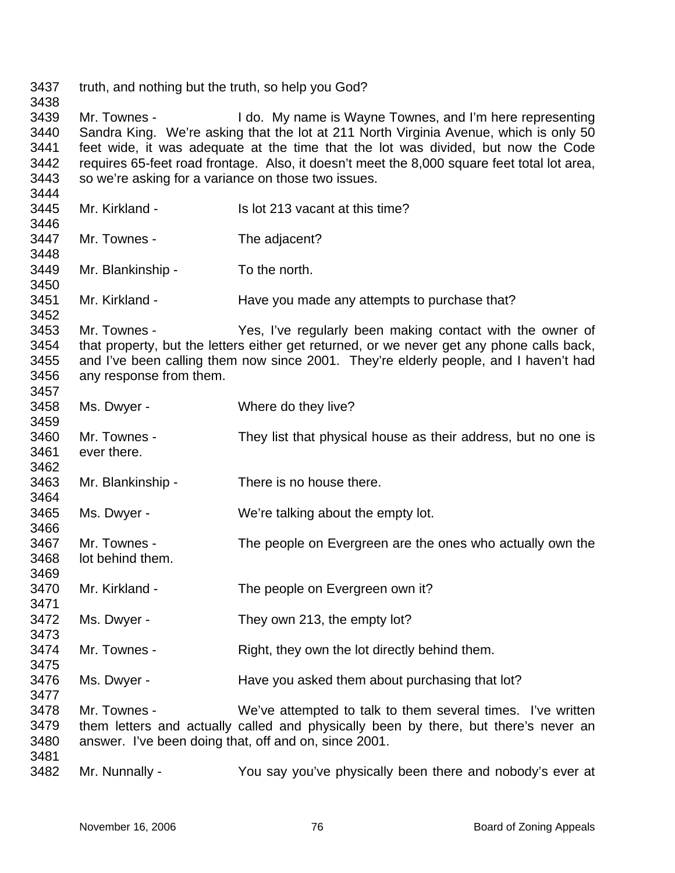| 3437<br>3438                                 | truth, and nothing but the truth, so help you God?                                                                                                                                                                                                                                        |                                                                                                                                                                                                                                                                                                                                       |
|----------------------------------------------|-------------------------------------------------------------------------------------------------------------------------------------------------------------------------------------------------------------------------------------------------------------------------------------------|---------------------------------------------------------------------------------------------------------------------------------------------------------------------------------------------------------------------------------------------------------------------------------------------------------------------------------------|
| 3439<br>3440<br>3441<br>3442<br>3443<br>3444 | Mr. Townes -<br>so we're asking for a variance on those two issues.                                                                                                                                                                                                                       | I do. My name is Wayne Townes, and I'm here representing<br>Sandra King. We're asking that the lot at 211 North Virginia Avenue, which is only 50<br>feet wide, it was adequate at the time that the lot was divided, but now the Code<br>requires 65-feet road frontage. Also, it doesn't meet the 8,000 square feet total lot area, |
| 3445<br>3446                                 | Mr. Kirkland -                                                                                                                                                                                                                                                                            | Is lot 213 vacant at this time?                                                                                                                                                                                                                                                                                                       |
| 3447<br>3448                                 | Mr. Townes -                                                                                                                                                                                                                                                                              | The adjacent?                                                                                                                                                                                                                                                                                                                         |
| 3449<br>3450                                 | Mr. Blankinship -                                                                                                                                                                                                                                                                         | To the north.                                                                                                                                                                                                                                                                                                                         |
| 3451<br>3452                                 | Mr. Kirkland -                                                                                                                                                                                                                                                                            | Have you made any attempts to purchase that?                                                                                                                                                                                                                                                                                          |
| 3453<br>3454<br>3455<br>3456<br>3457         | Mr. Townes -<br>Yes, I've regularly been making contact with the owner of<br>that property, but the letters either get returned, or we never get any phone calls back,<br>and I've been calling them now since 2001. They're elderly people, and I haven't had<br>any response from them. |                                                                                                                                                                                                                                                                                                                                       |
| 3458<br>3459                                 | Ms. Dwyer -                                                                                                                                                                                                                                                                               | Where do they live?                                                                                                                                                                                                                                                                                                                   |
| 3460<br>3461<br>3462                         | Mr. Townes -<br>ever there.                                                                                                                                                                                                                                                               | They list that physical house as their address, but no one is                                                                                                                                                                                                                                                                         |
| 3463<br>3464                                 | Mr. Blankinship -                                                                                                                                                                                                                                                                         | There is no house there.                                                                                                                                                                                                                                                                                                              |
| 3465<br>3466                                 | Ms. Dwyer -                                                                                                                                                                                                                                                                               | We're talking about the empty lot.                                                                                                                                                                                                                                                                                                    |
| 3467<br>3468<br>3469                         | Mr. Townes -<br>lot behind them.                                                                                                                                                                                                                                                          | The people on Evergreen are the ones who actually own the                                                                                                                                                                                                                                                                             |
| 3470<br>3471                                 | Mr. Kirkland -                                                                                                                                                                                                                                                                            | The people on Evergreen own it?                                                                                                                                                                                                                                                                                                       |
| 3472<br>3473                                 | Ms. Dwyer -                                                                                                                                                                                                                                                                               | They own 213, the empty lot?                                                                                                                                                                                                                                                                                                          |
| 3474<br>3475                                 | Mr. Townes -                                                                                                                                                                                                                                                                              | Right, they own the lot directly behind them.                                                                                                                                                                                                                                                                                         |
| 3476<br>3477                                 | Ms. Dwyer -                                                                                                                                                                                                                                                                               | Have you asked them about purchasing that lot?                                                                                                                                                                                                                                                                                        |
| 3478<br>3479<br>3480                         | Mr. Townes -                                                                                                                                                                                                                                                                              | We've attempted to talk to them several times. I've written<br>them letters and actually called and physically been by there, but there's never an<br>answer. I've been doing that, off and on, since 2001.                                                                                                                           |
| 3481<br>3482                                 | Mr. Nunnally -                                                                                                                                                                                                                                                                            | You say you've physically been there and nobody's ever at                                                                                                                                                                                                                                                                             |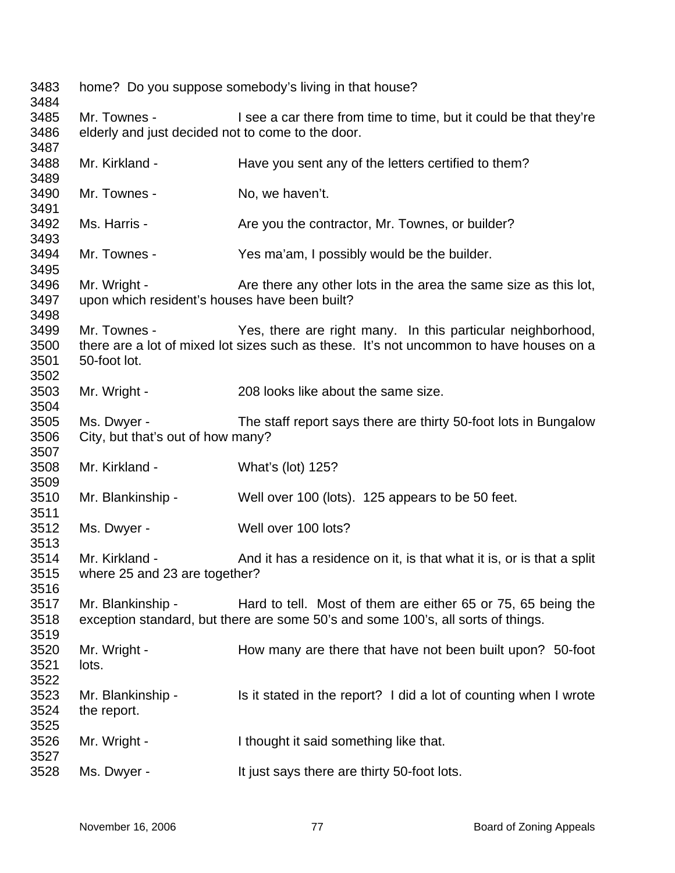home? Do you suppose somebody's living in that house? Mr. Townes - I see a car there from time to time, but it could be that they're elderly and just decided not to come to the door. Mr. Kirkland - Have you sent any of the letters certified to them? Mr. Townes - No, we haven't. Ms. Harris - The State you the contractor, Mr. Townes, or builder? Mr. Townes - Yes ma'am, I possibly would be the builder. Mr. Wright - Are there any other lots in the area the same size as this lot, upon which resident's houses have been built? Mr. Townes - The Yes, there are right many. In this particular neighborhood, there are a lot of mixed lot sizes such as these. It's not uncommon to have houses on a 50-foot lot. Mr. Wright - 208 looks like about the same size. Ms. Dwyer - The staff report says there are thirty 50-foot lots in Bungalow City, but that's out of how many? Mr. Kirkland - What's (lot) 125? Mr. Blankinship - Well over 100 (lots). 125 appears to be 50 feet. Ms. Dwyer - Well over 100 lots? Mr. Kirkland - And it has a residence on it, is that what it is, or is that a split where 25 and 23 are together? Mr. Blankinship - Hard to tell. Most of them are either 65 or 75, 65 being the exception standard, but there are some 50's and some 100's, all sorts of things. Mr. Wright - How many are there that have not been built upon? 50-foot lots. Mr. Blankinship - Is it stated in the report? I did a lot of counting when I wrote the report. Mr. Wright - I thought it said something like that. Ms. Dwyer - It just says there are thirty 50-foot lots.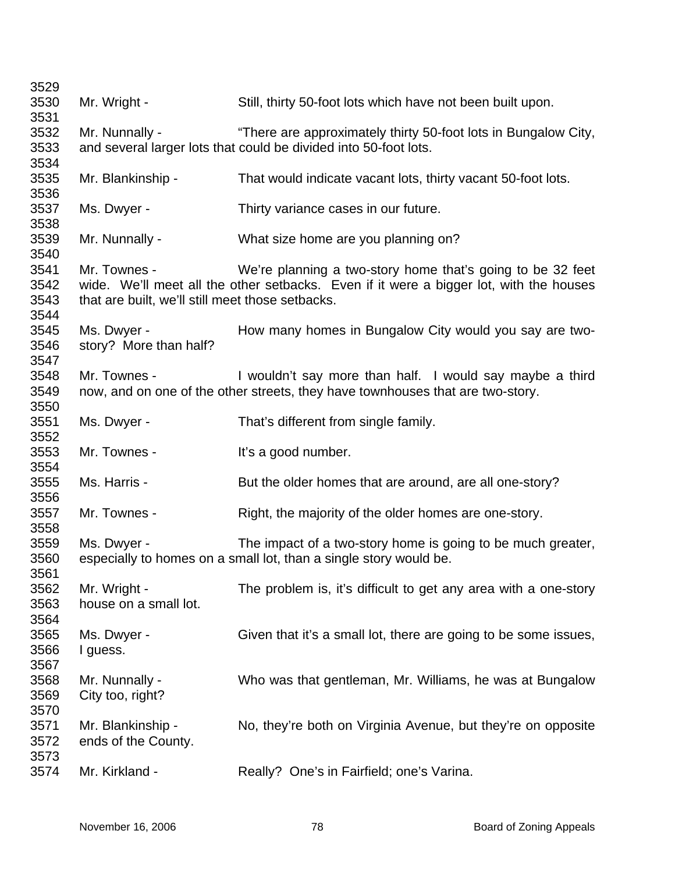| 3529         |                                                  |                                                                                                                                                      |
|--------------|--------------------------------------------------|------------------------------------------------------------------------------------------------------------------------------------------------------|
| 3530         | Mr. Wright -                                     | Still, thirty 50-foot lots which have not been built upon.                                                                                           |
| 3531         |                                                  |                                                                                                                                                      |
| 3532         | Mr. Nunnally -                                   | "There are approximately thirty 50-foot lots in Bungalow City,                                                                                       |
| 3533<br>3534 |                                                  | and several larger lots that could be divided into 50-foot lots.                                                                                     |
| 3535<br>3536 | Mr. Blankinship -                                | That would indicate vacant lots, thirty vacant 50-foot lots.                                                                                         |
| 3537<br>3538 | Ms. Dwyer -                                      | Thirty variance cases in our future.                                                                                                                 |
| 3539<br>3540 | Mr. Nunnally -                                   | What size home are you planning on?                                                                                                                  |
| 3541<br>3542 | Mr. Townes -                                     | We're planning a two-story home that's going to be 32 feet<br>wide. We'll meet all the other setbacks. Even if it were a bigger lot, with the houses |
| 3543<br>3544 | that are built, we'll still meet those setbacks. |                                                                                                                                                      |
| 3545         | Ms. Dwyer -                                      | How many homes in Bungalow City would you say are two-                                                                                               |
| 3546         | story? More than half?                           |                                                                                                                                                      |
| 3547         |                                                  |                                                                                                                                                      |
| 3548         | Mr. Townes -                                     | I wouldn't say more than half. I would say maybe a third                                                                                             |
| 3549         |                                                  | now, and on one of the other streets, they have townhouses that are two-story.                                                                       |
| 3550         |                                                  |                                                                                                                                                      |
| 3551         | Ms. Dwyer -                                      | That's different from single family.                                                                                                                 |
| 3552         |                                                  |                                                                                                                                                      |
| 3553         | Mr. Townes -                                     | It's a good number.                                                                                                                                  |
| 3554         |                                                  |                                                                                                                                                      |
| 3555         | Ms. Harris -                                     | But the older homes that are around, are all one-story?                                                                                              |
| 3556         |                                                  |                                                                                                                                                      |
| 3557<br>3558 | Mr. Townes -                                     | Right, the majority of the older homes are one-story.                                                                                                |
| 3559         | Ms. Dwyer -                                      | The impact of a two-story home is going to be much greater,                                                                                          |
| 3560         |                                                  | especially to homes on a small lot, than a single story would be.                                                                                    |
| 3561         |                                                  |                                                                                                                                                      |
| 3562         | Mr. Wright -                                     | The problem is, it's difficult to get any area with a one-story                                                                                      |
| 3563         | house on a small lot.                            |                                                                                                                                                      |
| 3564         |                                                  |                                                                                                                                                      |
| 3565         | Ms. Dwyer -                                      | Given that it's a small lot, there are going to be some issues,                                                                                      |
| 3566         | I guess.                                         |                                                                                                                                                      |
| 3567         |                                                  |                                                                                                                                                      |
| 3568         | Mr. Nunnally -                                   | Who was that gentleman, Mr. Williams, he was at Bungalow                                                                                             |
| 3569         | City too, right?                                 |                                                                                                                                                      |
| 3570         |                                                  |                                                                                                                                                      |
| 3571         | Mr. Blankinship -                                | No, they're both on Virginia Avenue, but they're on opposite                                                                                         |
| 3572         | ends of the County.                              |                                                                                                                                                      |
| 3573         |                                                  |                                                                                                                                                      |
| 3574         | Mr. Kirkland -                                   | Really? One's in Fairfield; one's Varina.                                                                                                            |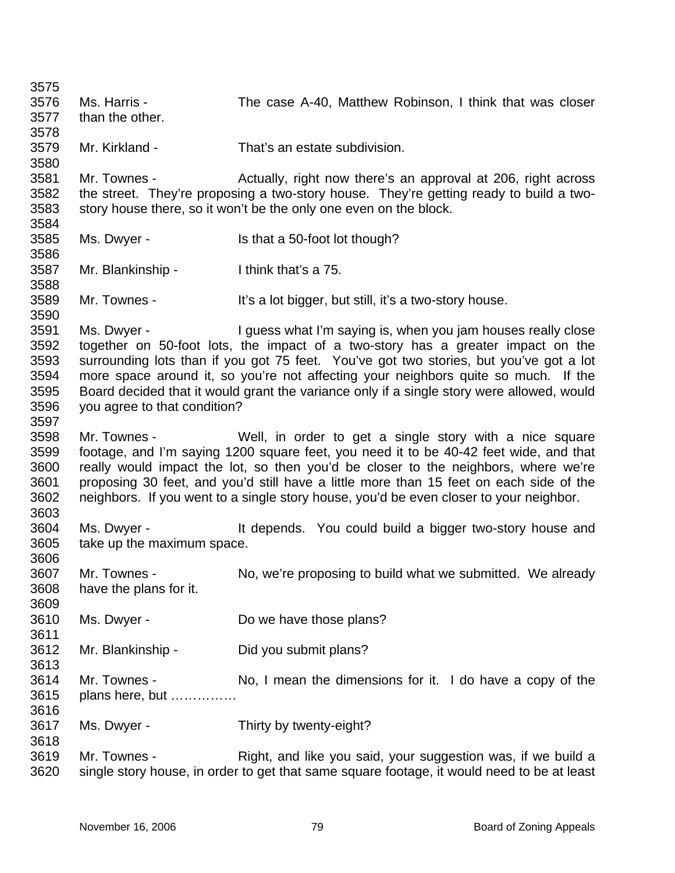3575 3576 3577 3578 3579 3580 3581 3582 3583 3584 3585 3586 3587 3588 3589 3590 3591 3592 3593 3594 3595 3596 3597 3598 3599 3600 3601 3602 3603 3604 3605 3606 3607 3608 3609 3610 3611 3612 3613 3614 3615 3616 3617 3618 3619 3620 Ms. Harris - The case A-40, Matthew Robinson, I think that was closer than the other. Mr. Kirkland - That's an estate subdivision. Mr. Townes - Actually, right now there's an approval at 206, right across the street. They're proposing a two-story house. They're getting ready to build a twostory house there, so it won't be the only one even on the block. Ms. Dwyer - Is that a 50-foot lot though? Mr. Blankinship - I think that's a 75. Mr. Townes - It's a lot bigger, but still, it's a two-story house. Ms. Dwyer - I guess what I'm saying is, when you jam houses really close together on 50-foot lots, the impact of a two-story has a greater impact on the surrounding lots than if you got 75 feet. You've got two stories, but you've got a lot more space around it, so you're not affecting your neighbors quite so much. If the Board decided that it would grant the variance only if a single story were allowed, would you agree to that condition? Mr. Townes - Well, in order to get a single story with a nice square footage, and I'm saying 1200 square feet, you need it to be 40-42 feet wide, and that really would impact the lot, so then you'd be closer to the neighbors, where we're proposing 30 feet, and you'd still have a little more than 15 feet on each side of the neighbors. If you went to a single story house, you'd be even closer to your neighbor. Ms. Dwyer - The Music extends. You could build a bigger two-story house and take up the maximum space. Mr. Townes - No, we're proposing to build what we submitted. We already have the plans for it. Ms. Dwyer - Do we have those plans? Mr. Blankinship - Did you submit plans? Mr. Townes - No, I mean the dimensions for it. I do have a copy of the plans here, but …………… Ms. Dwyer - Thirty by twenty-eight? Mr. Townes - Right, and like you said, your suggestion was, if we build a single story house, in order to get that same square footage, it would need to be at least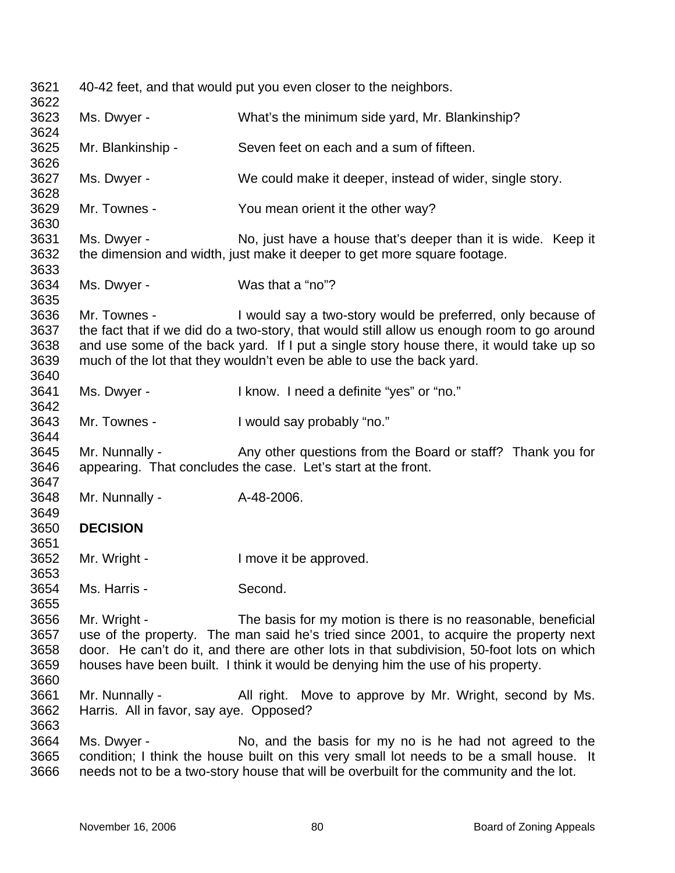| 3621<br>3622                         |                                                           | 40-42 feet, and that would put you even closer to the neighbors.                                                                                                                                                                                                                                                                        |
|--------------------------------------|-----------------------------------------------------------|-----------------------------------------------------------------------------------------------------------------------------------------------------------------------------------------------------------------------------------------------------------------------------------------------------------------------------------------|
| 3623<br>3624                         | Ms. Dwyer -                                               | What's the minimum side yard, Mr. Blankinship?                                                                                                                                                                                                                                                                                          |
| 3625<br>3626                         | Mr. Blankinship -                                         | Seven feet on each and a sum of fifteen.                                                                                                                                                                                                                                                                                                |
| 3627<br>3628                         | Ms. Dwyer -                                               | We could make it deeper, instead of wider, single story.                                                                                                                                                                                                                                                                                |
| 3629<br>3630                         | Mr. Townes -                                              | You mean orient it the other way?                                                                                                                                                                                                                                                                                                       |
| 3631<br>3632<br>3633                 | Ms. Dwyer -                                               | No, just have a house that's deeper than it is wide. Keep it<br>the dimension and width, just make it deeper to get more square footage.                                                                                                                                                                                                |
| 3634<br>3635                         | Ms. Dwyer -                                               | Was that a "no"?                                                                                                                                                                                                                                                                                                                        |
| 3636<br>3637<br>3638<br>3639<br>3640 | Mr. Townes -                                              | I would say a two-story would be preferred, only because of<br>the fact that if we did do a two-story, that would still allow us enough room to go around<br>and use some of the back yard. If I put a single story house there, it would take up so<br>much of the lot that they wouldn't even be able to use the back yard.           |
| 3641<br>3642                         | Ms. Dwyer -                                               | I know. I need a definite "yes" or "no."                                                                                                                                                                                                                                                                                                |
| 3643<br>3644                         | Mr. Townes -                                              | I would say probably "no."                                                                                                                                                                                                                                                                                                              |
| 3645<br>3646<br>3647                 | Mr. Nunnally -                                            | Any other questions from the Board or staff? Thank you for<br>appearing. That concludes the case. Let's start at the front.                                                                                                                                                                                                             |
| 3648<br>3649                         | Mr. Nunnally -                                            | A-48-2006.                                                                                                                                                                                                                                                                                                                              |
| 3650<br>3651                         | <b>DECISION</b>                                           |                                                                                                                                                                                                                                                                                                                                         |
| 3652<br>3653                         | Mr. Wright -                                              | I move it be approved.                                                                                                                                                                                                                                                                                                                  |
| 3654<br>3655                         | Ms. Harris -                                              | Second.                                                                                                                                                                                                                                                                                                                                 |
| 3656<br>3657<br>3658<br>3659<br>3660 | Mr. Wright -                                              | The basis for my motion is there is no reasonable, beneficial<br>use of the property. The man said he's tried since 2001, to acquire the property next<br>door. He can't do it, and there are other lots in that subdivision, 50-foot lots on which<br>houses have been built. I think it would be denying him the use of his property. |
| 3661<br>3662<br>3663                 | Mr. Nunnally -<br>Harris. All in favor, say aye. Opposed? | All right. Move to approve by Mr. Wright, second by Ms.                                                                                                                                                                                                                                                                                 |
| 3664<br>3665<br>3666                 | Ms. Dwyer -                                               | No, and the basis for my no is he had not agreed to the<br>condition; I think the house built on this very small lot needs to be a small house. It<br>needs not to be a two-story house that will be overbuilt for the community and the lot.                                                                                           |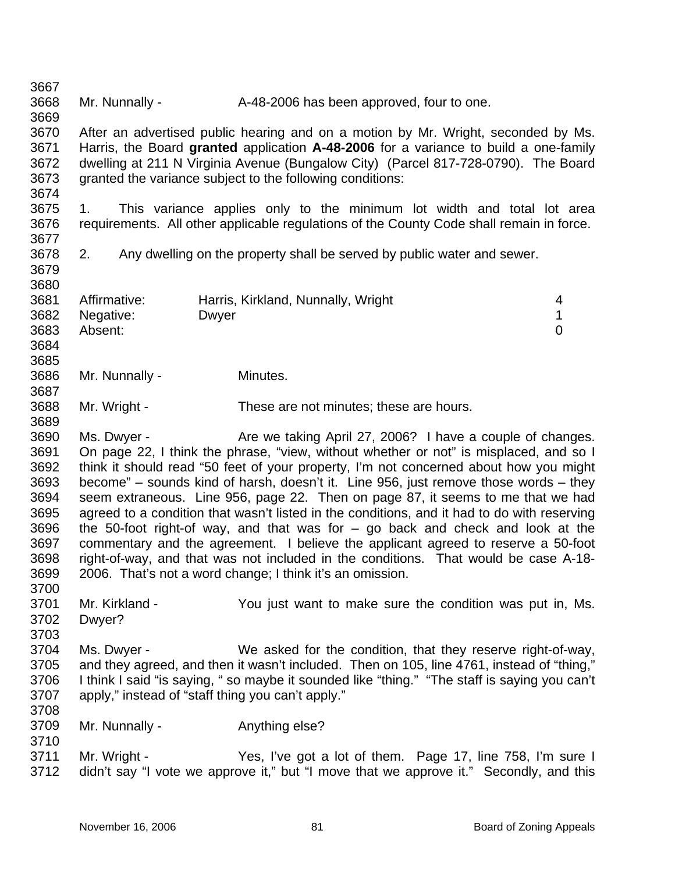3667 3668 3669 3670 3671 3672 3673 3674 3675 3676 3677 3678 3679 3680 3681 3682 3683 3684 3685 3686 3687 3688 3689 3690 3691 3692 3693 3694 3695 3696 3697 3698 3699 3700 3701 3702 3703 3704 3705 3706 3707 3708 3709 3710 3711 3712 Mr. Nunnally - A-48-2006 has been approved, four to one. After an advertised public hearing and on a motion by Mr. Wright, seconded by Ms. Harris, the Board **granted** application **A-48-2006** for a variance to build a one-family dwelling at 211 N Virginia Avenue (Bungalow City) (Parcel 817-728-0790). The Board granted the variance subject to the following conditions: 1. This variance applies only to the minimum lot width and total lot area requirements. All other applicable regulations of the County Code shall remain in force. 2. Any dwelling on the property shall be served by public water and sewer. Affirmative: Harris, Kirkland, Nunnally, Wright 4 Negative: Dwyer 2009 Dwyer 2009 PM 2009 2009 1 Absent: 0 Mr. Nunnally - Minutes. Mr. Wright - These are not minutes; these are hours. Ms. Dwyer - Are we taking April 27, 2006? I have a couple of changes. On page 22, I think the phrase, "view, without whether or not" is misplaced, and so I think it should read "50 feet of your property, I'm not concerned about how you might become" – sounds kind of harsh, doesn't it. Line 956, just remove those words – they seem extraneous. Line 956, page 22. Then on page 87, it seems to me that we had agreed to a condition that wasn't listed in the conditions, and it had to do with reserving the 50-foot right-of way, and that was for  $-$  go back and check and look at the commentary and the agreement. I believe the applicant agreed to reserve a 50-foot right-of-way, and that was not included in the conditions. That would be case A-18- 2006. That's not a word change; I think it's an omission. Mr. Kirkland - You just want to make sure the condition was put in, Ms. Dwyer? Ms. Dwyer - We asked for the condition, that they reserve right-of-way, and they agreed, and then it wasn't included. Then on 105, line 4761, instead of "thing," I think I said "is saying, " so maybe it sounded like "thing." "The staff is saying you can't apply," instead of "staff thing you can't apply." Mr. Nunnally - **Anything else?** Mr. Wright - Yes, I've got a lot of them. Page 17, line 758, I'm sure I didn't say "I vote we approve it," but "I move that we approve it." Secondly, and this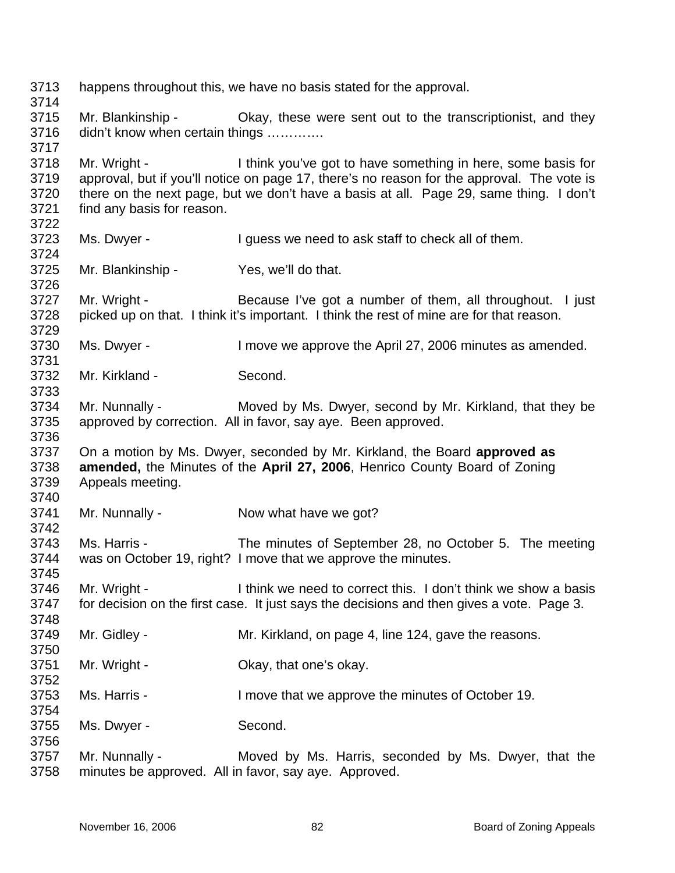happens throughout this, we have no basis stated for the approval. Mr. Blankinship - Okay, these were sent out to the transcriptionist, and they didn't know when certain things ............. Mr. Wright - I think you've got to have something in here, some basis for approval, but if you'll notice on page 17, there's no reason for the approval. The vote is there on the next page, but we don't have a basis at all. Page 29, same thing. I don't find any basis for reason. Ms. Dwyer - The Unit of them is a liquess we need to ask staff to check all of them. Mr. Blankinship - Yes, we'll do that. Mr. Wright - Because I've got a number of them, all throughout. I just picked up on that. I think it's important. I think the rest of mine are for that reason. Ms. Dwyer - I move we approve the April 27, 2006 minutes as amended. Mr. Kirkland - Second. Mr. Nunnally - Moved by Ms. Dwyer, second by Mr. Kirkland, that they be approved by correction. All in favor, say aye. Been approved. On a motion by Ms. Dwyer, seconded by Mr. Kirkland, the Board **approved as amended,** the Minutes of the **April 27, 2006**, Henrico County Board of Zoning Appeals meeting. Mr. Nunnally - Now what have we got? Ms. Harris - The minutes of September 28, no October 5. The meeting was on October 19, right? I move that we approve the minutes. Mr. Wright - Think we need to correct this. I don't think we show a basis for decision on the first case. It just says the decisions and then gives a vote. Page 3. Mr. Gidley - Mr. Kirkland, on page 4, line 124, gave the reasons. Mr. Wright - Ckay, that one's okay. Ms. Harris - The Music Herric I move that we approve the minutes of October 19. Ms. Dwyer - Second. Mr. Nunnally - Moved by Ms. Harris, seconded by Ms. Dwyer, that the minutes be approved. All in favor, say aye. Approved.